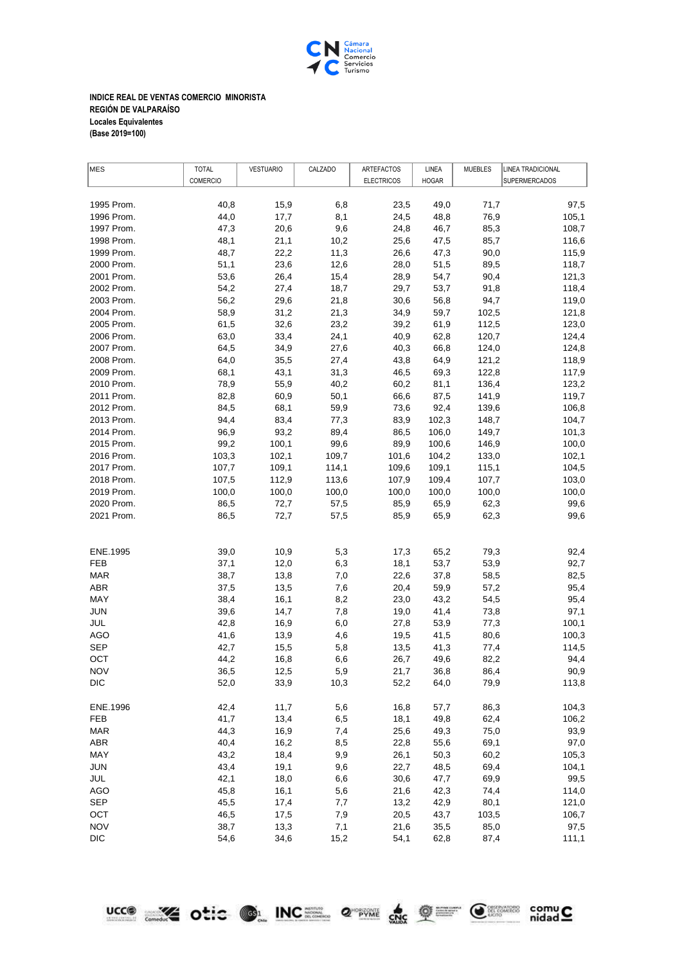

**INDICE REAL DE VENTAS COMERCIO MINORISTA REGIÓN DE VALPARAÍSO Locales Equivalentes (Base 2019=100)**

| MES        | <b>TOTAL</b>    | <b>VESTUARIO</b> | CALZADO | ARTEFACTOS        | LINEA        | <b>MUEBLES</b> | LINEA TRADICIONAL    |
|------------|-----------------|------------------|---------|-------------------|--------------|----------------|----------------------|
|            | <b>COMERCIO</b> |                  |         | <b>ELECTRICOS</b> | <b>HOGAR</b> |                | <b>SUPERMERCADOS</b> |
|            |                 |                  |         |                   |              |                |                      |
| 1995 Prom. | 40,8            | 15,9             | 6,8     | 23,5              | 49,0         | 71,7           | 97,5                 |
| 1996 Prom. | 44,0            | 17,7             | 8,1     | 24,5              | 48,8         | 76,9           | 105,1                |
| 1997 Prom. | 47,3            | 20,6             | 9,6     | 24,8              | 46,7         | 85,3           | 108,7                |
| 1998 Prom. | 48,1            | 21,1             | 10,2    | 25,6              | 47,5         | 85,7           | 116,6                |
| 1999 Prom. | 48,7            | 22,2             | 11,3    | 26,6              | 47,3         | 90,0           | 115,9                |
| 2000 Prom. | 51,1            | 23,6             | 12,6    | 28,0              | 51,5         | 89,5           | 118,7                |
| 2001 Prom. | 53,6            | 26,4             | 15,4    | 28,9              | 54,7         | 90,4           | 121,3                |
| 2002 Prom. | 54,2            | 27,4             | 18,7    | 29,7              | 53,7         | 91,8           | 118,4                |
| 2003 Prom. | 56,2            | 29,6             | 21,8    | 30,6              | 56,8         | 94,7           | 119,0                |
| 2004 Prom. | 58,9            | 31,2             | 21,3    | 34,9              | 59,7         | 102,5          | 121,8                |
| 2005 Prom. | 61,5            | 32,6             | 23,2    | 39,2              | 61,9         | 112,5          | 123,0                |
| 2006 Prom. | 63,0            | 33,4             | 24,1    | 40,9              | 62,8         | 120,7          | 124,4                |
| 2007 Prom. | 64,5            | 34,9             | 27,6    | 40,3              | 66,8         | 124,0          | 124,8                |
| 2008 Prom. | 64,0            | 35,5             | 27,4    | 43,8              | 64,9         | 121,2          | 118,9                |
| 2009 Prom. | 68,1            | 43,1             | 31,3    | 46,5              | 69,3         | 122,8          | 117,9                |
| 2010 Prom. | 78,9            | 55,9             | 40,2    | 60,2              | 81,1         | 136,4          | 123,2                |
| 2011 Prom. | 82,8            | 60,9             | 50,1    | 66,6              | 87,5         | 141,9          | 119,7                |
| 2012 Prom. | 84,5            | 68,1             | 59,9    | 73,6              | 92,4         | 139,6          | 106,8                |
| 2013 Prom. | 94,4            | 83,4             | 77,3    | 83,9              | 102,3        | 148,7          | 104,7                |
| 2014 Prom. | 96,9            | 93,2             | 89,4    | 86,5              | 106,0        | 149,7          | 101,3                |
| 2015 Prom. | 99,2            | 100,1            | 99,6    | 89,9              | 100,6        | 146,9          | 100,0                |
| 2016 Prom. | 103,3           | 102,1            | 109,7   | 101,6             | 104,2        | 133,0          | 102,1                |
| 2017 Prom. | 107,7           | 109,1            | 114,1   | 109,6             | 109,1        | 115,1          | 104,5                |
| 2018 Prom. | 107,5           | 112,9            | 113,6   | 107,9             | 109,4        | 107,7          | 103,0                |
| 2019 Prom. | 100,0           | 100,0            | 100,0   | 100,0             | 100,0        | 100,0          | 100,0                |
| 2020 Prom. | 86,5            | 72,7             | 57,5    | 85,9              | 65,9         | 62,3           | 99,6                 |
| 2021 Prom. | 86,5            | 72,7             | 57,5    | 85,9              | 65,9         | 62,3           | 99,6                 |
|            |                 |                  |         |                   |              |                |                      |
|            |                 |                  |         |                   |              |                |                      |
| ENE.1995   | 39,0            | 10,9             | 5,3     | 17,3              | 65,2         | 79,3           | 92,4                 |
| FEB        | 37,1            | 12,0             | 6,3     | 18,1              | 53,7         | 53,9           | 92,7                 |
| <b>MAR</b> | 38,7            | 13,8             | 7,0     | 22,6              | 37,8         | 58,5           | 82,5                 |
| ABR        | 37,5            | 13,5             | 7,6     | 20,4              | 59,9         | 57,2           | 95,4                 |
| MAY        | 38,4            | 16,1             | 8,2     | 23,0              | 43,2         | 54,5           | 95,4                 |
| JUN        | 39,6            | 14,7             | 7,8     | 19,0              | 41,4         | 73,8           | 97,1                 |
| JUL        | 42,8            | 16,9             | 6,0     | 27,8              | 53,9         | 77,3           | 100,1                |
| AGO        | 41,6            | 13,9             | 4,6     | 19,5              | 41,5         | 80,6           | 100,3                |
| <b>SEP</b> | 42,7            | 15,5             | 5,8     | 13,5              | 41,3         | 77,4           | 114,5                |
| ОСТ        | 44,2            | 16,8             | 6,6     | 26,7              | 49,6         | 82,2           | 94,4                 |
| <b>NOV</b> | 36,5            | 12,5             | 5,9     | 21,7              | 36,8         | 86,4           | 90,9                 |
| <b>DIC</b> | 52,0            | 33,9             | 10,3    | 52,2              | 64,0         | 79,9           | 113,8                |
| ENE.1996   | 42,4            | 11,7             | 5,6     | 16,8              | 57,7         | 86,3           | 104,3                |
| <b>FEB</b> | 41,7            | 13,4             | 6,5     | 18,1              | 49,8         | 62,4           | 106,2                |
| <b>MAR</b> | 44,3            | 16,9             | 7,4     | 25,6              | 49,3         | 75,0           | 93,9                 |
| <b>ABR</b> | 40,4            | 16,2             | 8,5     | 22,8              | 55,6         | 69,1           | 97,0                 |
| MAY        | 43,2            | 18,4             | 9,9     | 26,1              | 50,3         | 60,2           | 105,3                |
| <b>JUN</b> | 43,4            | 19,1             | 9,6     | 22,7              | 48,5         | 69,4           | 104,1                |
| JUL        | 42,1            | 18,0             | 6,6     | 30,6              | 47,7         | 69,9           | 99,5                 |
| <b>AGO</b> | 45,8            | 16,1             | 5,6     | 21,6              | 42,3         | 74,4           | 114,0                |
| SEP        | 45,5            | 17,4             | 7,7     | 13,2              | 42,9         | 80,1           | 121,0                |
| OCT        | 46,5            | 17,5             | 7,9     | 20,5              | 43,7         | 103,5          | 106,7                |
| <b>NOV</b> | 38,7            | 13,3             | 7,1     | 21,6              | 35,5         | 85,0           | 97,5                 |
| <b>DIC</b> | 54,6            | 34,6             | 15,2    | 54,1              | 62,8         | 87,4           | 111,1                |

<u>ucco</u> and tie of INC and a structure of the state of the compute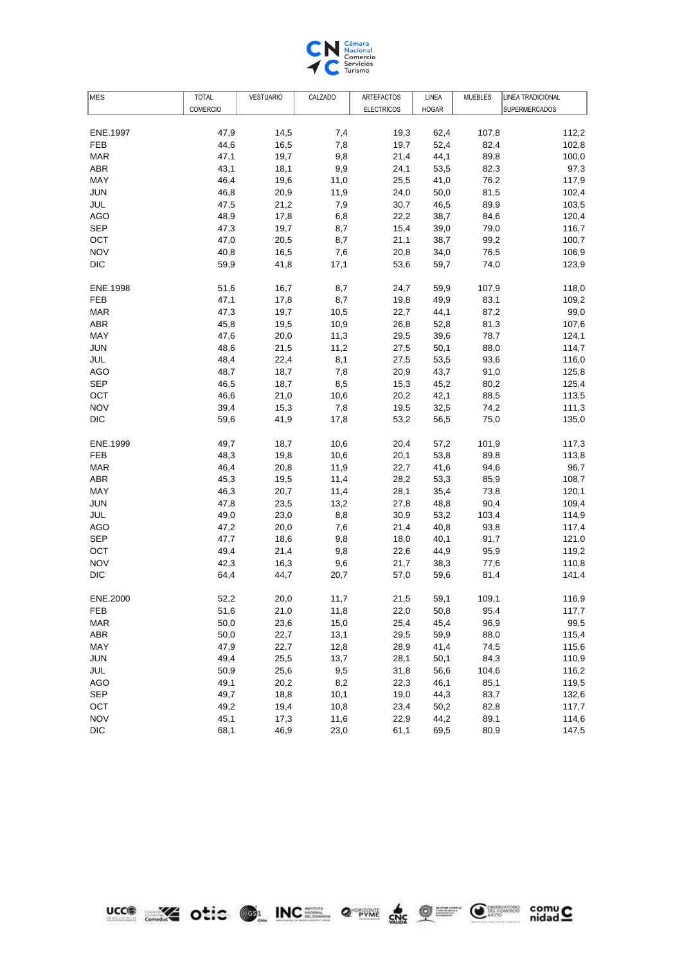

| <b>COMERCIO</b><br><b>ELECTRICOS</b><br><b>HOGAR</b><br><b>SUPERMERCADOS</b><br>ENE.1997<br>47,9<br>14,5<br>7,4<br>19,3<br>62,4<br>107,8<br>112,2<br><b>FEB</b><br>16,5<br>7,8<br>19,7<br>52,4<br>82,4<br>102,8<br>44,6<br>47,1<br>19,7<br>9,8<br>21,4<br>44,1<br>89,8<br><b>MAR</b><br>100,0<br><b>ABR</b><br>43,1<br>18,1<br>9,9<br>82,3<br>24,1<br>53,5<br>97,3<br>MAY<br>46,4<br>19,6<br>11,0<br>25,5<br>41,0<br>76,2<br>117,9<br><b>JUN</b><br>46,8<br>20,9<br>11,9<br>24,0<br>50,0<br>81,5<br>102,4<br>JUL<br>47,5<br>21,2<br>30,7<br>89,9<br>103,5<br>7,9<br>46,5<br>48,9<br>6,8<br>120,4<br>AGO<br>17,8<br>22,2<br>38,7<br>84,6<br><b>SEP</b><br>19,7<br>8,7<br>116,7<br>47,3<br>15,4<br>39,0<br>79,0<br>OCT<br>47,0<br>21,1<br>99,2<br>100,7<br>20,5<br>8,7<br>38,7<br><b>NOV</b><br>16,5<br>20,8<br>76,5<br>40,8<br>7,6<br>34,0<br>106,9<br><b>DIC</b><br>123,9<br>59,9<br>41,8<br>17,1<br>53,6<br>59,7<br>74,0<br>ENE.1998<br>51,6<br>16,7<br>8,7<br>24,7<br>59,9<br>107,9<br>118,0<br><b>FEB</b><br>47,1<br>17,8<br>8,7<br>49,9<br>83,1<br>19,8<br>109,2<br>47,3<br>19,7<br>10,5<br>87,2<br>99,0<br><b>MAR</b><br>22,7<br>44,1<br>81,3<br>ABR<br>45,8<br>19,5<br>10,9<br>26,8<br>52,8<br>107,6<br>MAY<br>47,6<br>20,0<br>11,3<br>29,5<br>39,6<br>78,7<br>124,1<br>88,0<br>JUN<br>48,6<br>21,5<br>11,2<br>27,5<br>50,1<br>114,7<br>JUL<br>8,1<br>93,6<br>116,0<br>48,4<br>22,4<br>27,5<br>53,5<br><b>AGO</b><br>48,7<br>18,7<br>7,8<br>125,8<br>20,9<br>43,7<br>91,0<br><b>SEP</b><br>8,5<br>80,2<br>125,4<br>46,5<br>18,7<br>15,3<br>45,2<br>88,5<br>OCT<br>46,6<br>21,0<br>10,6<br>20,2<br>42,1<br>113,5<br><b>NOV</b><br>15,3<br>111,3<br>39,4<br>7,8<br>19,5<br>32,5<br>74,2<br><b>DIC</b><br>53,2<br>135,0<br>59,6<br>41,9<br>17,8<br>56,5<br>75,0<br>ENE.1999<br>49,7<br>18,7<br>10,6<br>20,4<br>57,2<br>101,9<br>117,3<br><b>FEB</b><br>48,3<br>19,8<br>10,6<br>53,8<br>89,8<br>113,8<br>20,1<br><b>MAR</b><br>46,4<br>20,8<br>11,9<br>22,7<br>94,6<br>96,7<br>41,6<br><b>ABR</b><br>45,3<br>28,2<br>85,9<br>19,5<br>11,4<br>53,3<br>108,7<br>MAY<br>46,3<br>20,7<br>73,8<br>120,1<br>11,4<br>28,1<br>35,4<br><b>JUN</b><br>23,5<br>13,2<br>27,8<br>90,4<br>109,4<br>47,8<br>48,8<br>JUL<br>49,0<br>23,0<br>8,8<br>30,9<br>53,2<br>103,4<br>114,9<br><b>AGO</b><br>20,0<br>21,4<br>93,8<br>117,4<br>47,2<br>7,6<br>40,8<br><b>SEP</b><br>18,6<br>9,8<br>91,7<br>121,0<br>47,7<br>18,0<br>40,1<br>OCT<br>49,4<br>21,4<br>9,8<br>22,6<br>95,9<br>119,2<br>44,9<br><b>NOV</b><br>42,3<br>110,8<br>16,3<br>9,6<br>21,7<br>38,3<br>77,6<br><b>DIC</b><br>64,4<br>44,7<br>20,7<br>57,0<br>59,6<br>81,4<br>141,4<br>ENE.2000<br>52,2<br>20,0<br>11,7<br>21,5<br>59,1<br>109,1<br>116,9<br>FEB<br>21,0<br>11,8<br>22,0<br>50,8<br>95,4<br>117,7<br>51,6<br><b>MAR</b><br>50,0<br>23,6<br>15,0<br>25,4<br>45,4<br>96,9<br>99,5<br><b>ABR</b><br>50,0<br>22,7<br>13,1<br>29,5<br>88,0<br>115,4<br>59,9<br>MAY<br>47,9<br>22,7<br>74,5<br>12,8<br>28,9<br>41,4<br>115,6<br><b>JUN</b><br>49,4<br>84,3<br>110,9<br>25,5<br>13,7<br>28,1<br>50,1<br>25,6<br>JUL<br>50,9<br>9,5<br>31,8<br>56,6<br>104,6<br>116,2<br><b>AGO</b><br>49,1<br>20,2<br>8,2<br>85,1<br>119,5<br>22,3<br>46,1<br><b>SEP</b><br>49,7<br>18,8<br>10,1<br>83,7<br>132,6<br>19,0<br>44,3<br>OCT<br>49,2<br>19,4<br>10,8<br>23,4<br>50,2<br>82,8<br>117,7<br><b>NOV</b><br>45,1<br>89,1<br>114,6<br>17,3<br>11,6<br>22,9<br>44,2<br><b>DIC</b><br>68,1<br>46,9<br>23,0<br>80,9<br>147,5<br>61,1<br>69,5 | MES | <b>TOTAL</b> | <b>VESTUARIO</b> | CALZADO | ARTEFACTOS | LINEA | <b>MUEBLES</b> | LINEA TRADICIONAL |
|----------------------------------------------------------------------------------------------------------------------------------------------------------------------------------------------------------------------------------------------------------------------------------------------------------------------------------------------------------------------------------------------------------------------------------------------------------------------------------------------------------------------------------------------------------------------------------------------------------------------------------------------------------------------------------------------------------------------------------------------------------------------------------------------------------------------------------------------------------------------------------------------------------------------------------------------------------------------------------------------------------------------------------------------------------------------------------------------------------------------------------------------------------------------------------------------------------------------------------------------------------------------------------------------------------------------------------------------------------------------------------------------------------------------------------------------------------------------------------------------------------------------------------------------------------------------------------------------------------------------------------------------------------------------------------------------------------------------------------------------------------------------------------------------------------------------------------------------------------------------------------------------------------------------------------------------------------------------------------------------------------------------------------------------------------------------------------------------------------------------------------------------------------------------------------------------------------------------------------------------------------------------------------------------------------------------------------------------------------------------------------------------------------------------------------------------------------------------------------------------------------------------------------------------------------------------------------------------------------------------------------------------------------------------------------------------------------------------------------------------------------------------------------------------------------------------------------------------------------------------------------------------------------------------------------------------------------------------------------------------------------------------------------------------------------------------------------------------------------------------------------------------------------------------------------------------------------------------------------------------------------------------------------------------------------------------------------------------------------------------------------------------------------------------------------------------------------------------------------|-----|--------------|------------------|---------|------------|-------|----------------|-------------------|
|                                                                                                                                                                                                                                                                                                                                                                                                                                                                                                                                                                                                                                                                                                                                                                                                                                                                                                                                                                                                                                                                                                                                                                                                                                                                                                                                                                                                                                                                                                                                                                                                                                                                                                                                                                                                                                                                                                                                                                                                                                                                                                                                                                                                                                                                                                                                                                                                                                                                                                                                                                                                                                                                                                                                                                                                                                                                                                                                                                                                                                                                                                                                                                                                                                                                                                                                                                                                                                                                                  |     |              |                  |         |            |       |                |                   |
|                                                                                                                                                                                                                                                                                                                                                                                                                                                                                                                                                                                                                                                                                                                                                                                                                                                                                                                                                                                                                                                                                                                                                                                                                                                                                                                                                                                                                                                                                                                                                                                                                                                                                                                                                                                                                                                                                                                                                                                                                                                                                                                                                                                                                                                                                                                                                                                                                                                                                                                                                                                                                                                                                                                                                                                                                                                                                                                                                                                                                                                                                                                                                                                                                                                                                                                                                                                                                                                                                  |     |              |                  |         |            |       |                |                   |
|                                                                                                                                                                                                                                                                                                                                                                                                                                                                                                                                                                                                                                                                                                                                                                                                                                                                                                                                                                                                                                                                                                                                                                                                                                                                                                                                                                                                                                                                                                                                                                                                                                                                                                                                                                                                                                                                                                                                                                                                                                                                                                                                                                                                                                                                                                                                                                                                                                                                                                                                                                                                                                                                                                                                                                                                                                                                                                                                                                                                                                                                                                                                                                                                                                                                                                                                                                                                                                                                                  |     |              |                  |         |            |       |                |                   |
|                                                                                                                                                                                                                                                                                                                                                                                                                                                                                                                                                                                                                                                                                                                                                                                                                                                                                                                                                                                                                                                                                                                                                                                                                                                                                                                                                                                                                                                                                                                                                                                                                                                                                                                                                                                                                                                                                                                                                                                                                                                                                                                                                                                                                                                                                                                                                                                                                                                                                                                                                                                                                                                                                                                                                                                                                                                                                                                                                                                                                                                                                                                                                                                                                                                                                                                                                                                                                                                                                  |     |              |                  |         |            |       |                |                   |
|                                                                                                                                                                                                                                                                                                                                                                                                                                                                                                                                                                                                                                                                                                                                                                                                                                                                                                                                                                                                                                                                                                                                                                                                                                                                                                                                                                                                                                                                                                                                                                                                                                                                                                                                                                                                                                                                                                                                                                                                                                                                                                                                                                                                                                                                                                                                                                                                                                                                                                                                                                                                                                                                                                                                                                                                                                                                                                                                                                                                                                                                                                                                                                                                                                                                                                                                                                                                                                                                                  |     |              |                  |         |            |       |                |                   |
|                                                                                                                                                                                                                                                                                                                                                                                                                                                                                                                                                                                                                                                                                                                                                                                                                                                                                                                                                                                                                                                                                                                                                                                                                                                                                                                                                                                                                                                                                                                                                                                                                                                                                                                                                                                                                                                                                                                                                                                                                                                                                                                                                                                                                                                                                                                                                                                                                                                                                                                                                                                                                                                                                                                                                                                                                                                                                                                                                                                                                                                                                                                                                                                                                                                                                                                                                                                                                                                                                  |     |              |                  |         |            |       |                |                   |
|                                                                                                                                                                                                                                                                                                                                                                                                                                                                                                                                                                                                                                                                                                                                                                                                                                                                                                                                                                                                                                                                                                                                                                                                                                                                                                                                                                                                                                                                                                                                                                                                                                                                                                                                                                                                                                                                                                                                                                                                                                                                                                                                                                                                                                                                                                                                                                                                                                                                                                                                                                                                                                                                                                                                                                                                                                                                                                                                                                                                                                                                                                                                                                                                                                                                                                                                                                                                                                                                                  |     |              |                  |         |            |       |                |                   |
|                                                                                                                                                                                                                                                                                                                                                                                                                                                                                                                                                                                                                                                                                                                                                                                                                                                                                                                                                                                                                                                                                                                                                                                                                                                                                                                                                                                                                                                                                                                                                                                                                                                                                                                                                                                                                                                                                                                                                                                                                                                                                                                                                                                                                                                                                                                                                                                                                                                                                                                                                                                                                                                                                                                                                                                                                                                                                                                                                                                                                                                                                                                                                                                                                                                                                                                                                                                                                                                                                  |     |              |                  |         |            |       |                |                   |
|                                                                                                                                                                                                                                                                                                                                                                                                                                                                                                                                                                                                                                                                                                                                                                                                                                                                                                                                                                                                                                                                                                                                                                                                                                                                                                                                                                                                                                                                                                                                                                                                                                                                                                                                                                                                                                                                                                                                                                                                                                                                                                                                                                                                                                                                                                                                                                                                                                                                                                                                                                                                                                                                                                                                                                                                                                                                                                                                                                                                                                                                                                                                                                                                                                                                                                                                                                                                                                                                                  |     |              |                  |         |            |       |                |                   |
|                                                                                                                                                                                                                                                                                                                                                                                                                                                                                                                                                                                                                                                                                                                                                                                                                                                                                                                                                                                                                                                                                                                                                                                                                                                                                                                                                                                                                                                                                                                                                                                                                                                                                                                                                                                                                                                                                                                                                                                                                                                                                                                                                                                                                                                                                                                                                                                                                                                                                                                                                                                                                                                                                                                                                                                                                                                                                                                                                                                                                                                                                                                                                                                                                                                                                                                                                                                                                                                                                  |     |              |                  |         |            |       |                |                   |
|                                                                                                                                                                                                                                                                                                                                                                                                                                                                                                                                                                                                                                                                                                                                                                                                                                                                                                                                                                                                                                                                                                                                                                                                                                                                                                                                                                                                                                                                                                                                                                                                                                                                                                                                                                                                                                                                                                                                                                                                                                                                                                                                                                                                                                                                                                                                                                                                                                                                                                                                                                                                                                                                                                                                                                                                                                                                                                                                                                                                                                                                                                                                                                                                                                                                                                                                                                                                                                                                                  |     |              |                  |         |            |       |                |                   |
|                                                                                                                                                                                                                                                                                                                                                                                                                                                                                                                                                                                                                                                                                                                                                                                                                                                                                                                                                                                                                                                                                                                                                                                                                                                                                                                                                                                                                                                                                                                                                                                                                                                                                                                                                                                                                                                                                                                                                                                                                                                                                                                                                                                                                                                                                                                                                                                                                                                                                                                                                                                                                                                                                                                                                                                                                                                                                                                                                                                                                                                                                                                                                                                                                                                                                                                                                                                                                                                                                  |     |              |                  |         |            |       |                |                   |
|                                                                                                                                                                                                                                                                                                                                                                                                                                                                                                                                                                                                                                                                                                                                                                                                                                                                                                                                                                                                                                                                                                                                                                                                                                                                                                                                                                                                                                                                                                                                                                                                                                                                                                                                                                                                                                                                                                                                                                                                                                                                                                                                                                                                                                                                                                                                                                                                                                                                                                                                                                                                                                                                                                                                                                                                                                                                                                                                                                                                                                                                                                                                                                                                                                                                                                                                                                                                                                                                                  |     |              |                  |         |            |       |                |                   |
|                                                                                                                                                                                                                                                                                                                                                                                                                                                                                                                                                                                                                                                                                                                                                                                                                                                                                                                                                                                                                                                                                                                                                                                                                                                                                                                                                                                                                                                                                                                                                                                                                                                                                                                                                                                                                                                                                                                                                                                                                                                                                                                                                                                                                                                                                                                                                                                                                                                                                                                                                                                                                                                                                                                                                                                                                                                                                                                                                                                                                                                                                                                                                                                                                                                                                                                                                                                                                                                                                  |     |              |                  |         |            |       |                |                   |
|                                                                                                                                                                                                                                                                                                                                                                                                                                                                                                                                                                                                                                                                                                                                                                                                                                                                                                                                                                                                                                                                                                                                                                                                                                                                                                                                                                                                                                                                                                                                                                                                                                                                                                                                                                                                                                                                                                                                                                                                                                                                                                                                                                                                                                                                                                                                                                                                                                                                                                                                                                                                                                                                                                                                                                                                                                                                                                                                                                                                                                                                                                                                                                                                                                                                                                                                                                                                                                                                                  |     |              |                  |         |            |       |                |                   |
|                                                                                                                                                                                                                                                                                                                                                                                                                                                                                                                                                                                                                                                                                                                                                                                                                                                                                                                                                                                                                                                                                                                                                                                                                                                                                                                                                                                                                                                                                                                                                                                                                                                                                                                                                                                                                                                                                                                                                                                                                                                                                                                                                                                                                                                                                                                                                                                                                                                                                                                                                                                                                                                                                                                                                                                                                                                                                                                                                                                                                                                                                                                                                                                                                                                                                                                                                                                                                                                                                  |     |              |                  |         |            |       |                |                   |
|                                                                                                                                                                                                                                                                                                                                                                                                                                                                                                                                                                                                                                                                                                                                                                                                                                                                                                                                                                                                                                                                                                                                                                                                                                                                                                                                                                                                                                                                                                                                                                                                                                                                                                                                                                                                                                                                                                                                                                                                                                                                                                                                                                                                                                                                                                                                                                                                                                                                                                                                                                                                                                                                                                                                                                                                                                                                                                                                                                                                                                                                                                                                                                                                                                                                                                                                                                                                                                                                                  |     |              |                  |         |            |       |                |                   |
|                                                                                                                                                                                                                                                                                                                                                                                                                                                                                                                                                                                                                                                                                                                                                                                                                                                                                                                                                                                                                                                                                                                                                                                                                                                                                                                                                                                                                                                                                                                                                                                                                                                                                                                                                                                                                                                                                                                                                                                                                                                                                                                                                                                                                                                                                                                                                                                                                                                                                                                                                                                                                                                                                                                                                                                                                                                                                                                                                                                                                                                                                                                                                                                                                                                                                                                                                                                                                                                                                  |     |              |                  |         |            |       |                |                   |
|                                                                                                                                                                                                                                                                                                                                                                                                                                                                                                                                                                                                                                                                                                                                                                                                                                                                                                                                                                                                                                                                                                                                                                                                                                                                                                                                                                                                                                                                                                                                                                                                                                                                                                                                                                                                                                                                                                                                                                                                                                                                                                                                                                                                                                                                                                                                                                                                                                                                                                                                                                                                                                                                                                                                                                                                                                                                                                                                                                                                                                                                                                                                                                                                                                                                                                                                                                                                                                                                                  |     |              |                  |         |            |       |                |                   |
|                                                                                                                                                                                                                                                                                                                                                                                                                                                                                                                                                                                                                                                                                                                                                                                                                                                                                                                                                                                                                                                                                                                                                                                                                                                                                                                                                                                                                                                                                                                                                                                                                                                                                                                                                                                                                                                                                                                                                                                                                                                                                                                                                                                                                                                                                                                                                                                                                                                                                                                                                                                                                                                                                                                                                                                                                                                                                                                                                                                                                                                                                                                                                                                                                                                                                                                                                                                                                                                                                  |     |              |                  |         |            |       |                |                   |
|                                                                                                                                                                                                                                                                                                                                                                                                                                                                                                                                                                                                                                                                                                                                                                                                                                                                                                                                                                                                                                                                                                                                                                                                                                                                                                                                                                                                                                                                                                                                                                                                                                                                                                                                                                                                                                                                                                                                                                                                                                                                                                                                                                                                                                                                                                                                                                                                                                                                                                                                                                                                                                                                                                                                                                                                                                                                                                                                                                                                                                                                                                                                                                                                                                                                                                                                                                                                                                                                                  |     |              |                  |         |            |       |                |                   |
|                                                                                                                                                                                                                                                                                                                                                                                                                                                                                                                                                                                                                                                                                                                                                                                                                                                                                                                                                                                                                                                                                                                                                                                                                                                                                                                                                                                                                                                                                                                                                                                                                                                                                                                                                                                                                                                                                                                                                                                                                                                                                                                                                                                                                                                                                                                                                                                                                                                                                                                                                                                                                                                                                                                                                                                                                                                                                                                                                                                                                                                                                                                                                                                                                                                                                                                                                                                                                                                                                  |     |              |                  |         |            |       |                |                   |
|                                                                                                                                                                                                                                                                                                                                                                                                                                                                                                                                                                                                                                                                                                                                                                                                                                                                                                                                                                                                                                                                                                                                                                                                                                                                                                                                                                                                                                                                                                                                                                                                                                                                                                                                                                                                                                                                                                                                                                                                                                                                                                                                                                                                                                                                                                                                                                                                                                                                                                                                                                                                                                                                                                                                                                                                                                                                                                                                                                                                                                                                                                                                                                                                                                                                                                                                                                                                                                                                                  |     |              |                  |         |            |       |                |                   |
|                                                                                                                                                                                                                                                                                                                                                                                                                                                                                                                                                                                                                                                                                                                                                                                                                                                                                                                                                                                                                                                                                                                                                                                                                                                                                                                                                                                                                                                                                                                                                                                                                                                                                                                                                                                                                                                                                                                                                                                                                                                                                                                                                                                                                                                                                                                                                                                                                                                                                                                                                                                                                                                                                                                                                                                                                                                                                                                                                                                                                                                                                                                                                                                                                                                                                                                                                                                                                                                                                  |     |              |                  |         |            |       |                |                   |
|                                                                                                                                                                                                                                                                                                                                                                                                                                                                                                                                                                                                                                                                                                                                                                                                                                                                                                                                                                                                                                                                                                                                                                                                                                                                                                                                                                                                                                                                                                                                                                                                                                                                                                                                                                                                                                                                                                                                                                                                                                                                                                                                                                                                                                                                                                                                                                                                                                                                                                                                                                                                                                                                                                                                                                                                                                                                                                                                                                                                                                                                                                                                                                                                                                                                                                                                                                                                                                                                                  |     |              |                  |         |            |       |                |                   |
|                                                                                                                                                                                                                                                                                                                                                                                                                                                                                                                                                                                                                                                                                                                                                                                                                                                                                                                                                                                                                                                                                                                                                                                                                                                                                                                                                                                                                                                                                                                                                                                                                                                                                                                                                                                                                                                                                                                                                                                                                                                                                                                                                                                                                                                                                                                                                                                                                                                                                                                                                                                                                                                                                                                                                                                                                                                                                                                                                                                                                                                                                                                                                                                                                                                                                                                                                                                                                                                                                  |     |              |                  |         |            |       |                |                   |
|                                                                                                                                                                                                                                                                                                                                                                                                                                                                                                                                                                                                                                                                                                                                                                                                                                                                                                                                                                                                                                                                                                                                                                                                                                                                                                                                                                                                                                                                                                                                                                                                                                                                                                                                                                                                                                                                                                                                                                                                                                                                                                                                                                                                                                                                                                                                                                                                                                                                                                                                                                                                                                                                                                                                                                                                                                                                                                                                                                                                                                                                                                                                                                                                                                                                                                                                                                                                                                                                                  |     |              |                  |         |            |       |                |                   |
|                                                                                                                                                                                                                                                                                                                                                                                                                                                                                                                                                                                                                                                                                                                                                                                                                                                                                                                                                                                                                                                                                                                                                                                                                                                                                                                                                                                                                                                                                                                                                                                                                                                                                                                                                                                                                                                                                                                                                                                                                                                                                                                                                                                                                                                                                                                                                                                                                                                                                                                                                                                                                                                                                                                                                                                                                                                                                                                                                                                                                                                                                                                                                                                                                                                                                                                                                                                                                                                                                  |     |              |                  |         |            |       |                |                   |
|                                                                                                                                                                                                                                                                                                                                                                                                                                                                                                                                                                                                                                                                                                                                                                                                                                                                                                                                                                                                                                                                                                                                                                                                                                                                                                                                                                                                                                                                                                                                                                                                                                                                                                                                                                                                                                                                                                                                                                                                                                                                                                                                                                                                                                                                                                                                                                                                                                                                                                                                                                                                                                                                                                                                                                                                                                                                                                                                                                                                                                                                                                                                                                                                                                                                                                                                                                                                                                                                                  |     |              |                  |         |            |       |                |                   |
|                                                                                                                                                                                                                                                                                                                                                                                                                                                                                                                                                                                                                                                                                                                                                                                                                                                                                                                                                                                                                                                                                                                                                                                                                                                                                                                                                                                                                                                                                                                                                                                                                                                                                                                                                                                                                                                                                                                                                                                                                                                                                                                                                                                                                                                                                                                                                                                                                                                                                                                                                                                                                                                                                                                                                                                                                                                                                                                                                                                                                                                                                                                                                                                                                                                                                                                                                                                                                                                                                  |     |              |                  |         |            |       |                |                   |
|                                                                                                                                                                                                                                                                                                                                                                                                                                                                                                                                                                                                                                                                                                                                                                                                                                                                                                                                                                                                                                                                                                                                                                                                                                                                                                                                                                                                                                                                                                                                                                                                                                                                                                                                                                                                                                                                                                                                                                                                                                                                                                                                                                                                                                                                                                                                                                                                                                                                                                                                                                                                                                                                                                                                                                                                                                                                                                                                                                                                                                                                                                                                                                                                                                                                                                                                                                                                                                                                                  |     |              |                  |         |            |       |                |                   |
|                                                                                                                                                                                                                                                                                                                                                                                                                                                                                                                                                                                                                                                                                                                                                                                                                                                                                                                                                                                                                                                                                                                                                                                                                                                                                                                                                                                                                                                                                                                                                                                                                                                                                                                                                                                                                                                                                                                                                                                                                                                                                                                                                                                                                                                                                                                                                                                                                                                                                                                                                                                                                                                                                                                                                                                                                                                                                                                                                                                                                                                                                                                                                                                                                                                                                                                                                                                                                                                                                  |     |              |                  |         |            |       |                |                   |
|                                                                                                                                                                                                                                                                                                                                                                                                                                                                                                                                                                                                                                                                                                                                                                                                                                                                                                                                                                                                                                                                                                                                                                                                                                                                                                                                                                                                                                                                                                                                                                                                                                                                                                                                                                                                                                                                                                                                                                                                                                                                                                                                                                                                                                                                                                                                                                                                                                                                                                                                                                                                                                                                                                                                                                                                                                                                                                                                                                                                                                                                                                                                                                                                                                                                                                                                                                                                                                                                                  |     |              |                  |         |            |       |                |                   |
|                                                                                                                                                                                                                                                                                                                                                                                                                                                                                                                                                                                                                                                                                                                                                                                                                                                                                                                                                                                                                                                                                                                                                                                                                                                                                                                                                                                                                                                                                                                                                                                                                                                                                                                                                                                                                                                                                                                                                                                                                                                                                                                                                                                                                                                                                                                                                                                                                                                                                                                                                                                                                                                                                                                                                                                                                                                                                                                                                                                                                                                                                                                                                                                                                                                                                                                                                                                                                                                                                  |     |              |                  |         |            |       |                |                   |
|                                                                                                                                                                                                                                                                                                                                                                                                                                                                                                                                                                                                                                                                                                                                                                                                                                                                                                                                                                                                                                                                                                                                                                                                                                                                                                                                                                                                                                                                                                                                                                                                                                                                                                                                                                                                                                                                                                                                                                                                                                                                                                                                                                                                                                                                                                                                                                                                                                                                                                                                                                                                                                                                                                                                                                                                                                                                                                                                                                                                                                                                                                                                                                                                                                                                                                                                                                                                                                                                                  |     |              |                  |         |            |       |                |                   |
|                                                                                                                                                                                                                                                                                                                                                                                                                                                                                                                                                                                                                                                                                                                                                                                                                                                                                                                                                                                                                                                                                                                                                                                                                                                                                                                                                                                                                                                                                                                                                                                                                                                                                                                                                                                                                                                                                                                                                                                                                                                                                                                                                                                                                                                                                                                                                                                                                                                                                                                                                                                                                                                                                                                                                                                                                                                                                                                                                                                                                                                                                                                                                                                                                                                                                                                                                                                                                                                                                  |     |              |                  |         |            |       |                |                   |
|                                                                                                                                                                                                                                                                                                                                                                                                                                                                                                                                                                                                                                                                                                                                                                                                                                                                                                                                                                                                                                                                                                                                                                                                                                                                                                                                                                                                                                                                                                                                                                                                                                                                                                                                                                                                                                                                                                                                                                                                                                                                                                                                                                                                                                                                                                                                                                                                                                                                                                                                                                                                                                                                                                                                                                                                                                                                                                                                                                                                                                                                                                                                                                                                                                                                                                                                                                                                                                                                                  |     |              |                  |         |            |       |                |                   |
|                                                                                                                                                                                                                                                                                                                                                                                                                                                                                                                                                                                                                                                                                                                                                                                                                                                                                                                                                                                                                                                                                                                                                                                                                                                                                                                                                                                                                                                                                                                                                                                                                                                                                                                                                                                                                                                                                                                                                                                                                                                                                                                                                                                                                                                                                                                                                                                                                                                                                                                                                                                                                                                                                                                                                                                                                                                                                                                                                                                                                                                                                                                                                                                                                                                                                                                                                                                                                                                                                  |     |              |                  |         |            |       |                |                   |
|                                                                                                                                                                                                                                                                                                                                                                                                                                                                                                                                                                                                                                                                                                                                                                                                                                                                                                                                                                                                                                                                                                                                                                                                                                                                                                                                                                                                                                                                                                                                                                                                                                                                                                                                                                                                                                                                                                                                                                                                                                                                                                                                                                                                                                                                                                                                                                                                                                                                                                                                                                                                                                                                                                                                                                                                                                                                                                                                                                                                                                                                                                                                                                                                                                                                                                                                                                                                                                                                                  |     |              |                  |         |            |       |                |                   |
|                                                                                                                                                                                                                                                                                                                                                                                                                                                                                                                                                                                                                                                                                                                                                                                                                                                                                                                                                                                                                                                                                                                                                                                                                                                                                                                                                                                                                                                                                                                                                                                                                                                                                                                                                                                                                                                                                                                                                                                                                                                                                                                                                                                                                                                                                                                                                                                                                                                                                                                                                                                                                                                                                                                                                                                                                                                                                                                                                                                                                                                                                                                                                                                                                                                                                                                                                                                                                                                                                  |     |              |                  |         |            |       |                |                   |
|                                                                                                                                                                                                                                                                                                                                                                                                                                                                                                                                                                                                                                                                                                                                                                                                                                                                                                                                                                                                                                                                                                                                                                                                                                                                                                                                                                                                                                                                                                                                                                                                                                                                                                                                                                                                                                                                                                                                                                                                                                                                                                                                                                                                                                                                                                                                                                                                                                                                                                                                                                                                                                                                                                                                                                                                                                                                                                                                                                                                                                                                                                                                                                                                                                                                                                                                                                                                                                                                                  |     |              |                  |         |            |       |                |                   |
|                                                                                                                                                                                                                                                                                                                                                                                                                                                                                                                                                                                                                                                                                                                                                                                                                                                                                                                                                                                                                                                                                                                                                                                                                                                                                                                                                                                                                                                                                                                                                                                                                                                                                                                                                                                                                                                                                                                                                                                                                                                                                                                                                                                                                                                                                                                                                                                                                                                                                                                                                                                                                                                                                                                                                                                                                                                                                                                                                                                                                                                                                                                                                                                                                                                                                                                                                                                                                                                                                  |     |              |                  |         |            |       |                |                   |
|                                                                                                                                                                                                                                                                                                                                                                                                                                                                                                                                                                                                                                                                                                                                                                                                                                                                                                                                                                                                                                                                                                                                                                                                                                                                                                                                                                                                                                                                                                                                                                                                                                                                                                                                                                                                                                                                                                                                                                                                                                                                                                                                                                                                                                                                                                                                                                                                                                                                                                                                                                                                                                                                                                                                                                                                                                                                                                                                                                                                                                                                                                                                                                                                                                                                                                                                                                                                                                                                                  |     |              |                  |         |            |       |                |                   |
|                                                                                                                                                                                                                                                                                                                                                                                                                                                                                                                                                                                                                                                                                                                                                                                                                                                                                                                                                                                                                                                                                                                                                                                                                                                                                                                                                                                                                                                                                                                                                                                                                                                                                                                                                                                                                                                                                                                                                                                                                                                                                                                                                                                                                                                                                                                                                                                                                                                                                                                                                                                                                                                                                                                                                                                                                                                                                                                                                                                                                                                                                                                                                                                                                                                                                                                                                                                                                                                                                  |     |              |                  |         |            |       |                |                   |
|                                                                                                                                                                                                                                                                                                                                                                                                                                                                                                                                                                                                                                                                                                                                                                                                                                                                                                                                                                                                                                                                                                                                                                                                                                                                                                                                                                                                                                                                                                                                                                                                                                                                                                                                                                                                                                                                                                                                                                                                                                                                                                                                                                                                                                                                                                                                                                                                                                                                                                                                                                                                                                                                                                                                                                                                                                                                                                                                                                                                                                                                                                                                                                                                                                                                                                                                                                                                                                                                                  |     |              |                  |         |            |       |                |                   |
|                                                                                                                                                                                                                                                                                                                                                                                                                                                                                                                                                                                                                                                                                                                                                                                                                                                                                                                                                                                                                                                                                                                                                                                                                                                                                                                                                                                                                                                                                                                                                                                                                                                                                                                                                                                                                                                                                                                                                                                                                                                                                                                                                                                                                                                                                                                                                                                                                                                                                                                                                                                                                                                                                                                                                                                                                                                                                                                                                                                                                                                                                                                                                                                                                                                                                                                                                                                                                                                                                  |     |              |                  |         |            |       |                |                   |
|                                                                                                                                                                                                                                                                                                                                                                                                                                                                                                                                                                                                                                                                                                                                                                                                                                                                                                                                                                                                                                                                                                                                                                                                                                                                                                                                                                                                                                                                                                                                                                                                                                                                                                                                                                                                                                                                                                                                                                                                                                                                                                                                                                                                                                                                                                                                                                                                                                                                                                                                                                                                                                                                                                                                                                                                                                                                                                                                                                                                                                                                                                                                                                                                                                                                                                                                                                                                                                                                                  |     |              |                  |         |            |       |                |                   |
|                                                                                                                                                                                                                                                                                                                                                                                                                                                                                                                                                                                                                                                                                                                                                                                                                                                                                                                                                                                                                                                                                                                                                                                                                                                                                                                                                                                                                                                                                                                                                                                                                                                                                                                                                                                                                                                                                                                                                                                                                                                                                                                                                                                                                                                                                                                                                                                                                                                                                                                                                                                                                                                                                                                                                                                                                                                                                                                                                                                                                                                                                                                                                                                                                                                                                                                                                                                                                                                                                  |     |              |                  |         |            |       |                |                   |
|                                                                                                                                                                                                                                                                                                                                                                                                                                                                                                                                                                                                                                                                                                                                                                                                                                                                                                                                                                                                                                                                                                                                                                                                                                                                                                                                                                                                                                                                                                                                                                                                                                                                                                                                                                                                                                                                                                                                                                                                                                                                                                                                                                                                                                                                                                                                                                                                                                                                                                                                                                                                                                                                                                                                                                                                                                                                                                                                                                                                                                                                                                                                                                                                                                                                                                                                                                                                                                                                                  |     |              |                  |         |            |       |                |                   |
|                                                                                                                                                                                                                                                                                                                                                                                                                                                                                                                                                                                                                                                                                                                                                                                                                                                                                                                                                                                                                                                                                                                                                                                                                                                                                                                                                                                                                                                                                                                                                                                                                                                                                                                                                                                                                                                                                                                                                                                                                                                                                                                                                                                                                                                                                                                                                                                                                                                                                                                                                                                                                                                                                                                                                                                                                                                                                                                                                                                                                                                                                                                                                                                                                                                                                                                                                                                                                                                                                  |     |              |                  |         |            |       |                |                   |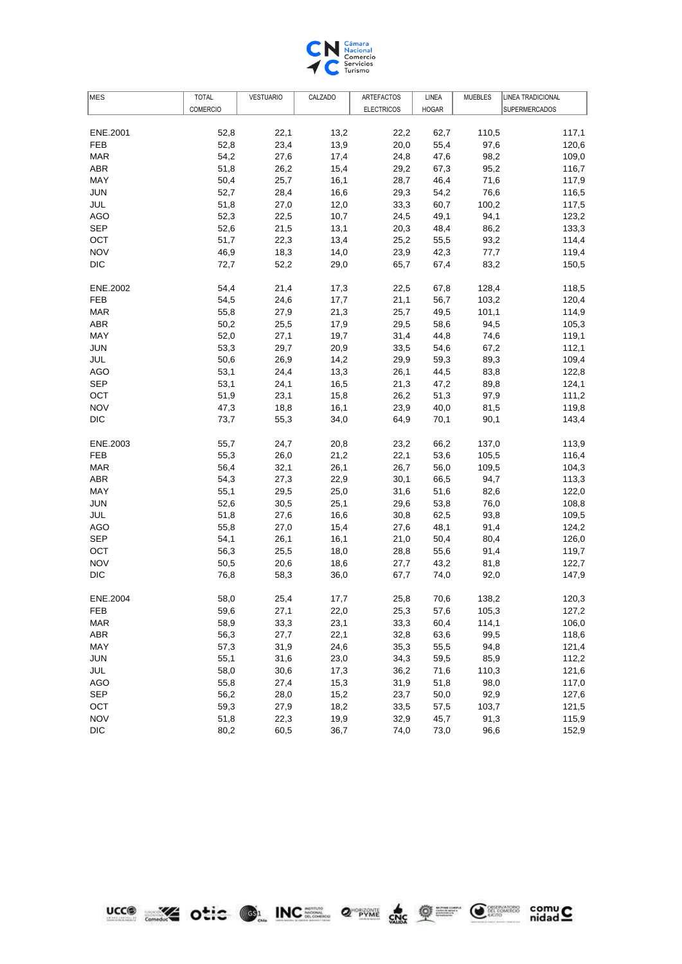

| <b>MES</b> | <b>TOTAL</b>    | <b>VESTUARIO</b> | CALZADO | ARTEFACTOS        | LINEA        | <b>MUEBLES</b> | LINEA TRADICIONAL    |
|------------|-----------------|------------------|---------|-------------------|--------------|----------------|----------------------|
|            | <b>COMERCIO</b> |                  |         | <b>ELECTRICOS</b> | <b>HOGAR</b> |                | <b>SUPERMERCADOS</b> |
|            |                 |                  |         |                   |              |                |                      |
| ENE.2001   | 52,8            | 22,1             | 13,2    | 22,2              | 62,7         | 110,5          | 117,1                |
| <b>FEB</b> | 52,8            | 23,4             | 13,9    | 20,0              | 55,4         | 97,6           | 120,6                |
| <b>MAR</b> | 54,2            | 27,6             | 17,4    | 24,8              | 47,6         | 98,2           | 109,0                |
| ABR        | 51,8            | 26,2             | 15,4    | 29,2              | 67,3         | 95,2           | 116,7                |
| MAY        | 50,4            | 25,7             | 16,1    | 28,7              | 46,4         | 71,6           | 117,9                |
| <b>JUN</b> | 52,7            | 28,4             | 16,6    | 29,3              | 54,2         | 76,6           | 116,5                |
| JUL        | 51,8            | 27,0             | 12,0    | 33,3              | 60,7         | 100,2          | 117,5                |
| <b>AGO</b> | 52,3            | 22,5             | 10,7    | 24,5              | 49,1         | 94,1           | 123,2                |
| <b>SEP</b> | 52,6            | 21,5             | 13,1    | 20,3              | 48,4         | 86,2           | 133,3                |
| OCT        | 51,7            | 22,3             | 13,4    | 25,2              | 55,5         | 93,2           | 114,4                |
| <b>NOV</b> | 46,9            | 18,3             | 14,0    | 23,9              | 42,3         | 77,7           | 119,4                |
| <b>DIC</b> | 72,7            | 52,2             | 29,0    | 65,7              | 67,4         | 83,2           | 150,5                |
| ENE.2002   | 54,4            | 21,4             | 17,3    | 22,5              | 67,8         | 128,4          | 118,5                |
| FEB        | 54,5            | 24,6             | 17,7    | 21,1              | 56,7         | 103,2          | 120,4                |
| <b>MAR</b> | 55,8            | 27,9             | 21,3    | 25,7              | 49,5         | 101,1          | 114,9                |
| <b>ABR</b> | 50,2            | 25,5             | 17,9    | 29,5              | 58,6         | 94,5           | 105,3                |
| MAY        | 52,0            | 27,1             | 19,7    | 31,4              | 44,8         | 74,6           | 119,1                |
| <b>JUN</b> | 53,3            | 29,7             | 20,9    | 33,5              | 54,6         | 67,2           | 112,1                |
| JUL        | 50,6            | 26,9             | 14,2    | 29,9              | 59,3         | 89,3           | 109,4                |
| <b>AGO</b> | 53,1            | 24,4             | 13,3    | 26,1              | 44,5         | 83,8           | 122,8                |
| <b>SEP</b> | 53,1            | 24,1             | 16,5    | 21,3              | 47,2         | 89,8           | 124,1                |
| OCT        | 51,9            | 23,1             | 15,8    | 26,2              | 51,3         | 97,9           | 111,2                |
| <b>NOV</b> | 47,3            | 18,8             | 16,1    | 23,9              | 40,0         | 81,5           | 119,8                |
| <b>DIC</b> | 73,7            | 55,3             | 34,0    | 64,9              | 70,1         | 90,1           | 143,4                |
| ENE.2003   | 55,7            | 24,7             | 20,8    | 23,2              | 66,2         | 137,0          | 113,9                |
| <b>FEB</b> | 55,3            | 26,0             | 21,2    | 22,1              | 53,6         | 105,5          | 116,4                |
| <b>MAR</b> | 56,4            | 32,1             | 26,1    | 26,7              | 56,0         | 109,5          | 104,3                |
| ABR        | 54,3            | 27,3             | 22,9    | 30,1              | 66,5         | 94,7           | 113,3                |
| MAY        | 55,1            | 29,5             | 25,0    | 31,6              | 51,6         | 82,6           | 122,0                |
| JUN        | 52,6            | 30,5             | 25,1    | 29,6              | 53,8         | 76,0           | 108,8                |
| JUL        | 51,8            | 27,6             | 16,6    | 30,8              | 62,5         | 93,8           | 109,5                |
| AGO        | 55,8            | 27,0             | 15,4    | 27,6              | 48,1         | 91,4           | 124,2                |
| <b>SEP</b> | 54,1            | 26,1             | 16,1    | 21,0              | 50,4         | 80,4           | 126,0                |
| OCT        | 56,3            | 25,5             | 18,0    | 28,8              | 55,6         | 91,4           | 119,7                |
| <b>NOV</b> | 50,5            | 20,6             | 18,6    | 27,7              | 43,2         | 81,8           | 122,7                |
| <b>DIC</b> | 76,8            | 58,3             | 36,0    | 67,7              | 74,0         | 92,0           | 147,9                |
| ENE.2004   | 58,0            | 25,4             | 17,7    | 25,8              | 70,6         | 138,2          | 120,3                |
| FEB        | 59,6            | 27,1             | 22,0    | 25,3              | 57,6         | 105,3          | 127,2                |
| <b>MAR</b> | 58,9            | 33,3             | 23,1    | 33,3              | 60,4         | 114,1          | 106,0                |
| <b>ABR</b> | 56,3            | 27,7             | 22,1    | 32,8              | 63,6         | 99,5           | 118,6                |
| MAY        | 57,3            | 31,9             | 24,6    | 35,3              | 55,5         | 94,8           | 121,4                |
| <b>JUN</b> | 55,1            | 31,6             | 23,0    | 34,3              | 59,5         | 85,9           | 112,2                |
| JUL        | 58,0            | 30,6             | 17,3    | 36,2              | 71,6         | 110,3          | 121,6                |
| <b>AGO</b> | 55,8            | 27,4             | 15,3    | 31,9              | 51,8         | 98,0           | 117,0                |
| <b>SEP</b> | 56,2            | 28,0             | 15,2    | 23,7              | 50,0         | 92,9           | 127,6                |
| OCT        | 59,3            | 27,9             | 18,2    | 33,5              | 57,5         | 103,7          | 121,5                |
| <b>NOV</b> | 51,8            | 22,3             | 19,9    | 32,9              | 45,7         | 91,3           | 115,9                |
| <b>DIC</b> | 80,2            | 60,5             | 36,7    | 74,0              | 73,0         | 96,6           | 152,9                |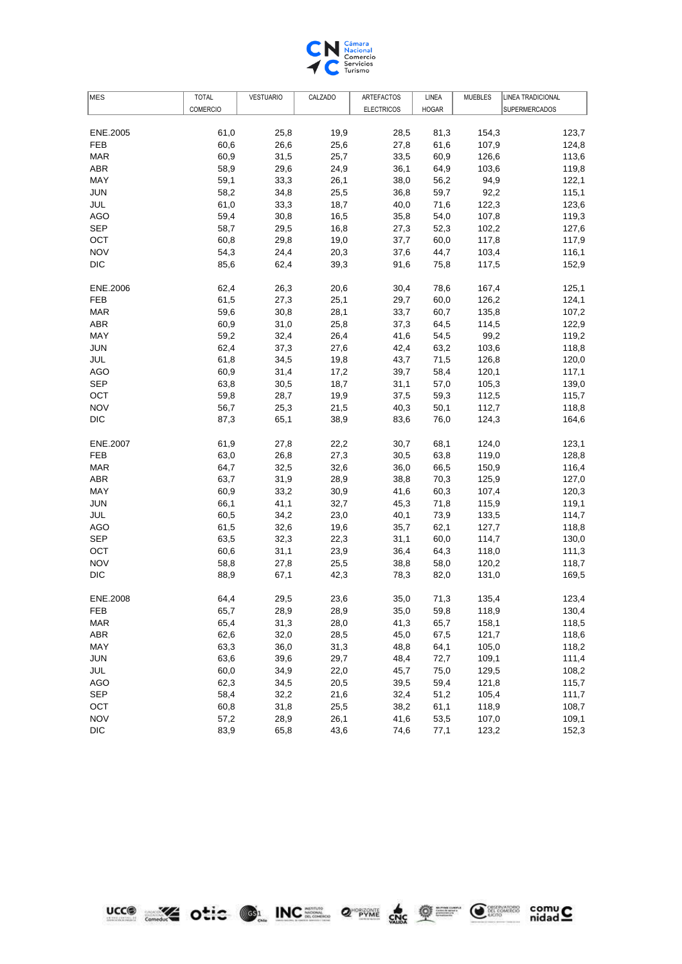

| <b>MES</b> | <b>TOTAL</b>    | <b>VESTUARIO</b> | CALZADO | ARTEFACTOS        | LINEA        | MUEBLES | LINEA TRADICIONAL |
|------------|-----------------|------------------|---------|-------------------|--------------|---------|-------------------|
|            | <b>COMERCIO</b> |                  |         | <b>ELECTRICOS</b> | <b>HOGAR</b> |         | SUPERMERCADOS     |
|            |                 |                  |         |                   |              |         |                   |
| ENE.2005   | 61,0            | 25,8             | 19,9    | 28,5              | 81,3         | 154,3   | 123,7             |
| <b>FEB</b> | 60,6            | 26,6             | 25,6    | 27,8              | 61,6         | 107,9   | 124,8             |
| <b>MAR</b> | 60,9            | 31,5             | 25,7    | 33,5              | 60,9         | 126,6   | 113,6             |
| <b>ABR</b> | 58,9            | 29,6             | 24,9    | 36,1              | 64,9         | 103,6   | 119,8             |
| MAY        | 59,1            | 33,3             | 26,1    | 38,0              | 56,2         | 94,9    | 122,1             |
| <b>JUN</b> | 58,2            | 34,8             | 25,5    | 36,8              | 59,7         | 92,2    | 115,1             |
| JUL        | 61,0            | 33,3             | 18,7    | 40,0              | 71,6         | 122,3   | 123,6             |
| <b>AGO</b> | 59,4            | 30,8             | 16,5    | 35,8              | 54,0         | 107,8   | 119,3             |
| <b>SEP</b> | 58,7            | 29,5             | 16,8    | 27,3              | 52,3         | 102,2   | 127,6             |
| OCT        | 60,8            | 29,8             | 19,0    | 37,7              | 60,0         | 117,8   | 117,9             |
| <b>NOV</b> | 54,3            | 24,4             | 20,3    | 37,6              | 44,7         | 103,4   | 116,1             |
| <b>DIC</b> | 85,6            | 62,4             | 39,3    | 91,6              | 75,8         | 117,5   | 152,9             |
| ENE.2006   | 62,4            | 26,3             | 20,6    | 30,4              | 78,6         | 167,4   | 125,1             |
| FEB        | 61,5            | 27,3             | 25,1    | 29,7              | 60,0         | 126,2   | 124,1             |
| <b>MAR</b> | 59,6            | 30,8             | 28,1    | 33,7              | 60,7         | 135,8   | 107,2             |
| <b>ABR</b> | 60,9            | 31,0             | 25,8    | 37,3              | 64,5         | 114,5   | 122,9             |
| MAY        | 59,2            | 32,4             | 26,4    | 41,6              | 54,5         | 99,2    | 119,2             |
| <b>JUN</b> | 62,4            | 37,3             | 27,6    | 42,4              | 63,2         | 103,6   | 118,8             |
| JUL        | 61,8            | 34,5             | 19,8    | 43,7              | 71,5         | 126,8   | 120,0             |
| <b>AGO</b> | 60,9            | 31,4             | 17,2    | 39,7              | 58,4         | 120,1   | 117,1             |
| <b>SEP</b> | 63,8            | 30,5             | 18,7    | 31,1              | 57,0         | 105,3   | 139,0             |
| OCT        | 59,8            | 28,7             | 19,9    | 37,5              | 59,3         | 112,5   | 115,7             |
| <b>NOV</b> | 56,7            | 25,3             | 21,5    | 40,3              | 50,1         | 112,7   | 118,8             |
| <b>DIC</b> | 87,3            | 65,1             | 38,9    | 83,6              | 76,0         | 124,3   | 164,6             |
| ENE.2007   | 61,9            | 27,8             | 22,2    | 30,7              | 68,1         | 124,0   | 123,1             |
| <b>FEB</b> | 63,0            | 26,8             | 27,3    | 30,5              | 63,8         | 119,0   | 128,8             |
| <b>MAR</b> | 64,7            | 32,5             | 32,6    | 36,0              | 66,5         | 150,9   | 116,4             |
| ABR        | 63,7            | 31,9             | 28,9    | 38,8              | 70,3         | 125,9   | 127,0             |
| MAY        | 60,9            | 33,2             | 30,9    | 41,6              | 60,3         | 107,4   | 120,3             |
| JUN        | 66,1            | 41,1             | 32,7    | 45,3              | 71,8         | 115,9   | 119,1             |
| JUL        | 60,5            | 34,2             | 23,0    | 40,1              | 73,9         | 133,5   | 114,7             |
| AGO        | 61,5            | 32,6             | 19,6    | 35,7              | 62,1         | 127,7   | 118,8             |
| <b>SEP</b> | 63,5            | 32,3             | 22,3    | 31,1              | 60,0         | 114,7   | 130,0             |
| OCT        | 60,6            | 31,1             | 23,9    | 36,4              | 64,3         | 118,0   | 111,3             |
| <b>NOV</b> | 58,8            | 27,8             | 25,5    | 38,8              | 58,0         | 120,2   | 118,7             |
| <b>DIC</b> | 88,9            | 67,1             | 42,3    | 78,3              | 82,0         | 131,0   | 169,5             |
| ENE.2008   | 64,4            | 29,5             | 23,6    | 35,0              | 71,3         | 135,4   | 123,4             |
| FEB        | 65,7            | 28,9             | 28,9    | 35,0              | 59,8         | 118,9   | 130,4             |
| <b>MAR</b> | 65,4            | 31,3             | 28,0    | 41,3              | 65,7         | 158,1   | 118,5             |
| <b>ABR</b> | 62,6            | 32,0             | 28,5    | 45,0              | 67,5         | 121,7   | 118,6             |
| MAY        | 63,3            | 36,0             | 31,3    | 48,8              | 64,1         | 105,0   | 118,2             |
| <b>JUN</b> | 63,6            | 39,6             | 29,7    | 48,4              | 72,7         | 109,1   | 111,4             |
| JUL        | 60,0            | 34,9             | 22,0    | 45,7              | 75,0         | 129,5   | 108,2             |
| <b>AGO</b> | 62,3            | 34,5             | 20,5    | 39,5              | 59,4         | 121,8   | 115,7             |
| <b>SEP</b> | 58,4            | 32,2             | 21,6    | 32,4              | 51,2         | 105,4   | 111,7             |
| OCT        | 60,8            | 31,8             | 25,5    | 38,2              | 61,1         | 118,9   | 108,7             |
| <b>NOV</b> | 57,2            | 28,9             | 26,1    | 41,6              | 53,5         | 107,0   | 109,1             |
| <b>DIC</b> | 83,9            | 65,8             | 43,6    | 74,6              | 77,1         | 123,2   | 152,3             |
|            |                 |                  |         |                   |              |         |                   |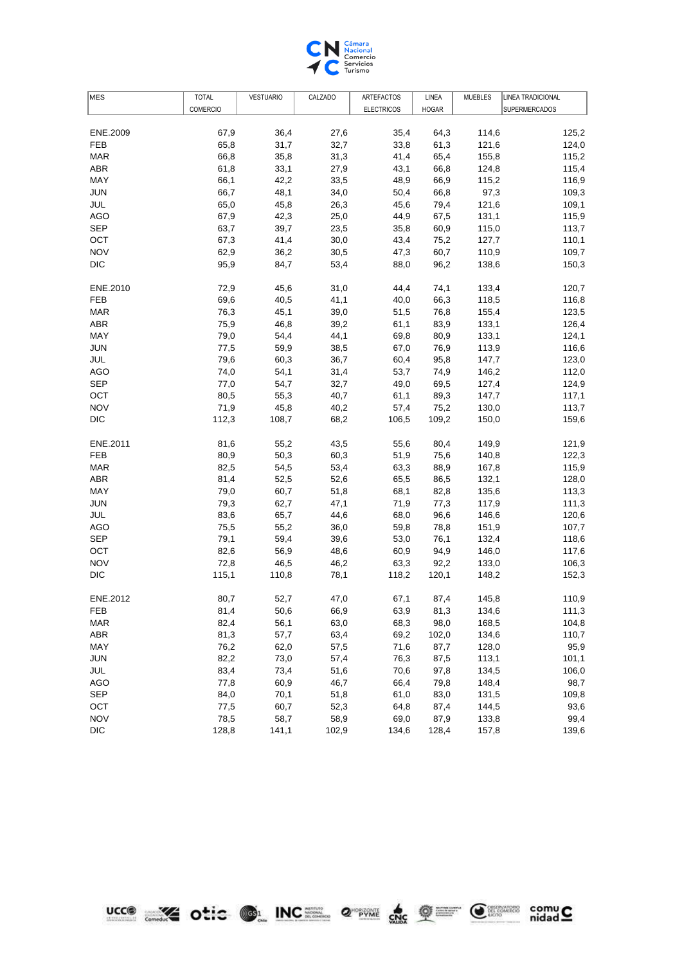

| MES        | <b>TOTAL</b>    | <b>VESTUARIO</b> | CALZADO | <b>ARTEFACTOS</b> | LINEA        | <b>MUEBLES</b> | LINEA TRADICIONAL |
|------------|-----------------|------------------|---------|-------------------|--------------|----------------|-------------------|
|            | <b>COMERCIO</b> |                  |         | <b>ELECTRICOS</b> | <b>HOGAR</b> |                | SUPERMERCADOS     |
|            |                 |                  |         |                   |              |                |                   |
| ENE.2009   | 67,9            | 36,4             | 27,6    | 35,4              | 64,3         | 114,6          | 125,2             |
| <b>FEB</b> | 65,8            | 31,7             | 32,7    | 33,8              | 61,3         | 121,6          | 124,0             |
| <b>MAR</b> | 66,8            | 35,8             | 31,3    | 41,4              | 65,4         | 155,8          | 115,2             |
| <b>ABR</b> | 61,8            | 33,1             | 27,9    | 43,1              | 66,8         | 124,8          | 115,4             |
| MAY        | 66,1            | 42,2             | 33,5    | 48,9              | 66,9         | 115,2          | 116,9             |
| <b>JUN</b> | 66,7            | 48,1             | 34,0    | 50,4              | 66,8         | 97,3           | 109,3             |
| JUL        | 65,0            | 45,8             | 26,3    | 45,6              | 79,4         | 121,6          | 109,1             |
| AGO        | 67,9            | 42,3             | 25,0    | 44,9              | 67,5         | 131,1          | 115,9             |
| <b>SEP</b> | 63,7            | 39,7             | 23,5    | 35,8              | 60,9         | 115,0          | 113,7             |
| OCT        | 67,3            | 41,4             | 30,0    | 43,4              | 75,2         | 127,7          | 110,1             |
| <b>NOV</b> | 62,9            | 36,2             | 30,5    | 47,3              | 60,7         | 110,9          | 109,7             |
| <b>DIC</b> | 95,9            | 84,7             | 53,4    | 88,0              | 96,2         | 138,6          | 150,3             |
|            |                 |                  |         |                   |              |                |                   |
| ENE.2010   | 72,9            | 45,6             | 31,0    | 44,4              | 74,1         | 133,4          | 120,7             |
| <b>FEB</b> | 69,6            | 40,5             | 41,1    | 40,0              | 66,3         | 118,5          | 116,8             |
| <b>MAR</b> | 76,3            | 45,1             | 39,0    | 51,5              | 76,8         | 155,4          | 123,5             |
| ABR        | 75,9            | 46,8             | 39,2    | 61,1              | 83,9         | 133,1          | 126,4             |
| MAY        | 79,0            | 54,4             | 44,1    | 69,8              | 80,9         | 133,1          | 124,1             |
| JUN        | 77,5            | 59,9             | 38,5    | 67,0              | 76,9         | 113,9          | 116,6             |
| JUL        | 79,6            | 60,3             | 36,7    | 60,4              | 95,8         | 147,7          | 123,0             |
| <b>AGO</b> | 74,0            | 54,1             | 31,4    | 53,7              | 74,9         | 146,2          | 112,0             |
| <b>SEP</b> | 77,0            | 54,7             | 32,7    | 49,0              | 69,5         | 127,4          | 124,9             |
| OCT        | 80,5            | 55,3             | 40,7    | 61,1              | 89,3         | 147,7          | 117,1             |
| <b>NOV</b> | 71,9            | 45,8             | 40,2    | 57,4              | 75,2         | 130,0          | 113,7             |
| <b>DIC</b> | 112,3           | 108,7            | 68,2    | 106,5             | 109,2        | 150,0          | 159,6             |
|            |                 |                  |         |                   |              |                |                   |
| ENE.2011   | 81,6            | 55,2             | 43,5    | 55,6              | 80,4         | 149,9          | 121,9             |
| <b>FEB</b> | 80,9            | 50,3             | 60,3    | 51,9              | 75,6         | 140,8          | 122,3             |
| <b>MAR</b> | 82,5            | 54,5             | 53,4    | 63,3              | 88,9         | 167,8          | 115,9             |
| <b>ABR</b> | 81,4            | 52,5             | 52,6    | 65,5              | 86,5         | 132,1          | 128,0             |
| MAY        | 79,0            | 60,7             | 51,8    | 68,1              | 82,8         | 135,6          | 113,3             |
| <b>JUN</b> | 79,3            | 62,7             | 47,1    | 71,9              | 77,3         | 117,9          | 111,3             |
| JUL        | 83,6            | 65,7             | 44,6    | 68,0              | 96,6         | 146,6          | 120,6             |
| <b>AGO</b> | 75,5            | 55,2             | 36,0    | 59,8              | 78,8         | 151,9          | 107,7             |
| <b>SEP</b> | 79,1            | 59,4             | 39,6    | 53,0              | 76,1         | 132,4          | 118,6             |
| OCT        | 82,6            | 56,9             | 48,6    | 60,9              | 94,9         | 146,0          | 117,6             |
| <b>NOV</b> | 72,8            | 46,5             | 46,2    | 63,3              | 92,2         | 133,0          | 106,3             |
| <b>DIC</b> | 115,1           | 110,8            | 78,1    | 118,2             | 120,1        | 148,2          | 152,3             |
|            |                 |                  |         |                   |              |                |                   |
| ENE.2012   | 80,7            | 52,7             | 47,0    | 67,1              | 87,4         | 145,8          | 110,9             |
| FEB        | 81,4            | 50,6             | 66,9    | 63,9              | 81,3         | 134,6          | 111,3             |
| <b>MAR</b> | 82,4            | 56,1             | 63,0    | 68,3              | 98,0         | 168,5          | 104,8             |
| <b>ABR</b> | 81,3            | 57,7             | 63,4    | 69,2              | 102,0        | 134,6          | 110,7             |
| MAY        | 76,2            | 62,0             | 57,5    | 71,6              | 87,7         | 128,0          | 95,9              |
| <b>JUN</b> | 82,2            | 73,0             | 57,4    | 76,3              | 87,5         | 113,1          | 101,1             |
| JUL        | 83,4            | 73,4             | 51,6    | 70,6              | 97,8         | 134,5          | 106,0             |
| <b>AGO</b> | 77,8            | 60,9             | 46,7    | 66,4              | 79,8         | 148,4          | 98,7              |
| <b>SEP</b> | 84,0            | 70,1             | 51,8    | 61,0              | 83,0         | 131,5          | 109,8             |
| OCT        | 77,5            | 60,7             | 52,3    | 64,8              | 87,4         | 144,5          | 93,6              |
| <b>NOV</b> | 78,5            | 58,7             | 58,9    | 69,0              | 87,9         | 133,8          | 99,4              |
| <b>DIC</b> | 128,8           | 141,1            | 102,9   | 134,6             | 128,4        | 157,8          | 139,6             |
|            |                 |                  |         |                   |              |                |                   |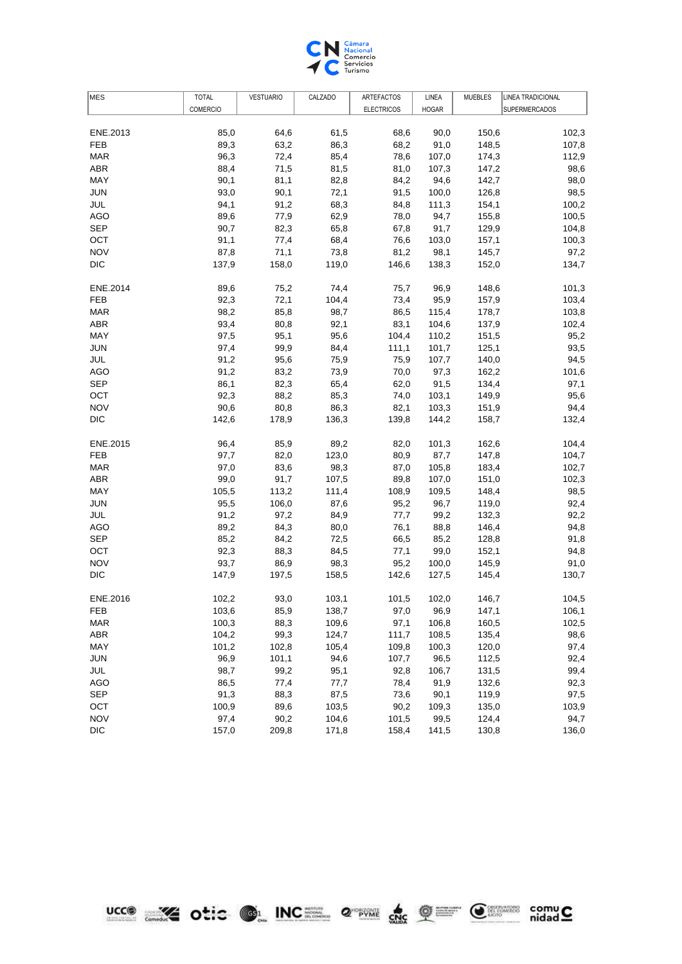

| <b>COMERCIO</b><br><b>ELECTRICOS</b><br><b>HOGAR</b><br>SUPERMERCADOS<br>85,0<br>61,5<br>150,6<br>ENE.2013<br>64,6<br>68,6<br>90,0<br>102,3<br><b>FEB</b><br>89,3<br>63,2<br>86,3<br>68,2<br>91,0<br>148,5<br>107,8<br>72,4<br><b>MAR</b><br>96,3<br>85,4<br>78,6<br>107,0<br>174,3<br>112,9<br>71,5<br>ABR<br>88,4<br>81,5<br>81,0<br>107,3<br>147,2<br>98,6<br>MAY<br>90,1<br>81,1<br>82,8<br>142,7<br>98,0<br>84,2<br>94,6<br><b>JUN</b><br>93,0<br>90,1<br>72,1<br>126,8<br>98,5<br>91,5<br>100,0<br>68,3<br>JUL<br>94,1<br>91,2<br>84,8<br>111,3<br>154,1<br>100,2<br>89,6<br>62,9<br>100,5<br>AGO<br>77,9<br>78,0<br>94,7<br>155,8<br><b>SEP</b><br>65,8<br>129,9<br>90,7<br>82,3<br>67,8<br>91,7<br>104,8<br>OCT<br>68,4<br>91,1<br>77,4<br>76,6<br>103,0<br>157,1<br>100,3<br><b>NOV</b><br>87,8<br>71,1<br>73,8<br>81,2<br>98,1<br>145,7<br>97,2<br><b>DIC</b><br>119,0<br>137,9<br>158,0<br>146,6<br>138,3<br>152,0<br>134,7<br>ENE.2014<br>89,6<br>75,2<br>74,4<br>75,7<br>96,9<br>148,6<br>101,3<br>72,1<br>103,4<br>FEB<br>92,3<br>104,4<br>73,4<br>95,9<br>157,9<br>98,2<br>85,8<br>98,7<br>178,7<br>103,8<br><b>MAR</b><br>86,5<br>115,4<br><b>ABR</b><br>92,1<br>83,1<br>102,4<br>93,4<br>80,8<br>104,6<br>137,9<br>MAY<br>95,6<br>97,5<br>95,1<br>104,4<br>110,2<br>151,5<br>95,2<br><b>JUN</b><br>97,4<br>99,9<br>84,4<br>111,1<br>101,7<br>125,1<br>93,5<br>JUL<br>95,6<br>75,9<br>140,0<br>91,2<br>75,9<br>107,7<br>94,5<br><b>AGO</b><br>91,2<br>83,2<br>73,9<br>162,2<br>70,0<br>97,3<br>101,6<br><b>SEP</b><br>86,1<br>82,3<br>65,4<br>62,0<br>134,4<br>97,1<br>91,5<br>92,3<br>85,3<br>95,6<br>ОСТ<br>88,2<br>103,1<br>149,9<br>74,0<br><b>NOV</b><br>90,6<br>86,3<br>82,1<br>80,8<br>103,3<br>151,9<br>94,4<br><b>DIC</b><br>142,6<br>136,3<br>132,4<br>178,9<br>139,8<br>144,2<br>158,7<br>ENE.2015<br>96,4<br>85,9<br>89,2<br>82,0<br>101,3<br>162,6<br>104,4<br><b>FEB</b><br>82,0<br>123,0<br>80,9<br>147,8<br>97,7<br>87,7<br>104,7<br><b>MAR</b><br>97,0<br>83,6<br>98,3<br>105,8<br>183,4<br>102,7<br>87,0<br>99,0<br>ABR<br>91,7<br>107,5<br>89,8<br>107,0<br>151,0<br>102,3<br>MAY<br>105,5<br>148,4<br>113,2<br>111,4<br>108,9<br>109,5<br>98,5<br>95,5<br>119,0<br>92,4<br>JUN<br>106,0<br>87,6<br>95,2<br>96,7<br>JUL<br>91,2<br>132,3<br>92,2<br>97,2<br>84,9<br>77,7<br>99,2<br>89,2<br>84,3<br>80,0<br>94,8<br>AGO<br>76,1<br>88,8<br>146,4<br><b>SEP</b><br>72,5<br>128,8<br>85,2<br>84,2<br>66,5<br>85,2<br>91,8<br>OCT<br>92,3<br>88,3<br>84,5<br>99,0<br>152,1<br>77,1<br>94,8<br><b>NOV</b><br>93,7<br>145,9<br>86,9<br>98,3<br>95,2<br>100,0<br>91,0<br><b>DIC</b><br>147,9<br>197,5<br>158,5<br>142,6<br>127,5<br>145,4<br>130,7<br>ENE.2016<br>102,2<br>93,0<br>103,1<br>102,0<br>146,7<br>104,5<br>101,5<br>85,9<br>103,6<br>138,7<br>97,0<br>96,9<br>147,1<br>106,1<br>FEB<br>100,3<br>97,1<br>160,5<br>102,5<br><b>MAR</b><br>88,3<br>109,6<br>106,8<br><b>ABR</b><br>104,2<br>99,3<br>124,7<br>111,7<br>135,4<br>98,6<br>108,5<br>MAY<br>101,2<br>102,8<br>105,4<br>109,8<br>100,3<br>120,0<br>97,4<br><b>JUN</b><br>96,9<br>101,1<br>94,6<br>107,7<br>96,5<br>112,5<br>92,4<br>JUL<br>95,1<br>106,7<br>131,5<br>98,7<br>99,2<br>92,8<br>99,4<br><b>AGO</b><br>86,5<br>77,4<br>77,7<br>78,4<br>91,9<br>132,6<br>92,3<br><b>SEP</b><br>91,3<br>88,3<br>87,5<br>73,6<br>90,1<br>119,9<br>97,5<br>OCT<br>100,9<br>89,6<br>103,5<br>90,2<br>109,3<br>135,0<br>103,9<br><b>NOV</b><br>97,4<br>101,5<br>124,4<br>94,7<br>90,2<br>104,6<br>99,5<br><b>DIC</b><br>157,0<br>209,8<br>171,8<br>158,4<br>141,5<br>130,8<br>136,0 | <b>MES</b> | <b>TOTAL</b> | <b>VESTUARIO</b> | CALZADO | ARTEFACTOS | LINEA | <b>MUEBLES</b> | <b>LINEA TRADICIONAL</b> |
|---------------------------------------------------------------------------------------------------------------------------------------------------------------------------------------------------------------------------------------------------------------------------------------------------------------------------------------------------------------------------------------------------------------------------------------------------------------------------------------------------------------------------------------------------------------------------------------------------------------------------------------------------------------------------------------------------------------------------------------------------------------------------------------------------------------------------------------------------------------------------------------------------------------------------------------------------------------------------------------------------------------------------------------------------------------------------------------------------------------------------------------------------------------------------------------------------------------------------------------------------------------------------------------------------------------------------------------------------------------------------------------------------------------------------------------------------------------------------------------------------------------------------------------------------------------------------------------------------------------------------------------------------------------------------------------------------------------------------------------------------------------------------------------------------------------------------------------------------------------------------------------------------------------------------------------------------------------------------------------------------------------------------------------------------------------------------------------------------------------------------------------------------------------------------------------------------------------------------------------------------------------------------------------------------------------------------------------------------------------------------------------------------------------------------------------------------------------------------------------------------------------------------------------------------------------------------------------------------------------------------------------------------------------------------------------------------------------------------------------------------------------------------------------------------------------------------------------------------------------------------------------------------------------------------------------------------------------------------------------------------------------------------------------------------------------------------------------------------------------------------------------------------------------------------------------------------------------------------------------------------------------------------------------------------------------------------------------------------------------------------------------------------------------------------------------------------------------------------------------------------------------------------------------------------------------------------|------------|--------------|------------------|---------|------------|-------|----------------|--------------------------|
|                                                                                                                                                                                                                                                                                                                                                                                                                                                                                                                                                                                                                                                                                                                                                                                                                                                                                                                                                                                                                                                                                                                                                                                                                                                                                                                                                                                                                                                                                                                                                                                                                                                                                                                                                                                                                                                                                                                                                                                                                                                                                                                                                                                                                                                                                                                                                                                                                                                                                                                                                                                                                                                                                                                                                                                                                                                                                                                                                                                                                                                                                                                                                                                                                                                                                                                                                                                                                                                                                                                                                                           |            |              |                  |         |            |       |                |                          |
|                                                                                                                                                                                                                                                                                                                                                                                                                                                                                                                                                                                                                                                                                                                                                                                                                                                                                                                                                                                                                                                                                                                                                                                                                                                                                                                                                                                                                                                                                                                                                                                                                                                                                                                                                                                                                                                                                                                                                                                                                                                                                                                                                                                                                                                                                                                                                                                                                                                                                                                                                                                                                                                                                                                                                                                                                                                                                                                                                                                                                                                                                                                                                                                                                                                                                                                                                                                                                                                                                                                                                                           |            |              |                  |         |            |       |                |                          |
|                                                                                                                                                                                                                                                                                                                                                                                                                                                                                                                                                                                                                                                                                                                                                                                                                                                                                                                                                                                                                                                                                                                                                                                                                                                                                                                                                                                                                                                                                                                                                                                                                                                                                                                                                                                                                                                                                                                                                                                                                                                                                                                                                                                                                                                                                                                                                                                                                                                                                                                                                                                                                                                                                                                                                                                                                                                                                                                                                                                                                                                                                                                                                                                                                                                                                                                                                                                                                                                                                                                                                                           |            |              |                  |         |            |       |                |                          |
|                                                                                                                                                                                                                                                                                                                                                                                                                                                                                                                                                                                                                                                                                                                                                                                                                                                                                                                                                                                                                                                                                                                                                                                                                                                                                                                                                                                                                                                                                                                                                                                                                                                                                                                                                                                                                                                                                                                                                                                                                                                                                                                                                                                                                                                                                                                                                                                                                                                                                                                                                                                                                                                                                                                                                                                                                                                                                                                                                                                                                                                                                                                                                                                                                                                                                                                                                                                                                                                                                                                                                                           |            |              |                  |         |            |       |                |                          |
|                                                                                                                                                                                                                                                                                                                                                                                                                                                                                                                                                                                                                                                                                                                                                                                                                                                                                                                                                                                                                                                                                                                                                                                                                                                                                                                                                                                                                                                                                                                                                                                                                                                                                                                                                                                                                                                                                                                                                                                                                                                                                                                                                                                                                                                                                                                                                                                                                                                                                                                                                                                                                                                                                                                                                                                                                                                                                                                                                                                                                                                                                                                                                                                                                                                                                                                                                                                                                                                                                                                                                                           |            |              |                  |         |            |       |                |                          |
|                                                                                                                                                                                                                                                                                                                                                                                                                                                                                                                                                                                                                                                                                                                                                                                                                                                                                                                                                                                                                                                                                                                                                                                                                                                                                                                                                                                                                                                                                                                                                                                                                                                                                                                                                                                                                                                                                                                                                                                                                                                                                                                                                                                                                                                                                                                                                                                                                                                                                                                                                                                                                                                                                                                                                                                                                                                                                                                                                                                                                                                                                                                                                                                                                                                                                                                                                                                                                                                                                                                                                                           |            |              |                  |         |            |       |                |                          |
|                                                                                                                                                                                                                                                                                                                                                                                                                                                                                                                                                                                                                                                                                                                                                                                                                                                                                                                                                                                                                                                                                                                                                                                                                                                                                                                                                                                                                                                                                                                                                                                                                                                                                                                                                                                                                                                                                                                                                                                                                                                                                                                                                                                                                                                                                                                                                                                                                                                                                                                                                                                                                                                                                                                                                                                                                                                                                                                                                                                                                                                                                                                                                                                                                                                                                                                                                                                                                                                                                                                                                                           |            |              |                  |         |            |       |                |                          |
|                                                                                                                                                                                                                                                                                                                                                                                                                                                                                                                                                                                                                                                                                                                                                                                                                                                                                                                                                                                                                                                                                                                                                                                                                                                                                                                                                                                                                                                                                                                                                                                                                                                                                                                                                                                                                                                                                                                                                                                                                                                                                                                                                                                                                                                                                                                                                                                                                                                                                                                                                                                                                                                                                                                                                                                                                                                                                                                                                                                                                                                                                                                                                                                                                                                                                                                                                                                                                                                                                                                                                                           |            |              |                  |         |            |       |                |                          |
|                                                                                                                                                                                                                                                                                                                                                                                                                                                                                                                                                                                                                                                                                                                                                                                                                                                                                                                                                                                                                                                                                                                                                                                                                                                                                                                                                                                                                                                                                                                                                                                                                                                                                                                                                                                                                                                                                                                                                                                                                                                                                                                                                                                                                                                                                                                                                                                                                                                                                                                                                                                                                                                                                                                                                                                                                                                                                                                                                                                                                                                                                                                                                                                                                                                                                                                                                                                                                                                                                                                                                                           |            |              |                  |         |            |       |                |                          |
|                                                                                                                                                                                                                                                                                                                                                                                                                                                                                                                                                                                                                                                                                                                                                                                                                                                                                                                                                                                                                                                                                                                                                                                                                                                                                                                                                                                                                                                                                                                                                                                                                                                                                                                                                                                                                                                                                                                                                                                                                                                                                                                                                                                                                                                                                                                                                                                                                                                                                                                                                                                                                                                                                                                                                                                                                                                                                                                                                                                                                                                                                                                                                                                                                                                                                                                                                                                                                                                                                                                                                                           |            |              |                  |         |            |       |                |                          |
|                                                                                                                                                                                                                                                                                                                                                                                                                                                                                                                                                                                                                                                                                                                                                                                                                                                                                                                                                                                                                                                                                                                                                                                                                                                                                                                                                                                                                                                                                                                                                                                                                                                                                                                                                                                                                                                                                                                                                                                                                                                                                                                                                                                                                                                                                                                                                                                                                                                                                                                                                                                                                                                                                                                                                                                                                                                                                                                                                                                                                                                                                                                                                                                                                                                                                                                                                                                                                                                                                                                                                                           |            |              |                  |         |            |       |                |                          |
|                                                                                                                                                                                                                                                                                                                                                                                                                                                                                                                                                                                                                                                                                                                                                                                                                                                                                                                                                                                                                                                                                                                                                                                                                                                                                                                                                                                                                                                                                                                                                                                                                                                                                                                                                                                                                                                                                                                                                                                                                                                                                                                                                                                                                                                                                                                                                                                                                                                                                                                                                                                                                                                                                                                                                                                                                                                                                                                                                                                                                                                                                                                                                                                                                                                                                                                                                                                                                                                                                                                                                                           |            |              |                  |         |            |       |                |                          |
|                                                                                                                                                                                                                                                                                                                                                                                                                                                                                                                                                                                                                                                                                                                                                                                                                                                                                                                                                                                                                                                                                                                                                                                                                                                                                                                                                                                                                                                                                                                                                                                                                                                                                                                                                                                                                                                                                                                                                                                                                                                                                                                                                                                                                                                                                                                                                                                                                                                                                                                                                                                                                                                                                                                                                                                                                                                                                                                                                                                                                                                                                                                                                                                                                                                                                                                                                                                                                                                                                                                                                                           |            |              |                  |         |            |       |                |                          |
|                                                                                                                                                                                                                                                                                                                                                                                                                                                                                                                                                                                                                                                                                                                                                                                                                                                                                                                                                                                                                                                                                                                                                                                                                                                                                                                                                                                                                                                                                                                                                                                                                                                                                                                                                                                                                                                                                                                                                                                                                                                                                                                                                                                                                                                                                                                                                                                                                                                                                                                                                                                                                                                                                                                                                                                                                                                                                                                                                                                                                                                                                                                                                                                                                                                                                                                                                                                                                                                                                                                                                                           |            |              |                  |         |            |       |                |                          |
|                                                                                                                                                                                                                                                                                                                                                                                                                                                                                                                                                                                                                                                                                                                                                                                                                                                                                                                                                                                                                                                                                                                                                                                                                                                                                                                                                                                                                                                                                                                                                                                                                                                                                                                                                                                                                                                                                                                                                                                                                                                                                                                                                                                                                                                                                                                                                                                                                                                                                                                                                                                                                                                                                                                                                                                                                                                                                                                                                                                                                                                                                                                                                                                                                                                                                                                                                                                                                                                                                                                                                                           |            |              |                  |         |            |       |                |                          |
|                                                                                                                                                                                                                                                                                                                                                                                                                                                                                                                                                                                                                                                                                                                                                                                                                                                                                                                                                                                                                                                                                                                                                                                                                                                                                                                                                                                                                                                                                                                                                                                                                                                                                                                                                                                                                                                                                                                                                                                                                                                                                                                                                                                                                                                                                                                                                                                                                                                                                                                                                                                                                                                                                                                                                                                                                                                                                                                                                                                                                                                                                                                                                                                                                                                                                                                                                                                                                                                                                                                                                                           |            |              |                  |         |            |       |                |                          |
|                                                                                                                                                                                                                                                                                                                                                                                                                                                                                                                                                                                                                                                                                                                                                                                                                                                                                                                                                                                                                                                                                                                                                                                                                                                                                                                                                                                                                                                                                                                                                                                                                                                                                                                                                                                                                                                                                                                                                                                                                                                                                                                                                                                                                                                                                                                                                                                                                                                                                                                                                                                                                                                                                                                                                                                                                                                                                                                                                                                                                                                                                                                                                                                                                                                                                                                                                                                                                                                                                                                                                                           |            |              |                  |         |            |       |                |                          |
|                                                                                                                                                                                                                                                                                                                                                                                                                                                                                                                                                                                                                                                                                                                                                                                                                                                                                                                                                                                                                                                                                                                                                                                                                                                                                                                                                                                                                                                                                                                                                                                                                                                                                                                                                                                                                                                                                                                                                                                                                                                                                                                                                                                                                                                                                                                                                                                                                                                                                                                                                                                                                                                                                                                                                                                                                                                                                                                                                                                                                                                                                                                                                                                                                                                                                                                                                                                                                                                                                                                                                                           |            |              |                  |         |            |       |                |                          |
|                                                                                                                                                                                                                                                                                                                                                                                                                                                                                                                                                                                                                                                                                                                                                                                                                                                                                                                                                                                                                                                                                                                                                                                                                                                                                                                                                                                                                                                                                                                                                                                                                                                                                                                                                                                                                                                                                                                                                                                                                                                                                                                                                                                                                                                                                                                                                                                                                                                                                                                                                                                                                                                                                                                                                                                                                                                                                                                                                                                                                                                                                                                                                                                                                                                                                                                                                                                                                                                                                                                                                                           |            |              |                  |         |            |       |                |                          |
|                                                                                                                                                                                                                                                                                                                                                                                                                                                                                                                                                                                                                                                                                                                                                                                                                                                                                                                                                                                                                                                                                                                                                                                                                                                                                                                                                                                                                                                                                                                                                                                                                                                                                                                                                                                                                                                                                                                                                                                                                                                                                                                                                                                                                                                                                                                                                                                                                                                                                                                                                                                                                                                                                                                                                                                                                                                                                                                                                                                                                                                                                                                                                                                                                                                                                                                                                                                                                                                                                                                                                                           |            |              |                  |         |            |       |                |                          |
|                                                                                                                                                                                                                                                                                                                                                                                                                                                                                                                                                                                                                                                                                                                                                                                                                                                                                                                                                                                                                                                                                                                                                                                                                                                                                                                                                                                                                                                                                                                                                                                                                                                                                                                                                                                                                                                                                                                                                                                                                                                                                                                                                                                                                                                                                                                                                                                                                                                                                                                                                                                                                                                                                                                                                                                                                                                                                                                                                                                                                                                                                                                                                                                                                                                                                                                                                                                                                                                                                                                                                                           |            |              |                  |         |            |       |                |                          |
|                                                                                                                                                                                                                                                                                                                                                                                                                                                                                                                                                                                                                                                                                                                                                                                                                                                                                                                                                                                                                                                                                                                                                                                                                                                                                                                                                                                                                                                                                                                                                                                                                                                                                                                                                                                                                                                                                                                                                                                                                                                                                                                                                                                                                                                                                                                                                                                                                                                                                                                                                                                                                                                                                                                                                                                                                                                                                                                                                                                                                                                                                                                                                                                                                                                                                                                                                                                                                                                                                                                                                                           |            |              |                  |         |            |       |                |                          |
|                                                                                                                                                                                                                                                                                                                                                                                                                                                                                                                                                                                                                                                                                                                                                                                                                                                                                                                                                                                                                                                                                                                                                                                                                                                                                                                                                                                                                                                                                                                                                                                                                                                                                                                                                                                                                                                                                                                                                                                                                                                                                                                                                                                                                                                                                                                                                                                                                                                                                                                                                                                                                                                                                                                                                                                                                                                                                                                                                                                                                                                                                                                                                                                                                                                                                                                                                                                                                                                                                                                                                                           |            |              |                  |         |            |       |                |                          |
|                                                                                                                                                                                                                                                                                                                                                                                                                                                                                                                                                                                                                                                                                                                                                                                                                                                                                                                                                                                                                                                                                                                                                                                                                                                                                                                                                                                                                                                                                                                                                                                                                                                                                                                                                                                                                                                                                                                                                                                                                                                                                                                                                                                                                                                                                                                                                                                                                                                                                                                                                                                                                                                                                                                                                                                                                                                                                                                                                                                                                                                                                                                                                                                                                                                                                                                                                                                                                                                                                                                                                                           |            |              |                  |         |            |       |                |                          |
|                                                                                                                                                                                                                                                                                                                                                                                                                                                                                                                                                                                                                                                                                                                                                                                                                                                                                                                                                                                                                                                                                                                                                                                                                                                                                                                                                                                                                                                                                                                                                                                                                                                                                                                                                                                                                                                                                                                                                                                                                                                                                                                                                                                                                                                                                                                                                                                                                                                                                                                                                                                                                                                                                                                                                                                                                                                                                                                                                                                                                                                                                                                                                                                                                                                                                                                                                                                                                                                                                                                                                                           |            |              |                  |         |            |       |                |                          |
|                                                                                                                                                                                                                                                                                                                                                                                                                                                                                                                                                                                                                                                                                                                                                                                                                                                                                                                                                                                                                                                                                                                                                                                                                                                                                                                                                                                                                                                                                                                                                                                                                                                                                                                                                                                                                                                                                                                                                                                                                                                                                                                                                                                                                                                                                                                                                                                                                                                                                                                                                                                                                                                                                                                                                                                                                                                                                                                                                                                                                                                                                                                                                                                                                                                                                                                                                                                                                                                                                                                                                                           |            |              |                  |         |            |       |                |                          |
|                                                                                                                                                                                                                                                                                                                                                                                                                                                                                                                                                                                                                                                                                                                                                                                                                                                                                                                                                                                                                                                                                                                                                                                                                                                                                                                                                                                                                                                                                                                                                                                                                                                                                                                                                                                                                                                                                                                                                                                                                                                                                                                                                                                                                                                                                                                                                                                                                                                                                                                                                                                                                                                                                                                                                                                                                                                                                                                                                                                                                                                                                                                                                                                                                                                                                                                                                                                                                                                                                                                                                                           |            |              |                  |         |            |       |                |                          |
|                                                                                                                                                                                                                                                                                                                                                                                                                                                                                                                                                                                                                                                                                                                                                                                                                                                                                                                                                                                                                                                                                                                                                                                                                                                                                                                                                                                                                                                                                                                                                                                                                                                                                                                                                                                                                                                                                                                                                                                                                                                                                                                                                                                                                                                                                                                                                                                                                                                                                                                                                                                                                                                                                                                                                                                                                                                                                                                                                                                                                                                                                                                                                                                                                                                                                                                                                                                                                                                                                                                                                                           |            |              |                  |         |            |       |                |                          |
|                                                                                                                                                                                                                                                                                                                                                                                                                                                                                                                                                                                                                                                                                                                                                                                                                                                                                                                                                                                                                                                                                                                                                                                                                                                                                                                                                                                                                                                                                                                                                                                                                                                                                                                                                                                                                                                                                                                                                                                                                                                                                                                                                                                                                                                                                                                                                                                                                                                                                                                                                                                                                                                                                                                                                                                                                                                                                                                                                                                                                                                                                                                                                                                                                                                                                                                                                                                                                                                                                                                                                                           |            |              |                  |         |            |       |                |                          |
|                                                                                                                                                                                                                                                                                                                                                                                                                                                                                                                                                                                                                                                                                                                                                                                                                                                                                                                                                                                                                                                                                                                                                                                                                                                                                                                                                                                                                                                                                                                                                                                                                                                                                                                                                                                                                                                                                                                                                                                                                                                                                                                                                                                                                                                                                                                                                                                                                                                                                                                                                                                                                                                                                                                                                                                                                                                                                                                                                                                                                                                                                                                                                                                                                                                                                                                                                                                                                                                                                                                                                                           |            |              |                  |         |            |       |                |                          |
|                                                                                                                                                                                                                                                                                                                                                                                                                                                                                                                                                                                                                                                                                                                                                                                                                                                                                                                                                                                                                                                                                                                                                                                                                                                                                                                                                                                                                                                                                                                                                                                                                                                                                                                                                                                                                                                                                                                                                                                                                                                                                                                                                                                                                                                                                                                                                                                                                                                                                                                                                                                                                                                                                                                                                                                                                                                                                                                                                                                                                                                                                                                                                                                                                                                                                                                                                                                                                                                                                                                                                                           |            |              |                  |         |            |       |                |                          |
|                                                                                                                                                                                                                                                                                                                                                                                                                                                                                                                                                                                                                                                                                                                                                                                                                                                                                                                                                                                                                                                                                                                                                                                                                                                                                                                                                                                                                                                                                                                                                                                                                                                                                                                                                                                                                                                                                                                                                                                                                                                                                                                                                                                                                                                                                                                                                                                                                                                                                                                                                                                                                                                                                                                                                                                                                                                                                                                                                                                                                                                                                                                                                                                                                                                                                                                                                                                                                                                                                                                                                                           |            |              |                  |         |            |       |                |                          |
|                                                                                                                                                                                                                                                                                                                                                                                                                                                                                                                                                                                                                                                                                                                                                                                                                                                                                                                                                                                                                                                                                                                                                                                                                                                                                                                                                                                                                                                                                                                                                                                                                                                                                                                                                                                                                                                                                                                                                                                                                                                                                                                                                                                                                                                                                                                                                                                                                                                                                                                                                                                                                                                                                                                                                                                                                                                                                                                                                                                                                                                                                                                                                                                                                                                                                                                                                                                                                                                                                                                                                                           |            |              |                  |         |            |       |                |                          |
|                                                                                                                                                                                                                                                                                                                                                                                                                                                                                                                                                                                                                                                                                                                                                                                                                                                                                                                                                                                                                                                                                                                                                                                                                                                                                                                                                                                                                                                                                                                                                                                                                                                                                                                                                                                                                                                                                                                                                                                                                                                                                                                                                                                                                                                                                                                                                                                                                                                                                                                                                                                                                                                                                                                                                                                                                                                                                                                                                                                                                                                                                                                                                                                                                                                                                                                                                                                                                                                                                                                                                                           |            |              |                  |         |            |       |                |                          |
|                                                                                                                                                                                                                                                                                                                                                                                                                                                                                                                                                                                                                                                                                                                                                                                                                                                                                                                                                                                                                                                                                                                                                                                                                                                                                                                                                                                                                                                                                                                                                                                                                                                                                                                                                                                                                                                                                                                                                                                                                                                                                                                                                                                                                                                                                                                                                                                                                                                                                                                                                                                                                                                                                                                                                                                                                                                                                                                                                                                                                                                                                                                                                                                                                                                                                                                                                                                                                                                                                                                                                                           |            |              |                  |         |            |       |                |                          |
|                                                                                                                                                                                                                                                                                                                                                                                                                                                                                                                                                                                                                                                                                                                                                                                                                                                                                                                                                                                                                                                                                                                                                                                                                                                                                                                                                                                                                                                                                                                                                                                                                                                                                                                                                                                                                                                                                                                                                                                                                                                                                                                                                                                                                                                                                                                                                                                                                                                                                                                                                                                                                                                                                                                                                                                                                                                                                                                                                                                                                                                                                                                                                                                                                                                                                                                                                                                                                                                                                                                                                                           |            |              |                  |         |            |       |                |                          |
|                                                                                                                                                                                                                                                                                                                                                                                                                                                                                                                                                                                                                                                                                                                                                                                                                                                                                                                                                                                                                                                                                                                                                                                                                                                                                                                                                                                                                                                                                                                                                                                                                                                                                                                                                                                                                                                                                                                                                                                                                                                                                                                                                                                                                                                                                                                                                                                                                                                                                                                                                                                                                                                                                                                                                                                                                                                                                                                                                                                                                                                                                                                                                                                                                                                                                                                                                                                                                                                                                                                                                                           |            |              |                  |         |            |       |                |                          |
|                                                                                                                                                                                                                                                                                                                                                                                                                                                                                                                                                                                                                                                                                                                                                                                                                                                                                                                                                                                                                                                                                                                                                                                                                                                                                                                                                                                                                                                                                                                                                                                                                                                                                                                                                                                                                                                                                                                                                                                                                                                                                                                                                                                                                                                                                                                                                                                                                                                                                                                                                                                                                                                                                                                                                                                                                                                                                                                                                                                                                                                                                                                                                                                                                                                                                                                                                                                                                                                                                                                                                                           |            |              |                  |         |            |       |                |                          |
|                                                                                                                                                                                                                                                                                                                                                                                                                                                                                                                                                                                                                                                                                                                                                                                                                                                                                                                                                                                                                                                                                                                                                                                                                                                                                                                                                                                                                                                                                                                                                                                                                                                                                                                                                                                                                                                                                                                                                                                                                                                                                                                                                                                                                                                                                                                                                                                                                                                                                                                                                                                                                                                                                                                                                                                                                                                                                                                                                                                                                                                                                                                                                                                                                                                                                                                                                                                                                                                                                                                                                                           |            |              |                  |         |            |       |                |                          |
|                                                                                                                                                                                                                                                                                                                                                                                                                                                                                                                                                                                                                                                                                                                                                                                                                                                                                                                                                                                                                                                                                                                                                                                                                                                                                                                                                                                                                                                                                                                                                                                                                                                                                                                                                                                                                                                                                                                                                                                                                                                                                                                                                                                                                                                                                                                                                                                                                                                                                                                                                                                                                                                                                                                                                                                                                                                                                                                                                                                                                                                                                                                                                                                                                                                                                                                                                                                                                                                                                                                                                                           |            |              |                  |         |            |       |                |                          |
|                                                                                                                                                                                                                                                                                                                                                                                                                                                                                                                                                                                                                                                                                                                                                                                                                                                                                                                                                                                                                                                                                                                                                                                                                                                                                                                                                                                                                                                                                                                                                                                                                                                                                                                                                                                                                                                                                                                                                                                                                                                                                                                                                                                                                                                                                                                                                                                                                                                                                                                                                                                                                                                                                                                                                                                                                                                                                                                                                                                                                                                                                                                                                                                                                                                                                                                                                                                                                                                                                                                                                                           |            |              |                  |         |            |       |                |                          |
|                                                                                                                                                                                                                                                                                                                                                                                                                                                                                                                                                                                                                                                                                                                                                                                                                                                                                                                                                                                                                                                                                                                                                                                                                                                                                                                                                                                                                                                                                                                                                                                                                                                                                                                                                                                                                                                                                                                                                                                                                                                                                                                                                                                                                                                                                                                                                                                                                                                                                                                                                                                                                                                                                                                                                                                                                                                                                                                                                                                                                                                                                                                                                                                                                                                                                                                                                                                                                                                                                                                                                                           |            |              |                  |         |            |       |                |                          |
|                                                                                                                                                                                                                                                                                                                                                                                                                                                                                                                                                                                                                                                                                                                                                                                                                                                                                                                                                                                                                                                                                                                                                                                                                                                                                                                                                                                                                                                                                                                                                                                                                                                                                                                                                                                                                                                                                                                                                                                                                                                                                                                                                                                                                                                                                                                                                                                                                                                                                                                                                                                                                                                                                                                                                                                                                                                                                                                                                                                                                                                                                                                                                                                                                                                                                                                                                                                                                                                                                                                                                                           |            |              |                  |         |            |       |                |                          |
|                                                                                                                                                                                                                                                                                                                                                                                                                                                                                                                                                                                                                                                                                                                                                                                                                                                                                                                                                                                                                                                                                                                                                                                                                                                                                                                                                                                                                                                                                                                                                                                                                                                                                                                                                                                                                                                                                                                                                                                                                                                                                                                                                                                                                                                                                                                                                                                                                                                                                                                                                                                                                                                                                                                                                                                                                                                                                                                                                                                                                                                                                                                                                                                                                                                                                                                                                                                                                                                                                                                                                                           |            |              |                  |         |            |       |                |                          |
|                                                                                                                                                                                                                                                                                                                                                                                                                                                                                                                                                                                                                                                                                                                                                                                                                                                                                                                                                                                                                                                                                                                                                                                                                                                                                                                                                                                                                                                                                                                                                                                                                                                                                                                                                                                                                                                                                                                                                                                                                                                                                                                                                                                                                                                                                                                                                                                                                                                                                                                                                                                                                                                                                                                                                                                                                                                                                                                                                                                                                                                                                                                                                                                                                                                                                                                                                                                                                                                                                                                                                                           |            |              |                  |         |            |       |                |                          |
|                                                                                                                                                                                                                                                                                                                                                                                                                                                                                                                                                                                                                                                                                                                                                                                                                                                                                                                                                                                                                                                                                                                                                                                                                                                                                                                                                                                                                                                                                                                                                                                                                                                                                                                                                                                                                                                                                                                                                                                                                                                                                                                                                                                                                                                                                                                                                                                                                                                                                                                                                                                                                                                                                                                                                                                                                                                                                                                                                                                                                                                                                                                                                                                                                                                                                                                                                                                                                                                                                                                                                                           |            |              |                  |         |            |       |                |                          |
|                                                                                                                                                                                                                                                                                                                                                                                                                                                                                                                                                                                                                                                                                                                                                                                                                                                                                                                                                                                                                                                                                                                                                                                                                                                                                                                                                                                                                                                                                                                                                                                                                                                                                                                                                                                                                                                                                                                                                                                                                                                                                                                                                                                                                                                                                                                                                                                                                                                                                                                                                                                                                                                                                                                                                                                                                                                                                                                                                                                                                                                                                                                                                                                                                                                                                                                                                                                                                                                                                                                                                                           |            |              |                  |         |            |       |                |                          |
|                                                                                                                                                                                                                                                                                                                                                                                                                                                                                                                                                                                                                                                                                                                                                                                                                                                                                                                                                                                                                                                                                                                                                                                                                                                                                                                                                                                                                                                                                                                                                                                                                                                                                                                                                                                                                                                                                                                                                                                                                                                                                                                                                                                                                                                                                                                                                                                                                                                                                                                                                                                                                                                                                                                                                                                                                                                                                                                                                                                                                                                                                                                                                                                                                                                                                                                                                                                                                                                                                                                                                                           |            |              |                  |         |            |       |                |                          |
|                                                                                                                                                                                                                                                                                                                                                                                                                                                                                                                                                                                                                                                                                                                                                                                                                                                                                                                                                                                                                                                                                                                                                                                                                                                                                                                                                                                                                                                                                                                                                                                                                                                                                                                                                                                                                                                                                                                                                                                                                                                                                                                                                                                                                                                                                                                                                                                                                                                                                                                                                                                                                                                                                                                                                                                                                                                                                                                                                                                                                                                                                                                                                                                                                                                                                                                                                                                                                                                                                                                                                                           |            |              |                  |         |            |       |                |                          |
|                                                                                                                                                                                                                                                                                                                                                                                                                                                                                                                                                                                                                                                                                                                                                                                                                                                                                                                                                                                                                                                                                                                                                                                                                                                                                                                                                                                                                                                                                                                                                                                                                                                                                                                                                                                                                                                                                                                                                                                                                                                                                                                                                                                                                                                                                                                                                                                                                                                                                                                                                                                                                                                                                                                                                                                                                                                                                                                                                                                                                                                                                                                                                                                                                                                                                                                                                                                                                                                                                                                                                                           |            |              |                  |         |            |       |                |                          |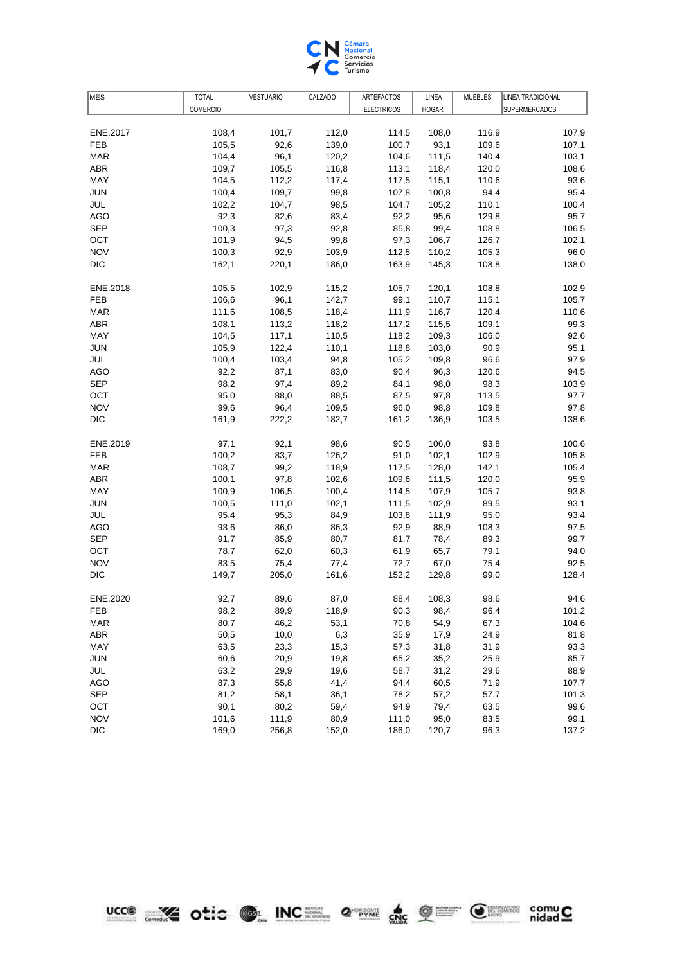

| <b>COMERCIO</b><br><b>ELECTRICOS</b><br><b>HOGAR</b><br><b>SUPERMERCADOS</b><br>108,4<br>101,7<br>112,0<br>108,0<br>116,9<br>107,9<br>ENE.2017<br>114,5<br><b>FEB</b><br>105,5<br>92,6<br>139,0<br>100,7<br>93,1<br>109,6<br>107,1<br>96,1<br><b>MAR</b><br>104,4<br>120,2<br>104,6<br>111,5<br>140,4<br>103,1<br>116,8<br>120,0<br>108,6<br>ABR<br>109,7<br>105,5<br>113,1<br>118,4<br>104,5<br>112,2<br>117,4<br>110,6<br>93,6<br>MAY<br>117,5<br>115,1<br><b>JUN</b><br>100,4<br>109,7<br>99,8<br>94,4<br>95,4<br>107,8<br>100,8<br>110,1<br>JUL<br>102,2<br>104,7<br>98,5<br>104,7<br>105,2<br>100,4<br>92,3<br>83,4<br>129,8<br>AGO<br>82,6<br>92,2<br>95,6<br>95,7<br><b>SEP</b><br>100,3<br>97,3<br>92,8<br>108,8<br>106,5<br>85,8<br>99,4<br>OCT<br>101,9<br>99,8<br>126,7<br>94,5<br>97,3<br>106,7<br>102,1<br><b>NOV</b><br>105,3<br>96,0<br>100,3<br>92,9<br>103,9<br>112,5<br>110,2<br><b>DIC</b><br>162,1<br>163,9<br>145,3<br>108,8<br>220,1<br>186,0<br>138,0<br>ENE.2018<br>105,5<br>102,9<br>115,2<br>105,7<br>120,1<br>108,8<br>102,9<br>110,7<br>115,1<br>105,7<br>FEB<br>106,6<br>96,1<br>142,7<br>99,1<br><b>MAR</b><br>111,6<br>108,5<br>111,9<br>116,7<br>120,4<br>110,6<br>118,4<br><b>ABR</b><br>108,1<br>109,1<br>99,3<br>113,2<br>118,2<br>117,2<br>115,5<br><b>MAY</b><br>109,3<br>106,0<br>92,6<br>104,5<br>117,1<br>110,5<br>118,2<br><b>JUN</b><br>122,4<br>110,1<br>103,0<br>90,9<br>95,1<br>105,9<br>118,8<br>JUL<br>100,4<br>103,4<br>94,8<br>105,2<br>109,8<br>96,6<br>97,9<br>120,6<br><b>AGO</b><br>92,2<br>87,1<br>83,0<br>90,4<br>96,3<br>94,5<br><b>SEP</b><br>98,2<br>89,2<br>98,3<br>97,4<br>84,1<br>98,0<br>103,9<br>95,0<br>88,0<br>88,5<br>113,5<br>OCT<br>87,5<br>97,8<br>97,7<br><b>NOV</b><br>99,6<br>96,4<br>109,8<br>109,5<br>96,0<br>98,8<br>97,8<br><b>DIC</b><br>161,9<br>222,2<br>182,7<br>103,5<br>138,6<br>161,2<br>136,9<br>93,8<br>ENE.2019<br>97,1<br>92,1<br>98,6<br>90,5<br>106,0<br>100,6<br><b>FEB</b><br>100,2<br>83,7<br>126,2<br>91,0<br>102,1<br>102,9<br>105,8<br><b>MAR</b><br>108,7<br>99,2<br>118,9<br>117,5<br>128,0<br>142,1<br>105,4<br>ABR<br>100,1<br>97,8<br>102,6<br>109,6<br>111,5<br>120,0<br>95,9<br>100,9<br>105,7<br>MAY<br>106,5<br>100,4<br>114,5<br>107,9<br>93,8<br><b>JUN</b><br>100,5<br>102,1<br>89,5<br>93,1<br>111,0<br>111,5<br>102,9<br>JUL<br>95,4<br>95,3<br>84,9<br>95,0<br>93,4<br>103,8<br>111,9<br>108,3<br>AGO<br>93,6<br>86,0<br>86,3<br>92,9<br>88,9<br>97,5<br><b>SEP</b><br>85,9<br>80,7<br>89,3<br>91,7<br>81,7<br>78,4<br>99,7<br>62,0<br>60,3<br>94,0<br><b>OCT</b><br>78,7<br>61,9<br>65,7<br>79,1<br><b>NOV</b><br>83,5<br>75,4<br>75,4<br>77,4<br>72,7<br>67,0<br>92,5<br><b>DIC</b><br>149,7<br>205,0<br>161,6<br>152,2<br>129,8<br>99,0<br>128,4<br>ENE.2020<br>92,7<br>89,6<br>87,0<br>88,4<br>108,3<br>98,6<br>94,6<br>98,2<br>89,9<br>118,9<br>90,3<br>98,4<br>96,4<br>101,2<br>FEB<br>104,6<br>80,7<br>46,2<br>53,1<br>67,3<br><b>MAR</b><br>70,8<br>54,9<br>50,5<br>6,3<br>ABR<br>10,0<br>35,9<br>17,9<br>24,9<br>81,8<br>MAY<br>63,5<br>23,3<br>15,3<br>31,9<br>93,3<br>57,3<br>31,8<br><b>JUN</b><br>60,6<br>20,9<br>19,8<br>25,9<br>85,7<br>65,2<br>35,2<br>JUL<br>63,2<br>29,9<br>19,6<br>58,7<br>29,6<br>88,9<br>31,2<br><b>AGO</b><br>87,3<br>55,8<br>41,4<br>94,4<br>60,5<br>71,9<br>107,7<br><b>SEP</b><br>81,2<br>58,1<br>36,1<br>78,2<br>57,7<br>101,3<br>57,2<br>90,1<br>OCT<br>80,2<br>59,4<br>94,9<br>79,4<br>63,5<br>99,6<br><b>NOV</b><br>101,6<br>111,9<br>80,9<br>111,0<br>83,5<br>99,1<br>95,0<br><b>DIC</b><br>169,0<br>152,0<br>120,7<br>96,3<br>137,2<br>256,8<br>186,0 | MES | <b>TOTAL</b> | <b>VESTUARIO</b> | CALZADO | ARTEFACTOS | LINEA | <b>MUEBLES</b> | LINEA TRADICIONAL |
|--------------------------------------------------------------------------------------------------------------------------------------------------------------------------------------------------------------------------------------------------------------------------------------------------------------------------------------------------------------------------------------------------------------------------------------------------------------------------------------------------------------------------------------------------------------------------------------------------------------------------------------------------------------------------------------------------------------------------------------------------------------------------------------------------------------------------------------------------------------------------------------------------------------------------------------------------------------------------------------------------------------------------------------------------------------------------------------------------------------------------------------------------------------------------------------------------------------------------------------------------------------------------------------------------------------------------------------------------------------------------------------------------------------------------------------------------------------------------------------------------------------------------------------------------------------------------------------------------------------------------------------------------------------------------------------------------------------------------------------------------------------------------------------------------------------------------------------------------------------------------------------------------------------------------------------------------------------------------------------------------------------------------------------------------------------------------------------------------------------------------------------------------------------------------------------------------------------------------------------------------------------------------------------------------------------------------------------------------------------------------------------------------------------------------------------------------------------------------------------------------------------------------------------------------------------------------------------------------------------------------------------------------------------------------------------------------------------------------------------------------------------------------------------------------------------------------------------------------------------------------------------------------------------------------------------------------------------------------------------------------------------------------------------------------------------------------------------------------------------------------------------------------------------------------------------------------------------------------------------------------------------------------------------------------------------------------------------------------------------------------------------------------------------------------------------------------------------------------------------------------------------------------------------------------------------------------------------------------------------------|-----|--------------|------------------|---------|------------|-------|----------------|-------------------|
|                                                                                                                                                                                                                                                                                                                                                                                                                                                                                                                                                                                                                                                                                                                                                                                                                                                                                                                                                                                                                                                                                                                                                                                                                                                                                                                                                                                                                                                                                                                                                                                                                                                                                                                                                                                                                                                                                                                                                                                                                                                                                                                                                                                                                                                                                                                                                                                                                                                                                                                                                                                                                                                                                                                                                                                                                                                                                                                                                                                                                                                                                                                                                                                                                                                                                                                                                                                                                                                                                                                                                                                                                    |     |              |                  |         |            |       |                |                   |
|                                                                                                                                                                                                                                                                                                                                                                                                                                                                                                                                                                                                                                                                                                                                                                                                                                                                                                                                                                                                                                                                                                                                                                                                                                                                                                                                                                                                                                                                                                                                                                                                                                                                                                                                                                                                                                                                                                                                                                                                                                                                                                                                                                                                                                                                                                                                                                                                                                                                                                                                                                                                                                                                                                                                                                                                                                                                                                                                                                                                                                                                                                                                                                                                                                                                                                                                                                                                                                                                                                                                                                                                                    |     |              |                  |         |            |       |                |                   |
|                                                                                                                                                                                                                                                                                                                                                                                                                                                                                                                                                                                                                                                                                                                                                                                                                                                                                                                                                                                                                                                                                                                                                                                                                                                                                                                                                                                                                                                                                                                                                                                                                                                                                                                                                                                                                                                                                                                                                                                                                                                                                                                                                                                                                                                                                                                                                                                                                                                                                                                                                                                                                                                                                                                                                                                                                                                                                                                                                                                                                                                                                                                                                                                                                                                                                                                                                                                                                                                                                                                                                                                                                    |     |              |                  |         |            |       |                |                   |
|                                                                                                                                                                                                                                                                                                                                                                                                                                                                                                                                                                                                                                                                                                                                                                                                                                                                                                                                                                                                                                                                                                                                                                                                                                                                                                                                                                                                                                                                                                                                                                                                                                                                                                                                                                                                                                                                                                                                                                                                                                                                                                                                                                                                                                                                                                                                                                                                                                                                                                                                                                                                                                                                                                                                                                                                                                                                                                                                                                                                                                                                                                                                                                                                                                                                                                                                                                                                                                                                                                                                                                                                                    |     |              |                  |         |            |       |                |                   |
|                                                                                                                                                                                                                                                                                                                                                                                                                                                                                                                                                                                                                                                                                                                                                                                                                                                                                                                                                                                                                                                                                                                                                                                                                                                                                                                                                                                                                                                                                                                                                                                                                                                                                                                                                                                                                                                                                                                                                                                                                                                                                                                                                                                                                                                                                                                                                                                                                                                                                                                                                                                                                                                                                                                                                                                                                                                                                                                                                                                                                                                                                                                                                                                                                                                                                                                                                                                                                                                                                                                                                                                                                    |     |              |                  |         |            |       |                |                   |
|                                                                                                                                                                                                                                                                                                                                                                                                                                                                                                                                                                                                                                                                                                                                                                                                                                                                                                                                                                                                                                                                                                                                                                                                                                                                                                                                                                                                                                                                                                                                                                                                                                                                                                                                                                                                                                                                                                                                                                                                                                                                                                                                                                                                                                                                                                                                                                                                                                                                                                                                                                                                                                                                                                                                                                                                                                                                                                                                                                                                                                                                                                                                                                                                                                                                                                                                                                                                                                                                                                                                                                                                                    |     |              |                  |         |            |       |                |                   |
|                                                                                                                                                                                                                                                                                                                                                                                                                                                                                                                                                                                                                                                                                                                                                                                                                                                                                                                                                                                                                                                                                                                                                                                                                                                                                                                                                                                                                                                                                                                                                                                                                                                                                                                                                                                                                                                                                                                                                                                                                                                                                                                                                                                                                                                                                                                                                                                                                                                                                                                                                                                                                                                                                                                                                                                                                                                                                                                                                                                                                                                                                                                                                                                                                                                                                                                                                                                                                                                                                                                                                                                                                    |     |              |                  |         |            |       |                |                   |
|                                                                                                                                                                                                                                                                                                                                                                                                                                                                                                                                                                                                                                                                                                                                                                                                                                                                                                                                                                                                                                                                                                                                                                                                                                                                                                                                                                                                                                                                                                                                                                                                                                                                                                                                                                                                                                                                                                                                                                                                                                                                                                                                                                                                                                                                                                                                                                                                                                                                                                                                                                                                                                                                                                                                                                                                                                                                                                                                                                                                                                                                                                                                                                                                                                                                                                                                                                                                                                                                                                                                                                                                                    |     |              |                  |         |            |       |                |                   |
|                                                                                                                                                                                                                                                                                                                                                                                                                                                                                                                                                                                                                                                                                                                                                                                                                                                                                                                                                                                                                                                                                                                                                                                                                                                                                                                                                                                                                                                                                                                                                                                                                                                                                                                                                                                                                                                                                                                                                                                                                                                                                                                                                                                                                                                                                                                                                                                                                                                                                                                                                                                                                                                                                                                                                                                                                                                                                                                                                                                                                                                                                                                                                                                                                                                                                                                                                                                                                                                                                                                                                                                                                    |     |              |                  |         |            |       |                |                   |
|                                                                                                                                                                                                                                                                                                                                                                                                                                                                                                                                                                                                                                                                                                                                                                                                                                                                                                                                                                                                                                                                                                                                                                                                                                                                                                                                                                                                                                                                                                                                                                                                                                                                                                                                                                                                                                                                                                                                                                                                                                                                                                                                                                                                                                                                                                                                                                                                                                                                                                                                                                                                                                                                                                                                                                                                                                                                                                                                                                                                                                                                                                                                                                                                                                                                                                                                                                                                                                                                                                                                                                                                                    |     |              |                  |         |            |       |                |                   |
|                                                                                                                                                                                                                                                                                                                                                                                                                                                                                                                                                                                                                                                                                                                                                                                                                                                                                                                                                                                                                                                                                                                                                                                                                                                                                                                                                                                                                                                                                                                                                                                                                                                                                                                                                                                                                                                                                                                                                                                                                                                                                                                                                                                                                                                                                                                                                                                                                                                                                                                                                                                                                                                                                                                                                                                                                                                                                                                                                                                                                                                                                                                                                                                                                                                                                                                                                                                                                                                                                                                                                                                                                    |     |              |                  |         |            |       |                |                   |
|                                                                                                                                                                                                                                                                                                                                                                                                                                                                                                                                                                                                                                                                                                                                                                                                                                                                                                                                                                                                                                                                                                                                                                                                                                                                                                                                                                                                                                                                                                                                                                                                                                                                                                                                                                                                                                                                                                                                                                                                                                                                                                                                                                                                                                                                                                                                                                                                                                                                                                                                                                                                                                                                                                                                                                                                                                                                                                                                                                                                                                                                                                                                                                                                                                                                                                                                                                                                                                                                                                                                                                                                                    |     |              |                  |         |            |       |                |                   |
|                                                                                                                                                                                                                                                                                                                                                                                                                                                                                                                                                                                                                                                                                                                                                                                                                                                                                                                                                                                                                                                                                                                                                                                                                                                                                                                                                                                                                                                                                                                                                                                                                                                                                                                                                                                                                                                                                                                                                                                                                                                                                                                                                                                                                                                                                                                                                                                                                                                                                                                                                                                                                                                                                                                                                                                                                                                                                                                                                                                                                                                                                                                                                                                                                                                                                                                                                                                                                                                                                                                                                                                                                    |     |              |                  |         |            |       |                |                   |
|                                                                                                                                                                                                                                                                                                                                                                                                                                                                                                                                                                                                                                                                                                                                                                                                                                                                                                                                                                                                                                                                                                                                                                                                                                                                                                                                                                                                                                                                                                                                                                                                                                                                                                                                                                                                                                                                                                                                                                                                                                                                                                                                                                                                                                                                                                                                                                                                                                                                                                                                                                                                                                                                                                                                                                                                                                                                                                                                                                                                                                                                                                                                                                                                                                                                                                                                                                                                                                                                                                                                                                                                                    |     |              |                  |         |            |       |                |                   |
|                                                                                                                                                                                                                                                                                                                                                                                                                                                                                                                                                                                                                                                                                                                                                                                                                                                                                                                                                                                                                                                                                                                                                                                                                                                                                                                                                                                                                                                                                                                                                                                                                                                                                                                                                                                                                                                                                                                                                                                                                                                                                                                                                                                                                                                                                                                                                                                                                                                                                                                                                                                                                                                                                                                                                                                                                                                                                                                                                                                                                                                                                                                                                                                                                                                                                                                                                                                                                                                                                                                                                                                                                    |     |              |                  |         |            |       |                |                   |
|                                                                                                                                                                                                                                                                                                                                                                                                                                                                                                                                                                                                                                                                                                                                                                                                                                                                                                                                                                                                                                                                                                                                                                                                                                                                                                                                                                                                                                                                                                                                                                                                                                                                                                                                                                                                                                                                                                                                                                                                                                                                                                                                                                                                                                                                                                                                                                                                                                                                                                                                                                                                                                                                                                                                                                                                                                                                                                                                                                                                                                                                                                                                                                                                                                                                                                                                                                                                                                                                                                                                                                                                                    |     |              |                  |         |            |       |                |                   |
|                                                                                                                                                                                                                                                                                                                                                                                                                                                                                                                                                                                                                                                                                                                                                                                                                                                                                                                                                                                                                                                                                                                                                                                                                                                                                                                                                                                                                                                                                                                                                                                                                                                                                                                                                                                                                                                                                                                                                                                                                                                                                                                                                                                                                                                                                                                                                                                                                                                                                                                                                                                                                                                                                                                                                                                                                                                                                                                                                                                                                                                                                                                                                                                                                                                                                                                                                                                                                                                                                                                                                                                                                    |     |              |                  |         |            |       |                |                   |
|                                                                                                                                                                                                                                                                                                                                                                                                                                                                                                                                                                                                                                                                                                                                                                                                                                                                                                                                                                                                                                                                                                                                                                                                                                                                                                                                                                                                                                                                                                                                                                                                                                                                                                                                                                                                                                                                                                                                                                                                                                                                                                                                                                                                                                                                                                                                                                                                                                                                                                                                                                                                                                                                                                                                                                                                                                                                                                                                                                                                                                                                                                                                                                                                                                                                                                                                                                                                                                                                                                                                                                                                                    |     |              |                  |         |            |       |                |                   |
|                                                                                                                                                                                                                                                                                                                                                                                                                                                                                                                                                                                                                                                                                                                                                                                                                                                                                                                                                                                                                                                                                                                                                                                                                                                                                                                                                                                                                                                                                                                                                                                                                                                                                                                                                                                                                                                                                                                                                                                                                                                                                                                                                                                                                                                                                                                                                                                                                                                                                                                                                                                                                                                                                                                                                                                                                                                                                                                                                                                                                                                                                                                                                                                                                                                                                                                                                                                                                                                                                                                                                                                                                    |     |              |                  |         |            |       |                |                   |
|                                                                                                                                                                                                                                                                                                                                                                                                                                                                                                                                                                                                                                                                                                                                                                                                                                                                                                                                                                                                                                                                                                                                                                                                                                                                                                                                                                                                                                                                                                                                                                                                                                                                                                                                                                                                                                                                                                                                                                                                                                                                                                                                                                                                                                                                                                                                                                                                                                                                                                                                                                                                                                                                                                                                                                                                                                                                                                                                                                                                                                                                                                                                                                                                                                                                                                                                                                                                                                                                                                                                                                                                                    |     |              |                  |         |            |       |                |                   |
|                                                                                                                                                                                                                                                                                                                                                                                                                                                                                                                                                                                                                                                                                                                                                                                                                                                                                                                                                                                                                                                                                                                                                                                                                                                                                                                                                                                                                                                                                                                                                                                                                                                                                                                                                                                                                                                                                                                                                                                                                                                                                                                                                                                                                                                                                                                                                                                                                                                                                                                                                                                                                                                                                                                                                                                                                                                                                                                                                                                                                                                                                                                                                                                                                                                                                                                                                                                                                                                                                                                                                                                                                    |     |              |                  |         |            |       |                |                   |
|                                                                                                                                                                                                                                                                                                                                                                                                                                                                                                                                                                                                                                                                                                                                                                                                                                                                                                                                                                                                                                                                                                                                                                                                                                                                                                                                                                                                                                                                                                                                                                                                                                                                                                                                                                                                                                                                                                                                                                                                                                                                                                                                                                                                                                                                                                                                                                                                                                                                                                                                                                                                                                                                                                                                                                                                                                                                                                                                                                                                                                                                                                                                                                                                                                                                                                                                                                                                                                                                                                                                                                                                                    |     |              |                  |         |            |       |                |                   |
|                                                                                                                                                                                                                                                                                                                                                                                                                                                                                                                                                                                                                                                                                                                                                                                                                                                                                                                                                                                                                                                                                                                                                                                                                                                                                                                                                                                                                                                                                                                                                                                                                                                                                                                                                                                                                                                                                                                                                                                                                                                                                                                                                                                                                                                                                                                                                                                                                                                                                                                                                                                                                                                                                                                                                                                                                                                                                                                                                                                                                                                                                                                                                                                                                                                                                                                                                                                                                                                                                                                                                                                                                    |     |              |                  |         |            |       |                |                   |
|                                                                                                                                                                                                                                                                                                                                                                                                                                                                                                                                                                                                                                                                                                                                                                                                                                                                                                                                                                                                                                                                                                                                                                                                                                                                                                                                                                                                                                                                                                                                                                                                                                                                                                                                                                                                                                                                                                                                                                                                                                                                                                                                                                                                                                                                                                                                                                                                                                                                                                                                                                                                                                                                                                                                                                                                                                                                                                                                                                                                                                                                                                                                                                                                                                                                                                                                                                                                                                                                                                                                                                                                                    |     |              |                  |         |            |       |                |                   |
|                                                                                                                                                                                                                                                                                                                                                                                                                                                                                                                                                                                                                                                                                                                                                                                                                                                                                                                                                                                                                                                                                                                                                                                                                                                                                                                                                                                                                                                                                                                                                                                                                                                                                                                                                                                                                                                                                                                                                                                                                                                                                                                                                                                                                                                                                                                                                                                                                                                                                                                                                                                                                                                                                                                                                                                                                                                                                                                                                                                                                                                                                                                                                                                                                                                                                                                                                                                                                                                                                                                                                                                                                    |     |              |                  |         |            |       |                |                   |
|                                                                                                                                                                                                                                                                                                                                                                                                                                                                                                                                                                                                                                                                                                                                                                                                                                                                                                                                                                                                                                                                                                                                                                                                                                                                                                                                                                                                                                                                                                                                                                                                                                                                                                                                                                                                                                                                                                                                                                                                                                                                                                                                                                                                                                                                                                                                                                                                                                                                                                                                                                                                                                                                                                                                                                                                                                                                                                                                                                                                                                                                                                                                                                                                                                                                                                                                                                                                                                                                                                                                                                                                                    |     |              |                  |         |            |       |                |                   |
|                                                                                                                                                                                                                                                                                                                                                                                                                                                                                                                                                                                                                                                                                                                                                                                                                                                                                                                                                                                                                                                                                                                                                                                                                                                                                                                                                                                                                                                                                                                                                                                                                                                                                                                                                                                                                                                                                                                                                                                                                                                                                                                                                                                                                                                                                                                                                                                                                                                                                                                                                                                                                                                                                                                                                                                                                                                                                                                                                                                                                                                                                                                                                                                                                                                                                                                                                                                                                                                                                                                                                                                                                    |     |              |                  |         |            |       |                |                   |
|                                                                                                                                                                                                                                                                                                                                                                                                                                                                                                                                                                                                                                                                                                                                                                                                                                                                                                                                                                                                                                                                                                                                                                                                                                                                                                                                                                                                                                                                                                                                                                                                                                                                                                                                                                                                                                                                                                                                                                                                                                                                                                                                                                                                                                                                                                                                                                                                                                                                                                                                                                                                                                                                                                                                                                                                                                                                                                                                                                                                                                                                                                                                                                                                                                                                                                                                                                                                                                                                                                                                                                                                                    |     |              |                  |         |            |       |                |                   |
|                                                                                                                                                                                                                                                                                                                                                                                                                                                                                                                                                                                                                                                                                                                                                                                                                                                                                                                                                                                                                                                                                                                                                                                                                                                                                                                                                                                                                                                                                                                                                                                                                                                                                                                                                                                                                                                                                                                                                                                                                                                                                                                                                                                                                                                                                                                                                                                                                                                                                                                                                                                                                                                                                                                                                                                                                                                                                                                                                                                                                                                                                                                                                                                                                                                                                                                                                                                                                                                                                                                                                                                                                    |     |              |                  |         |            |       |                |                   |
|                                                                                                                                                                                                                                                                                                                                                                                                                                                                                                                                                                                                                                                                                                                                                                                                                                                                                                                                                                                                                                                                                                                                                                                                                                                                                                                                                                                                                                                                                                                                                                                                                                                                                                                                                                                                                                                                                                                                                                                                                                                                                                                                                                                                                                                                                                                                                                                                                                                                                                                                                                                                                                                                                                                                                                                                                                                                                                                                                                                                                                                                                                                                                                                                                                                                                                                                                                                                                                                                                                                                                                                                                    |     |              |                  |         |            |       |                |                   |
|                                                                                                                                                                                                                                                                                                                                                                                                                                                                                                                                                                                                                                                                                                                                                                                                                                                                                                                                                                                                                                                                                                                                                                                                                                                                                                                                                                                                                                                                                                                                                                                                                                                                                                                                                                                                                                                                                                                                                                                                                                                                                                                                                                                                                                                                                                                                                                                                                                                                                                                                                                                                                                                                                                                                                                                                                                                                                                                                                                                                                                                                                                                                                                                                                                                                                                                                                                                                                                                                                                                                                                                                                    |     |              |                  |         |            |       |                |                   |
|                                                                                                                                                                                                                                                                                                                                                                                                                                                                                                                                                                                                                                                                                                                                                                                                                                                                                                                                                                                                                                                                                                                                                                                                                                                                                                                                                                                                                                                                                                                                                                                                                                                                                                                                                                                                                                                                                                                                                                                                                                                                                                                                                                                                                                                                                                                                                                                                                                                                                                                                                                                                                                                                                                                                                                                                                                                                                                                                                                                                                                                                                                                                                                                                                                                                                                                                                                                                                                                                                                                                                                                                                    |     |              |                  |         |            |       |                |                   |
|                                                                                                                                                                                                                                                                                                                                                                                                                                                                                                                                                                                                                                                                                                                                                                                                                                                                                                                                                                                                                                                                                                                                                                                                                                                                                                                                                                                                                                                                                                                                                                                                                                                                                                                                                                                                                                                                                                                                                                                                                                                                                                                                                                                                                                                                                                                                                                                                                                                                                                                                                                                                                                                                                                                                                                                                                                                                                                                                                                                                                                                                                                                                                                                                                                                                                                                                                                                                                                                                                                                                                                                                                    |     |              |                  |         |            |       |                |                   |
|                                                                                                                                                                                                                                                                                                                                                                                                                                                                                                                                                                                                                                                                                                                                                                                                                                                                                                                                                                                                                                                                                                                                                                                                                                                                                                                                                                                                                                                                                                                                                                                                                                                                                                                                                                                                                                                                                                                                                                                                                                                                                                                                                                                                                                                                                                                                                                                                                                                                                                                                                                                                                                                                                                                                                                                                                                                                                                                                                                                                                                                                                                                                                                                                                                                                                                                                                                                                                                                                                                                                                                                                                    |     |              |                  |         |            |       |                |                   |
|                                                                                                                                                                                                                                                                                                                                                                                                                                                                                                                                                                                                                                                                                                                                                                                                                                                                                                                                                                                                                                                                                                                                                                                                                                                                                                                                                                                                                                                                                                                                                                                                                                                                                                                                                                                                                                                                                                                                                                                                                                                                                                                                                                                                                                                                                                                                                                                                                                                                                                                                                                                                                                                                                                                                                                                                                                                                                                                                                                                                                                                                                                                                                                                                                                                                                                                                                                                                                                                                                                                                                                                                                    |     |              |                  |         |            |       |                |                   |
|                                                                                                                                                                                                                                                                                                                                                                                                                                                                                                                                                                                                                                                                                                                                                                                                                                                                                                                                                                                                                                                                                                                                                                                                                                                                                                                                                                                                                                                                                                                                                                                                                                                                                                                                                                                                                                                                                                                                                                                                                                                                                                                                                                                                                                                                                                                                                                                                                                                                                                                                                                                                                                                                                                                                                                                                                                                                                                                                                                                                                                                                                                                                                                                                                                                                                                                                                                                                                                                                                                                                                                                                                    |     |              |                  |         |            |       |                |                   |
|                                                                                                                                                                                                                                                                                                                                                                                                                                                                                                                                                                                                                                                                                                                                                                                                                                                                                                                                                                                                                                                                                                                                                                                                                                                                                                                                                                                                                                                                                                                                                                                                                                                                                                                                                                                                                                                                                                                                                                                                                                                                                                                                                                                                                                                                                                                                                                                                                                                                                                                                                                                                                                                                                                                                                                                                                                                                                                                                                                                                                                                                                                                                                                                                                                                                                                                                                                                                                                                                                                                                                                                                                    |     |              |                  |         |            |       |                |                   |
|                                                                                                                                                                                                                                                                                                                                                                                                                                                                                                                                                                                                                                                                                                                                                                                                                                                                                                                                                                                                                                                                                                                                                                                                                                                                                                                                                                                                                                                                                                                                                                                                                                                                                                                                                                                                                                                                                                                                                                                                                                                                                                                                                                                                                                                                                                                                                                                                                                                                                                                                                                                                                                                                                                                                                                                                                                                                                                                                                                                                                                                                                                                                                                                                                                                                                                                                                                                                                                                                                                                                                                                                                    |     |              |                  |         |            |       |                |                   |
|                                                                                                                                                                                                                                                                                                                                                                                                                                                                                                                                                                                                                                                                                                                                                                                                                                                                                                                                                                                                                                                                                                                                                                                                                                                                                                                                                                                                                                                                                                                                                                                                                                                                                                                                                                                                                                                                                                                                                                                                                                                                                                                                                                                                                                                                                                                                                                                                                                                                                                                                                                                                                                                                                                                                                                                                                                                                                                                                                                                                                                                                                                                                                                                                                                                                                                                                                                                                                                                                                                                                                                                                                    |     |              |                  |         |            |       |                |                   |
|                                                                                                                                                                                                                                                                                                                                                                                                                                                                                                                                                                                                                                                                                                                                                                                                                                                                                                                                                                                                                                                                                                                                                                                                                                                                                                                                                                                                                                                                                                                                                                                                                                                                                                                                                                                                                                                                                                                                                                                                                                                                                                                                                                                                                                                                                                                                                                                                                                                                                                                                                                                                                                                                                                                                                                                                                                                                                                                                                                                                                                                                                                                                                                                                                                                                                                                                                                                                                                                                                                                                                                                                                    |     |              |                  |         |            |       |                |                   |
|                                                                                                                                                                                                                                                                                                                                                                                                                                                                                                                                                                                                                                                                                                                                                                                                                                                                                                                                                                                                                                                                                                                                                                                                                                                                                                                                                                                                                                                                                                                                                                                                                                                                                                                                                                                                                                                                                                                                                                                                                                                                                                                                                                                                                                                                                                                                                                                                                                                                                                                                                                                                                                                                                                                                                                                                                                                                                                                                                                                                                                                                                                                                                                                                                                                                                                                                                                                                                                                                                                                                                                                                                    |     |              |                  |         |            |       |                |                   |
|                                                                                                                                                                                                                                                                                                                                                                                                                                                                                                                                                                                                                                                                                                                                                                                                                                                                                                                                                                                                                                                                                                                                                                                                                                                                                                                                                                                                                                                                                                                                                                                                                                                                                                                                                                                                                                                                                                                                                                                                                                                                                                                                                                                                                                                                                                                                                                                                                                                                                                                                                                                                                                                                                                                                                                                                                                                                                                                                                                                                                                                                                                                                                                                                                                                                                                                                                                                                                                                                                                                                                                                                                    |     |              |                  |         |            |       |                |                   |
|                                                                                                                                                                                                                                                                                                                                                                                                                                                                                                                                                                                                                                                                                                                                                                                                                                                                                                                                                                                                                                                                                                                                                                                                                                                                                                                                                                                                                                                                                                                                                                                                                                                                                                                                                                                                                                                                                                                                                                                                                                                                                                                                                                                                                                                                                                                                                                                                                                                                                                                                                                                                                                                                                                                                                                                                                                                                                                                                                                                                                                                                                                                                                                                                                                                                                                                                                                                                                                                                                                                                                                                                                    |     |              |                  |         |            |       |                |                   |
|                                                                                                                                                                                                                                                                                                                                                                                                                                                                                                                                                                                                                                                                                                                                                                                                                                                                                                                                                                                                                                                                                                                                                                                                                                                                                                                                                                                                                                                                                                                                                                                                                                                                                                                                                                                                                                                                                                                                                                                                                                                                                                                                                                                                                                                                                                                                                                                                                                                                                                                                                                                                                                                                                                                                                                                                                                                                                                                                                                                                                                                                                                                                                                                                                                                                                                                                                                                                                                                                                                                                                                                                                    |     |              |                  |         |            |       |                |                   |
|                                                                                                                                                                                                                                                                                                                                                                                                                                                                                                                                                                                                                                                                                                                                                                                                                                                                                                                                                                                                                                                                                                                                                                                                                                                                                                                                                                                                                                                                                                                                                                                                                                                                                                                                                                                                                                                                                                                                                                                                                                                                                                                                                                                                                                                                                                                                                                                                                                                                                                                                                                                                                                                                                                                                                                                                                                                                                                                                                                                                                                                                                                                                                                                                                                                                                                                                                                                                                                                                                                                                                                                                                    |     |              |                  |         |            |       |                |                   |
|                                                                                                                                                                                                                                                                                                                                                                                                                                                                                                                                                                                                                                                                                                                                                                                                                                                                                                                                                                                                                                                                                                                                                                                                                                                                                                                                                                                                                                                                                                                                                                                                                                                                                                                                                                                                                                                                                                                                                                                                                                                                                                                                                                                                                                                                                                                                                                                                                                                                                                                                                                                                                                                                                                                                                                                                                                                                                                                                                                                                                                                                                                                                                                                                                                                                                                                                                                                                                                                                                                                                                                                                                    |     |              |                  |         |            |       |                |                   |
|                                                                                                                                                                                                                                                                                                                                                                                                                                                                                                                                                                                                                                                                                                                                                                                                                                                                                                                                                                                                                                                                                                                                                                                                                                                                                                                                                                                                                                                                                                                                                                                                                                                                                                                                                                                                                                                                                                                                                                                                                                                                                                                                                                                                                                                                                                                                                                                                                                                                                                                                                                                                                                                                                                                                                                                                                                                                                                                                                                                                                                                                                                                                                                                                                                                                                                                                                                                                                                                                                                                                                                                                                    |     |              |                  |         |            |       |                |                   |
|                                                                                                                                                                                                                                                                                                                                                                                                                                                                                                                                                                                                                                                                                                                                                                                                                                                                                                                                                                                                                                                                                                                                                                                                                                                                                                                                                                                                                                                                                                                                                                                                                                                                                                                                                                                                                                                                                                                                                                                                                                                                                                                                                                                                                                                                                                                                                                                                                                                                                                                                                                                                                                                                                                                                                                                                                                                                                                                                                                                                                                                                                                                                                                                                                                                                                                                                                                                                                                                                                                                                                                                                                    |     |              |                  |         |            |       |                |                   |
|                                                                                                                                                                                                                                                                                                                                                                                                                                                                                                                                                                                                                                                                                                                                                                                                                                                                                                                                                                                                                                                                                                                                                                                                                                                                                                                                                                                                                                                                                                                                                                                                                                                                                                                                                                                                                                                                                                                                                                                                                                                                                                                                                                                                                                                                                                                                                                                                                                                                                                                                                                                                                                                                                                                                                                                                                                                                                                                                                                                                                                                                                                                                                                                                                                                                                                                                                                                                                                                                                                                                                                                                                    |     |              |                  |         |            |       |                |                   |
|                                                                                                                                                                                                                                                                                                                                                                                                                                                                                                                                                                                                                                                                                                                                                                                                                                                                                                                                                                                                                                                                                                                                                                                                                                                                                                                                                                                                                                                                                                                                                                                                                                                                                                                                                                                                                                                                                                                                                                                                                                                                                                                                                                                                                                                                                                                                                                                                                                                                                                                                                                                                                                                                                                                                                                                                                                                                                                                                                                                                                                                                                                                                                                                                                                                                                                                                                                                                                                                                                                                                                                                                                    |     |              |                  |         |            |       |                |                   |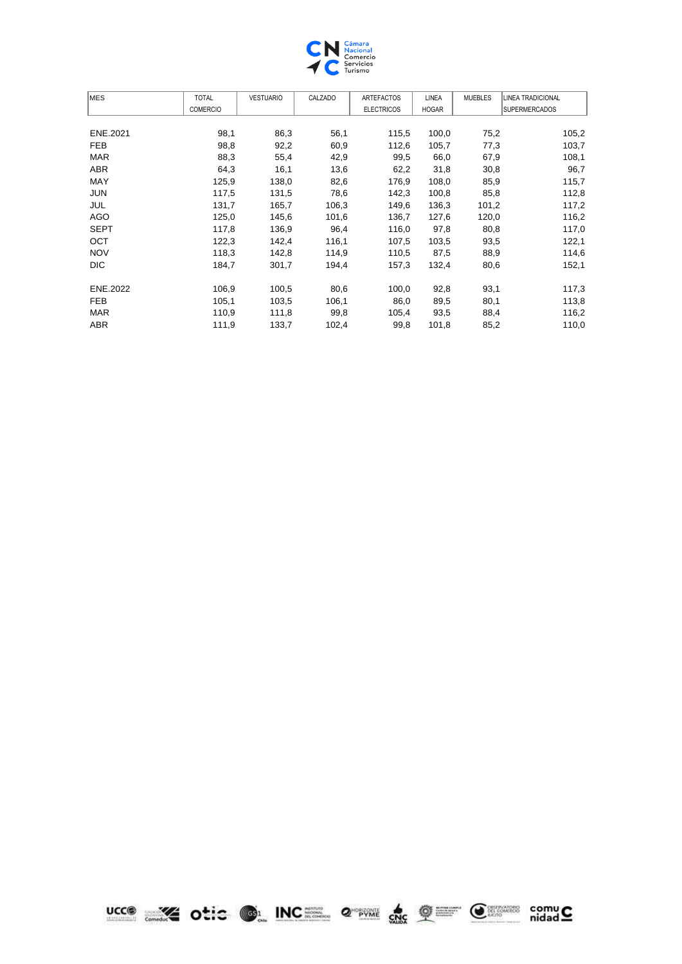

| <b>MES</b>  | <b>TOTAL</b>    | <b>VESTUARIO</b> | CALZADO | <b>ARTEFACTOS</b> | LINEA        | <b>MUEBLES</b> | LINEA TRADICIONAL    |
|-------------|-----------------|------------------|---------|-------------------|--------------|----------------|----------------------|
|             | <b>COMERCIO</b> |                  |         | <b>ELECTRICOS</b> | <b>HOGAR</b> |                | <b>SUPERMERCADOS</b> |
|             |                 |                  |         |                   |              |                |                      |
| ENE.2021    | 98,1            | 86,3             | 56,1    | 115,5             | 100,0        | 75,2           | 105,2                |
| <b>FEB</b>  | 98,8            | 92,2             | 60,9    | 112,6             | 105,7        | 77,3           | 103,7                |
| <b>MAR</b>  | 88,3            | 55,4             | 42,9    | 99,5              | 66,0         | 67,9           | 108,1                |
| ABR         | 64,3            | 16,1             | 13,6    | 62,2              | 31,8         | 30,8           | 96,7                 |
| <b>MAY</b>  | 125,9           | 138,0            | 82,6    | 176,9             | 108,0        | 85,9           | 115,7                |
| <b>JUN</b>  | 117,5           | 131,5            | 78,6    | 142,3             | 100,8        | 85,8           | 112,8                |
| JUL         | 131,7           | 165,7            | 106,3   | 149,6             | 136,3        | 101,2          | 117,2                |
| AGO         | 125,0           | 145,6            | 101,6   | 136,7             | 127,6        | 120,0          | 116,2                |
| <b>SEPT</b> | 117,8           | 136,9            | 96,4    | 116,0             | 97,8         | 80,8           | 117,0                |
| <b>OCT</b>  | 122,3           | 142,4            | 116,1   | 107,5             | 103,5        | 93,5           | 122,1                |
| <b>NOV</b>  | 118,3           | 142,8            | 114,9   | 110,5             | 87,5         | 88,9           | 114,6                |
| <b>DIC</b>  | 184,7           | 301,7            | 194,4   | 157,3             | 132,4        | 80,6           | 152,1                |
| ENE.2022    | 106,9           | 100,5            | 80,6    | 100,0             | 92,8         | 93,1           | 117,3                |
| <b>FEB</b>  | 105,1           | 103,5            | 106,1   | 86,0              | 89,5         | 80,1           | 113,8                |
| <b>MAR</b>  | 110,9           | 111,8            | 99,8    | 105,4             | 93,5         | 88,4           | 116,2                |
| ABR         | 111,9           | 133,7            | 102,4   | 99,8              | 101,8        | 85,2           | 110,0                |

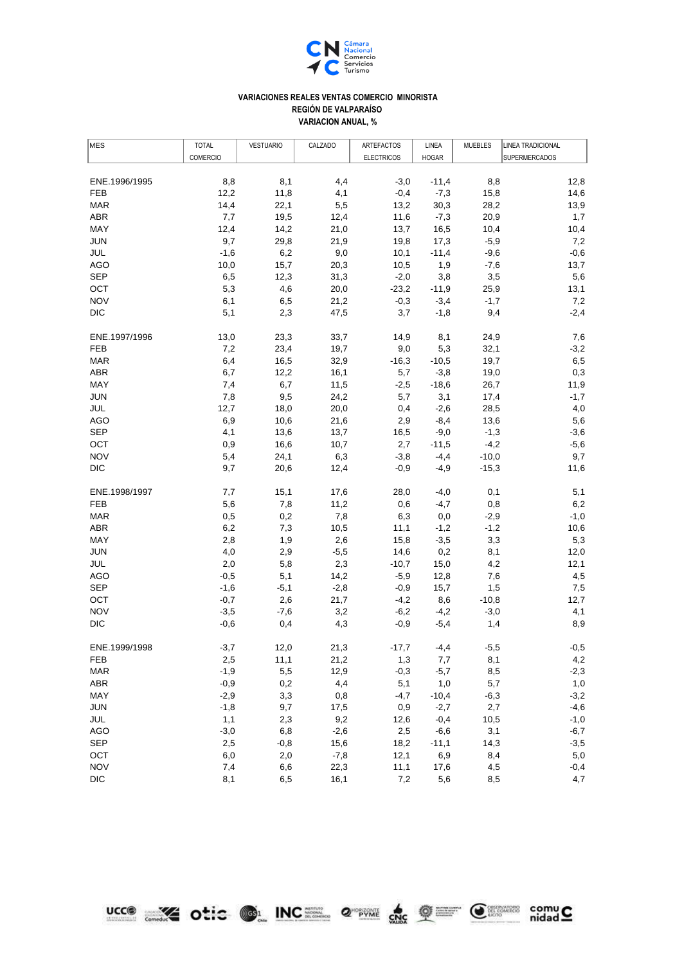

## **VARIACION ANUAL, % VARIACIONES REALES VENTAS COMERCIO MINORISTA REGIÓN DE VALPARAÍSO**

| MES                      | <b>TOTAL</b>    | <b>VESTUARIO</b> | CALZADO        | ARTEFACTOS        | LINEA          | <b>MUEBLES</b> | LINEA TRADICIONAL |
|--------------------------|-----------------|------------------|----------------|-------------------|----------------|----------------|-------------------|
|                          | <b>COMERCIO</b> |                  |                | <b>ELECTRICOS</b> | <b>HOGAR</b>   |                | SUPERMERCADOS     |
|                          |                 |                  |                |                   |                |                |                   |
| ENE.1996/1995            | 8,8             | 8,1              | 4,4            | $-3,0$            | $-11,4$        | 8,8            | 12,8              |
| FEB                      | 12,2            | 11,8             | 4,1            | $-0,4$            | $-7,3$         | 15,8           | 14,6              |
| <b>MAR</b>               | 14,4            | 22,1             | 5,5            | 13,2              | 30,3           | 28,2           | 13,9              |
| <b>ABR</b>               | 7,7             | 19,5             | 12,4           | 11,6              | $-7,3$         | 20,9           | 1,7               |
| <b>MAY</b>               | 12,4            | 14,2             | 21,0           | 13,7              | 16,5           | 10,4           | 10,4              |
| <b>JUN</b>               | 9,7             | 29,8             | 21,9           | 19,8              | 17,3           | $-5,9$         | 7,2               |
| <b>JUL</b>               | $-1,6$          | 6,2              | 9,0            | 10,1              | $-11,4$        | $-9,6$         | $-0,6$            |
| <b>AGO</b>               | 10,0            | 15,7             | 20,3           | 10,5              | 1,9            | $-7,6$         | 13,7              |
| <b>SEP</b>               | 6,5             | 12,3             | 31,3           | $-2,0$            | 3,8            | 3,5            | 5,6               |
| OCT                      | 5,3             | 4,6              | 20,0           | $-23,2$           | $-11,9$        | 25,9           | 13,1              |
| <b>NOV</b>               | 6,1             | 6,5              | 21,2           | $-0,3$            | $-3,4$         | $-1,7$         | 7,2               |
| <b>DIC</b>               | 5,1             | 2,3              | 47,5           | 3,7               | $-1,8$         | 9,4            | $-2,4$            |
| ENE.1997/1996            | 13,0            | 23,3             | 33,7           | 14,9              | 8,1            | 24,9           | 7,6               |
| <b>FEB</b>               | 7,2             | 23,4             | 19,7           | 9,0               | 5,3            | 32,1           | $-3,2$            |
| <b>MAR</b>               | 6,4             | 16,5             | 32,9           | $-16,3$           | $-10,5$        | 19,7           | 6,5               |
| ABR                      | 6,7             | 12,2             | 16,1           | 5,7               | $-3,8$         | 19,0           | 0,3               |
| MAY                      | 7,4             | 6,7              | 11,5           | $-2,5$            | $-18,6$        | 26,7           | 11,9              |
| <b>JUN</b>               | 7,8             | 9,5              | 24,2           | 5,7               | 3,1            | 17,4           | $-1,7$            |
| JUL                      | 12,7            | 18,0             | 20,0           | 0,4               | $-2,6$         | 28,5           | 4,0               |
| <b>AGO</b>               | 6,9             | 10,6             | 21,6           | 2,9               | $-8,4$         | 13,6           | 5,6               |
| <b>SEP</b>               | 4,1             | 13,6             | 13,7           | 16,5              | $-9,0$         | $-1,3$         | $-3,6$            |
| OCT                      | 0,9             | 16,6             | 10,7           | 2,7               | $-11,5$        | $-4,2$         | $-5,6$            |
| <b>NOV</b>               | 5,4             | 24,1             | 6,3            | $-3,8$            | $-4,4$         | $-10,0$        | 9,7               |
| <b>DIC</b>               | 9,7             | 20,6             | 12,4           | -0,9              | -4,9           | $-15,3$        | 11,6              |
| ENE.1998/1997            | 7,7             | 15,1             | 17,6           | 28,0              | $-4,0$         | 0,1            | 5,1               |
| <b>FEB</b>               | 5,6             | 7,8              | 11,2           | 0,6               | $-4,7$         | 0,8            | 6,2               |
| <b>MAR</b>               | 0,5             | 0,2              | 7,8            | 6,3               | 0,0            | $-2,9$         | $-1,0$            |
| <b>ABR</b>               | 6,2             | 7,3              | 10,5           | 11,1              | $-1,2$         | $-1,2$         | 10,6              |
| <b>MAY</b>               | 2,8             | 1,9              | 2,6            | 15,8              | $-3,5$         | 3,3            | 5,3               |
| <b>JUN</b>               | 4,0             | 2,9              | $-5,5$         | 14,6              | 0,2            | 8,1            | 12,0              |
| JUL                      | 2,0             | 5,8              | 2,3            | $-10,7$           | 15,0           | 4,2            | 12,1              |
| AGO                      | $-0,5$          | 5,1              | 14,2           | $-5,9$            | 12,8           | 7,6            | 4,5               |
| <b>SEP</b>               | $-1,6$          | $-5,1$           | $-2,8$         | $-0,9$            | 15,7           | 1,5            | 7,5               |
| OCT                      | $-0,7$          | 2,6              | 21,7           | $-4,2$            | 8,6            | $-10,8$        | 12,7              |
| <b>NOV</b>               | $-3,5$          | $-7,6$           | 3,2            | $-6,2$            | $-4,2$         | $-3,0$         | 4,1               |
| <b>DIC</b>               | $-0,6$          | 0,4              | 4,3            | $-0,9$            | $-5,4$         | 1,4            | 8,9               |
| ENE.1999/1998            | $-3,7$          |                  |                | $-17,7$           |                |                | $-0,5$            |
| <b>FEB</b>               |                 | 12,0             | 21,3           |                   | -4,4           | $-5,5$         | 4,2               |
| <b>MAR</b>               | 2,5             | 11,1<br>5,5      | 21,2<br>12,9   | 1,3               | 7,7            | 8,1            |                   |
| ABR                      | $-1,9$          | 0,2              | 4,4            | $-0,3$            | $-5,7$         | 8,5            | $-2,3$            |
|                          | $-0,9$          |                  |                | 5,1               | 1,0            | 5,7            | 1,0               |
| MAY                      | $-2,9$          | 3,3              | 0,8            | $-4,7$            | $-10,4$        | $-6,3$         | $-3,2$            |
| <b>JUN</b>               | $-1,8$          | 9,7              | 17,5           | 0,9               | $-2,7$         | 2,7            | $-4,6$            |
| JUL                      | 1,1             | 2,3              | 9,2            | 12,6              | $-0,4$         | 10,5           | $-1,0$            |
| <b>AGO</b><br><b>SEP</b> | $-3,0$          | 6,8              | $-2,6$         | 2,5               | $-6,6$         | 3,1            | $-6,7$            |
| OCT                      | 2,5<br>6,0      | $-0,8$<br>2,0    | 15,6<br>$-7,8$ | 18,2<br>12,1      | $-11,1$<br>6,9 | 14,3<br>8,4    | $-3,5$<br>5,0     |
| <b>NOV</b>               | 7,4             | 6,6              | 22,3           | 11,1              | 17,6           | 4,5            | $-0,4$            |
| <b>DIC</b>               | 8,1             | 6,5              | 16,1           | 7,2               | 5,6            | 8,5            | 4,7               |
|                          |                 |                  |                |                   |                |                |                   |

ucco and otic on INC 2 2 2 the Change comu C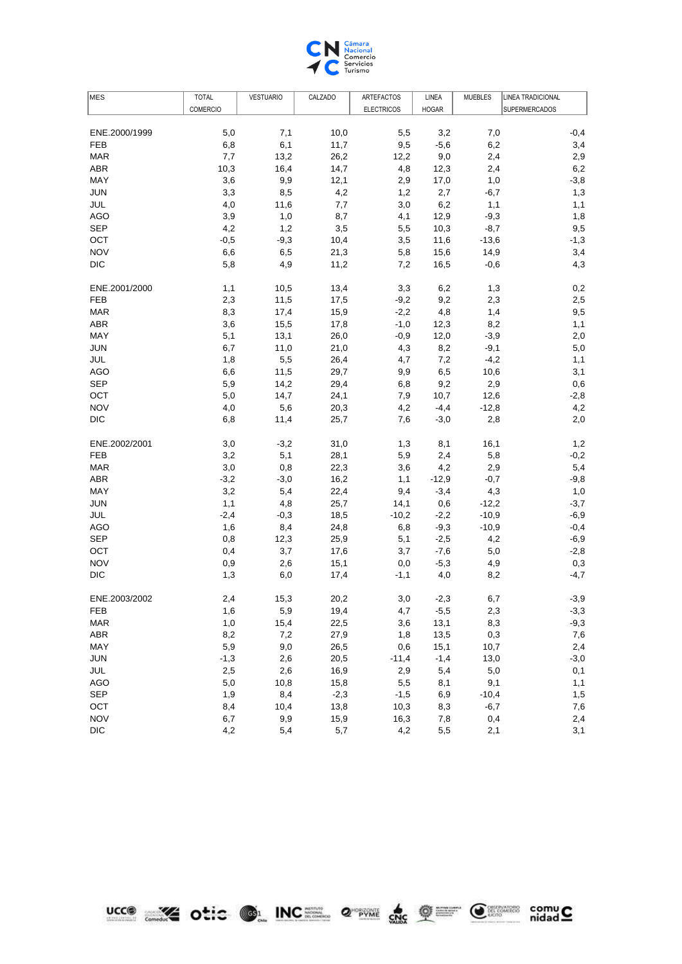

| MES           | <b>TOTAL</b>    | <b>VESTUARIO</b> | CALZADO | ARTEFACTOS        | LINEA        | <b>MUEBLES</b> | <b>LINEA TRADICIONAL</b> |
|---------------|-----------------|------------------|---------|-------------------|--------------|----------------|--------------------------|
|               | <b>COMERCIO</b> |                  |         | <b>ELECTRICOS</b> | <b>HOGAR</b> |                | <b>SUPERMERCADOS</b>     |
|               |                 |                  |         |                   |              |                |                          |
| ENE.2000/1999 | 5,0             | 7,1              | 10,0    | 5,5               | 3,2          | 7,0            | $-0,4$                   |
| <b>FEB</b>    | 6,8             | 6,1              | 11,7    | 9,5               | $-5,6$       | 6,2            | 3,4                      |
| <b>MAR</b>    | 7,7             | 13,2             | 26,2    | 12,2              | 9,0          | 2,4            | 2,9                      |
| <b>ABR</b>    | 10,3            | 16,4             | 14,7    | 4,8               | 12,3         | 2,4            | 6,2                      |
| MAY           | 3,6             | 9,9              | 12,1    | 2,9               | 17,0         | 1,0            | $-3,8$                   |
| <b>JUN</b>    | 3,3             | 8,5              | 4,2     | 1,2               | 2,7          | $-6,7$         | 1,3                      |
| JUL           | 4,0             | 11,6             | 7,7     | 3,0               | 6,2          | 1,1            | 1,1                      |
| <b>AGO</b>    | 3,9             | 1,0              | 8,7     | 4,1               | 12,9         | $-9,3$         | 1,8                      |
| <b>SEP</b>    | 4,2             | 1,2              | 3,5     | 5,5               | 10,3         | $-8,7$         | 9,5                      |
| OCT           | $-0,5$          | $-9,3$           | 10,4    | 3,5               | 11,6         | $-13,6$        | $-1,3$                   |
| <b>NOV</b>    | 6,6             | 6,5              | 21,3    | 5,8               | 15,6         | 14,9           | 3,4                      |
| <b>DIC</b>    | 5,8             | 4,9              | 11,2    | 7,2               | 16,5         | $-0,6$         | 4,3                      |
| ENE.2001/2000 | 1,1             | 10,5             | 13,4    | 3,3               | 6,2          | 1,3            | 0,2                      |
| <b>FEB</b>    | 2,3             | 11,5             | 17,5    | $-9,2$            | 9,2          | 2,3            | 2,5                      |
| <b>MAR</b>    | 8,3             | 17,4             | 15,9    | $-2,2$            | 4,8          | 1,4            | 9,5                      |
| ABR           | 3,6             | 15,5             | 17,8    | $-1,0$            | 12,3         | 8,2            | 1,1                      |
| <b>MAY</b>    | 5,1             | 13,1             | 26,0    | $-0,9$            | 12,0         | $-3,9$         | 2,0                      |
| <b>JUN</b>    | 6,7             | 11,0             | 21,0    | 4,3               | 8,2          | $-9,1$         | 5,0                      |
| JUL           | 1,8             | 5,5              | 26,4    | 4,7               | 7,2          | $-4,2$         | 1,1                      |
| <b>AGO</b>    | 6,6             | 11,5             | 29,7    | 9,9               | 6,5          | 10,6           | 3,1                      |
| <b>SEP</b>    | 5,9             | 14,2             | 29,4    | 6,8               | 9,2          | 2,9            | 0,6                      |
| OCT           | 5,0             | 14,7             | 24,1    | 7,9               | 10,7         | 12,6           | $-2,8$                   |
| <b>NOV</b>    | 4,0             | 5,6              | 20,3    | 4,2               | $-4,4$       | $-12,8$        | 4,2                      |
| <b>DIC</b>    | 6,8             | 11,4             | 25,7    | 7,6               | $-3,0$       | 2,8            | 2,0                      |
| ENE.2002/2001 | 3,0             | $-3,2$           | 31,0    | 1,3               | 8,1          | 16,1           | 1,2                      |
| <b>FEB</b>    | 3,2             | 5,1              | 28,1    | 5,9               | 2,4          | 5,8            | $-0,2$                   |
| <b>MAR</b>    | 3,0             | 0,8              | 22,3    | 3,6               | 4,2          | 2,9            | 5,4                      |
| <b>ABR</b>    | $-3,2$          | $-3,0$           | 16,2    | 1,1               | $-12,9$      | $-0,7$         | $-9,8$                   |
| MAY           | 3,2             | 5,4              | 22,4    | 9,4               | $-3,4$       | 4,3            | 1,0                      |
| <b>JUN</b>    | 1,1             | 4,8              | 25,7    | 14,1              | 0,6          | $-12,2$        | $-3,7$                   |
| JUL           | $-2,4$          | $-0,3$           | 18,5    | $-10,2$           | $-2,2$       | $-10,9$        | $-6,9$                   |
| <b>AGO</b>    | 1,6             | 8,4              | 24,8    | 6,8               | $-9,3$       | $-10,9$        | $-0,4$                   |
| <b>SEP</b>    | 0,8             | 12,3             | 25,9    | 5,1               | $-2,5$       | 4,2            | $-6,9$                   |
| OCT           | 0,4             | 3,7              | 17,6    | 3,7               | $-7,6$       | 5,0            | $-2,8$                   |
| <b>NOV</b>    | 0,9             | 2,6              | 15,1    | 0,0               | $-5,3$       | 4,9            | 0,3                      |
| <b>DIC</b>    | 1,3             | 6,0              | 17,4    | $-1,1$            | 4,0          | 8,2            | $-4,7$                   |
| ENE.2003/2002 | 2,4             | 15,3             | 20,2    | 3,0               | $-2,3$       | 6,7            | $-3,9$                   |
| <b>FEB</b>    | 1,6             | 5,9              | 19,4    | 4,7               | $-5,5$       | 2,3            | $-3,3$                   |
| <b>MAR</b>    | 1,0             | 15,4             | 22,5    | 3,6               | 13,1         | 8,3            | $-9,3$                   |
| <b>ABR</b>    | 8,2             | 7,2              | 27,9    | 1,8               | 13,5         | 0,3            | 7,6                      |
| MAY           | 5,9             | 9,0              | 26,5    | 0,6               | 15,1         | 10,7           | 2,4                      |
| <b>JUN</b>    | $-1,3$          | 2,6              | 20,5    | $-11,4$           | $-1,4$       | 13,0           | $-3,0$                   |
| JUL           | 2,5             | 2,6              | 16,9    | 2,9               | 5,4          | 5,0            | 0,1                      |
| <b>AGO</b>    | $5,0$           | 10,8             | 15,8    | 5,5               | 8,1          | 9,1            | 1,1                      |
| <b>SEP</b>    | 1,9             | 8,4              | $-2,3$  | $-1,5$            | 6,9          | $-10,4$        | 1,5                      |
| OCT           | 8,4             | 10,4             | 13,8    | 10,3              | 8,3          | $-6,7$         | 7,6                      |
| <b>NOV</b>    | 6,7             | 9,9              | 15,9    | 16,3              | 7,8          | 0,4            | 2,4                      |
| <b>DIC</b>    | 4,2             | 5,4              | 5,7     | 4,2               | 5,5          | 2,1            | 3,1                      |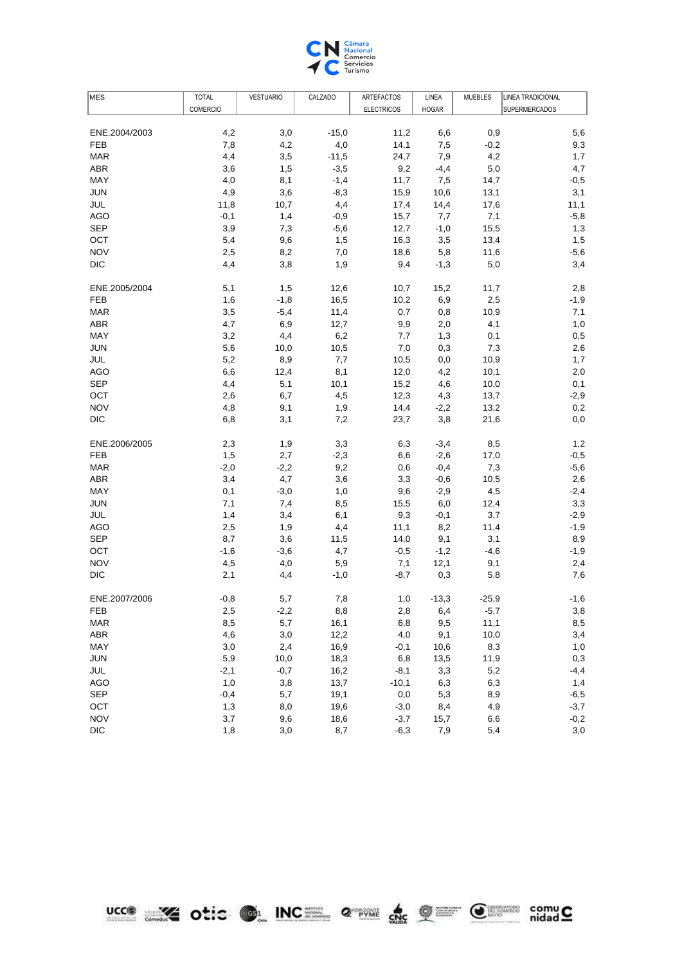

| MES           | <b>TOTAL</b>    | <b>VESTUARIO</b> | CALZADO | ARTEFACTOS        | LINEA        | <b>MUEBLES</b> | <b>LINEA TRADICIONAL</b> |
|---------------|-----------------|------------------|---------|-------------------|--------------|----------------|--------------------------|
|               | <b>COMERCIO</b> |                  |         | <b>ELECTRICOS</b> | <b>HOGAR</b> |                | <b>SUPERMERCADOS</b>     |
|               |                 |                  |         |                   |              |                |                          |
| ENE.2004/2003 | 4,2             | 3,0              | $-15,0$ | 11,2              | 6,6          | 0,9            | 5,6                      |
| <b>FEB</b>    | 7,8             | 4,2              | 4,0     | 14,1              | 7,5          | $-0,2$         | 9,3                      |
| <b>MAR</b>    | 4,4             | 3,5              | $-11,5$ | 24,7              | 7,9          | 4,2            | 1,7                      |
| <b>ABR</b>    | 3,6             | 1,5              | $-3,5$  | 9,2               | $-4,4$       | 5,0            | 4,7                      |
| MAY           | 4,0             | 8,1              | $-1,4$  | 11,7              | 7,5          | 14,7           | $-0,5$                   |
| <b>JUN</b>    | 4,9             | 3,6              | $-8,3$  | 15,9              | 10,6         | 13,1           | 3,1                      |
| JUL           | 11,8            | 10,7             | 4,4     | 17,4              | 14,4         | 17,6           | 11,1                     |
| <b>AGO</b>    | $-0,1$          | 1,4              | $-0,9$  | 15,7              | 7,7          | 7,1            | $-5,8$                   |
| <b>SEP</b>    | 3,9             | 7,3              | $-5,6$  | 12,7              | $-1,0$       | 15,5           | 1,3                      |
| OCT           | 5,4             | 9,6              | 1,5     | 16,3              | 3,5          | 13,4           | 1,5                      |
| <b>NOV</b>    | 2,5             | 8,2              | 7,0     | 18,6              | 5,8          | 11,6           | $-5,6$                   |
| <b>DIC</b>    | 4,4             | 3,8              | 1,9     | 9,4               | $-1,3$       | 5,0            | 3,4                      |
| ENE.2005/2004 | 5,1             | 1,5              | 12,6    | 10,7              | 15,2         | 11,7           | 2,8                      |
| <b>FEB</b>    | 1,6             | $-1,8$           | 16,5    | 10,2              | 6,9          | 2,5            | $-1,9$                   |
| <b>MAR</b>    | 3,5             | $-5,4$           | 11,4    | 0,7               | 0,8          | 10,9           | 7,1                      |
| ABR           | 4,7             | 6,9              | 12,7    | 9,9               | 2,0          | 4,1            | 1,0                      |
| <b>MAY</b>    | 3,2             | 4,4              | 6,2     | 7,7               | 1,3          | 0,1            | 0,5                      |
| <b>JUN</b>    | 5,6             | 10,0             | 10,5    | 7,0               | 0,3          | 7,3            | 2,6                      |
| JUL           | 5,2             | 8,9              | 7,7     | 10,5              | $_{0,0}$     | 10,9           | 1,7                      |
| <b>AGO</b>    | 6,6             | 12,4             | 8,1     | 12,0              | 4,2          | 10,1           | 2,0                      |
| <b>SEP</b>    | 4,4             | 5,1              | 10,1    | 15,2              | 4,6          | 10,0           | 0,1                      |
| OCT           | 2,6             | 6,7              | 4,5     | 12,3              | 4,3          | 13,7           | $-2,9$                   |
| <b>NOV</b>    | 4,8             | 9,1              | 1,9     | 14,4              | $-2,2$       | 13,2           | 0,2                      |
| <b>DIC</b>    | 6,8             | 3,1              | 7,2     | 23,7              | 3,8          | 21,6           | 0,0                      |
| ENE.2006/2005 | 2,3             | 1,9              | 3,3     | 6,3               | $-3,4$       | 8,5            | 1,2                      |
| <b>FEB</b>    | 1,5             | 2,7              | $-2,3$  | 6,6               | $-2,6$       | 17,0           | $-0,5$                   |
| <b>MAR</b>    | $-2,0$          | $-2,2$           | 9,2     | 0,6               | $-0,4$       | 7,3            | $-5,6$                   |
| <b>ABR</b>    | 3,4             | 4,7              | 3,6     | 3,3               | $-0,6$       | 10,5           | 2,6                      |
| MAY           | 0,1             | $-3,0$           | 1,0     | 9,6               | $-2,9$       | 4,5            | $-2,4$                   |
| <b>JUN</b>    | 7,1             | 7,4              | 8,5     | 15,5              | 6,0          | 12,4           | 3,3                      |
| <b>JUL</b>    | 1,4             | 3,4              | 6,1     | 9,3               | $-0,1$       | 3,7            | $-2,9$                   |
| <b>AGO</b>    | 2,5             | 1,9              | 4,4     | 11,1              | 8,2          | 11,4           | $-1,9$                   |
| <b>SEP</b>    | 8,7             | 3,6              | 11,5    | 14,0              | 9,1          | 3,1            | 8,9                      |
| OCT           | $-1,6$          | $-3,6$           | 4,7     | $-0,5$            | $-1,2$       | $-4,6$         | $-1,9$                   |
| <b>NOV</b>    | 4,5             | 4,0              | 5,9     | 7,1               | 12,1         | 9,1            | 2,4                      |
| <b>DIC</b>    | 2,1             | 4,4              | $-1,0$  | $-8,7$            | 0,3          | 5,8            | 7,6                      |
| ENE.2007/2006 | $-0,8$          | 5,7              | 7,8     | 1,0               | $-13,3$      | $-25,9$        | $-1,6$                   |
| <b>FEB</b>    | 2,5             | $-2,2$           | 8,8     | 2,8               | 6,4          | $-5,7$         | 3,8                      |
| <b>MAR</b>    | 8,5             | 5,7              | 16,1    | 6,8               | 9,5          | 11,1           | 8,5                      |
| <b>ABR</b>    | 4,6             | 3,0              | 12,2    | 4,0               | 9,1          | 10,0           | 3,4                      |
| MAY           | 3,0             | 2,4              | 16,9    | $-0,1$            | 10,6         | 8,3            | 1,0                      |
| <b>JUN</b>    | 5,9             | 10,0             | 18,3    | 6,8               | 13,5         | 11,9           | 0,3                      |
| JUL           | $-2,1$          | $-0,7$           | 16,2    | $-8,1$            | 3,3          | 5,2            | $-4,4$                   |
| <b>AGO</b>    | 1,0             | 3,8              | 13,7    | $-10,1$           | 6,3          | 6,3            | 1,4                      |
| <b>SEP</b>    | $-0,4$          | 5,7              | 19,1    | $_{0,0}$          | 5,3          | 8,9            | $-6,5$                   |
| OCT           | 1,3             | 8,0              | 19,6    | $-3,0$            | 8,4          | 4,9            | $-3,7$                   |
| <b>NOV</b>    | 3,7             | 9,6              | 18,6    | $-3,7$            | 15,7         | 6,6            | $-0,2$                   |
| <b>DIC</b>    | 1,8             | 3,0              | 8,7     | $-6,3$            | 7,9          | 5,4            | 3,0                      |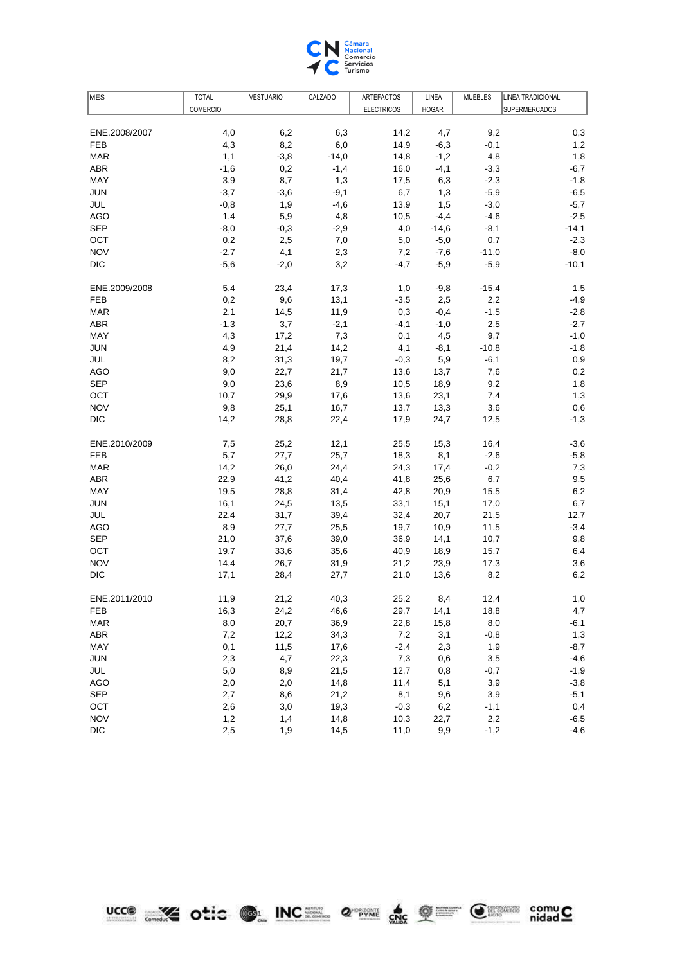

| MES           | <b>TOTAL</b>    | <b>VESTUARIO</b> | CALZADO | ARTEFACTOS        | LINEA        | <b>MUEBLES</b> | <b>LINEA TRADICIONAL</b> |
|---------------|-----------------|------------------|---------|-------------------|--------------|----------------|--------------------------|
|               | <b>COMERCIO</b> |                  |         | <b>ELECTRICOS</b> | <b>HOGAR</b> |                | <b>SUPERMERCADOS</b>     |
|               |                 |                  |         |                   |              |                |                          |
| ENE.2008/2007 | 4,0             | 6,2              | 6,3     | 14,2              | 4,7          | 9,2            | 0,3                      |
| FEB           | 4,3             | 8,2              | 6,0     | 14,9              | $-6,3$       | $-0,1$         | 1,2                      |
| <b>MAR</b>    | 1,1             | $-3,8$           | $-14,0$ | 14,8              | $-1,2$       | 4,8            | 1,8                      |
| <b>ABR</b>    | $-1,6$          | 0,2              | $-1,4$  | 16,0              | $-4,1$       | $-3,3$         | $-6,7$                   |
| MAY           | 3,9             | 8,7              | 1,3     | 17,5              | 6,3          | $-2,3$         | $-1,8$                   |
| <b>JUN</b>    | $-3,7$          | $-3,6$           | $-9,1$  | 6,7               | 1,3          | $-5,9$         | $-6,5$                   |
| JUL           | $-0,8$          | 1,9              | $-4,6$  | 13,9              | 1,5          | $-3,0$         | $-5,7$                   |
| AGO           | 1,4             | 5,9              | 4,8     | 10,5              | $-4,4$       | $-4,6$         | $-2,5$                   |
| <b>SEP</b>    | $-8,0$          | $-0,3$           | $-2,9$  | 4,0               | $-14,6$      | $-8,1$         | $-14,1$                  |
| OCT           | 0,2             | 2,5              | 7,0     | 5,0               | $-5,0$       | 0,7            | $-2,3$                   |
| <b>NOV</b>    | $-2,7$          | 4,1              | 2,3     | 7,2               | $-7,6$       | $-11,0$        | $-8,0$                   |
| <b>DIC</b>    | $-5,6$          | $-2,0$           | 3,2     | $-4,7$            | $-5,9$       | $-5,9$         | $-10,1$                  |
| ENE.2009/2008 | 5,4             | 23,4             | 17,3    | 1,0               | $-9,8$       | $-15,4$        | 1,5                      |
| <b>FEB</b>    | 0,2             | 9,6              | 13,1    | $-3,5$            | 2,5          | 2,2            | $-4,9$                   |
| <b>MAR</b>    | 2,1             | 14,5             | 11,9    | 0,3               | $-0,4$       | $-1,5$         | $-2,8$                   |
| ABR           | $-1,3$          | 3,7              | $-2,1$  | $-4,1$            | $-1,0$       | 2,5            | $-2,7$                   |
| MAY           | 4,3             | 17,2             | 7,3     | 0,1               | 4,5          | 9,7            | $-1,0$                   |
| JUN           | 4,9             | 21,4             | 14,2    | 4,1               | $-8,1$       | $-10,8$        | $-1,8$                   |
| JUL           | 8,2             | 31,3             | 19,7    | $-0,3$            | 5,9          | $-6,1$         | 0,9                      |
| <b>AGO</b>    | 9,0             | 22,7             | 21,7    | 13,6              | 13,7         | 7,6            | 0,2                      |
| <b>SEP</b>    | 9,0             | 23,6             | 8,9     | 10,5              | 18,9         | 9,2            | 1,8                      |
| OCT           | 10,7            | 29,9             | 17,6    | 13,6              | 23,1         | 7,4            | 1,3                      |
| <b>NOV</b>    | 9,8             | 25,1             | 16,7    | 13,7              | 13,3         | 3,6            | 0,6                      |
| <b>DIC</b>    | 14,2            | 28,8             | 22,4    | 17,9              | 24,7         | 12,5           | $-1,3$                   |
| ENE.2010/2009 | 7,5             | 25,2             | 12,1    | 25,5              | 15,3         | 16,4           | $-3,6$                   |
| FEB           | 5,7             | 27,7             | 25,7    | 18,3              | 8,1          | $-2,6$         | $-5,8$                   |
| <b>MAR</b>    | 14,2            | 26,0             | 24,4    | 24,3              | 17,4         | $-0,2$         | 7,3                      |
| <b>ABR</b>    | 22,9            | 41,2             | 40,4    | 41,8              | 25,6         | 6,7            | 9,5                      |
| MAY           | 19,5            | 28,8             | 31,4    | 42,8              | 20,9         | 15,5           | 6,2                      |
| <b>JUN</b>    | 16,1            | 24,5             | 13,5    | 33,1              | 15,1         | 17,0           | 6,7                      |
| JUL           | 22,4            | 31,7             | 39,4    | 32,4              | 20,7         | 21,5           | 12,7                     |
| <b>AGO</b>    | 8,9             | 27,7             | 25,5    | 19,7              | 10,9         | 11,5           | $-3,4$                   |
| <b>SEP</b>    | 21,0            | 37,6             | 39,0    | 36,9              | 14,1         | 10,7           | 9,8                      |
| OCT           | 19,7            | 33,6             | 35,6    | 40,9              | 18,9         | 15,7           | 6,4                      |
| <b>NOV</b>    | 14,4            | 26,7             | 31,9    | 21,2              | 23,9         | 17,3           | 3,6                      |
| <b>DIC</b>    | 17,1            | 28,4             | 27,7    | 21,0              | 13,6         | 8,2            | 6,2                      |
| ENE.2011/2010 | 11,9            | 21,2             | 40,3    | 25,2              | 8,4          | 12,4           | 1,0                      |
| FEB           | 16,3            | 24,2             | 46,6    | 29,7              | 14,1         | 18,8           | 4,7                      |
| <b>MAR</b>    | 8,0             | 20,7             | 36,9    | 22,8              | 15,8         | 8,0            | $-6,1$                   |
| <b>ABR</b>    | 7,2             | 12,2             | 34,3    | 7,2               | 3,1          | $-0,8$         | 1,3                      |
| MAY           | 0,1             | 11,5             | 17,6    | $-2,4$            | 2,3          | 1,9            | $-8,7$                   |
| <b>JUN</b>    | 2,3             | 4,7              | 22,3    | 7,3               | 0,6          | 3,5            | $-4,6$                   |
| JUL           | $5,0$           | 8,9              | 21,5    | 12,7              | 0,8          | $-0,7$         | $-1,9$                   |
| <b>AGO</b>    | $2,0$           | 2,0              | 14,8    | 11,4              | 5,1          | 3,9            | $-3,8$                   |
| <b>SEP</b>    | 2,7             | 8,6              | 21,2    | 8,1               | 9,6          | 3,9            | $-5,1$                   |
| OCT           | 2,6             | 3,0              | 19,3    | $-0,3$            | 6,2          | $-1,1$         | 0,4                      |
| <b>NOV</b>    | 1,2             | 1,4              | 14,8    | 10,3              | 22,7         | 2,2            | $-6,5$                   |
| <b>DIC</b>    | 2,5             | 1,9              | 14,5    | 11,0              | 9,9          | $-1,2$         | $-4,6$                   |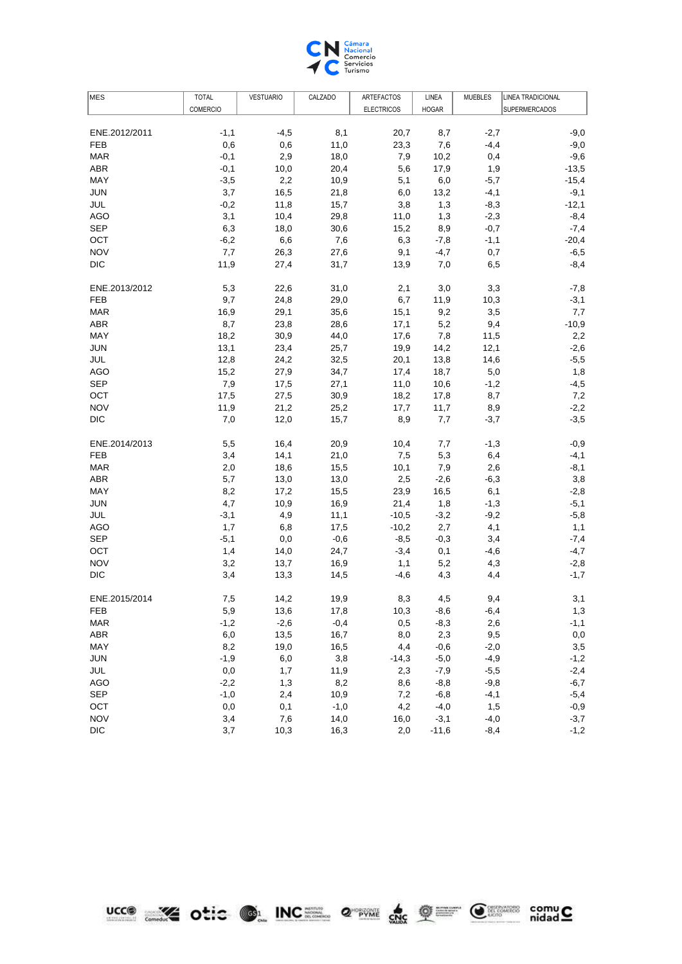

| MES           | <b>TOTAL</b>    | <b>VESTUARIO</b> | CALZADO | ARTEFACTOS        | LINEA        | <b>MUEBLES</b> | <b>LINEA TRADICIONAL</b> |
|---------------|-----------------|------------------|---------|-------------------|--------------|----------------|--------------------------|
|               | <b>COMERCIO</b> |                  |         | <b>ELECTRICOS</b> | <b>HOGAR</b> |                | <b>SUPERMERCADOS</b>     |
|               |                 |                  |         |                   |              |                |                          |
| ENE.2012/2011 | $-1,1$          | $-4,5$           | 8,1     | 20,7              | 8,7          | $-2,7$         | $-9,0$                   |
| <b>FEB</b>    | 0,6             | 0,6              | 11,0    | 23,3              | 7,6          | $-4,4$         | $-9,0$                   |
| <b>MAR</b>    | $-0,1$          | 2,9              | 18,0    | 7,9               | 10,2         | 0,4            | $-9,6$                   |
| <b>ABR</b>    | $-0,1$          | 10,0             | 20,4    | 5,6               | 17,9         | 1,9            | $-13,5$                  |
| MAY           | $-3,5$          | 2,2              | 10,9    | 5,1               | 6,0          | $-5,7$         | $-15,4$                  |
| <b>JUN</b>    | 3,7             | 16,5             | 21,8    | 6,0               | 13,2         | $-4,1$         | $-9,1$                   |
| JUL           | $-0,2$          | 11,8             | 15,7    | 3,8               | 1,3          | $-8,3$         | $-12,1$                  |
| <b>AGO</b>    | 3,1             | 10,4             | 29,8    | 11,0              | 1,3          | $-2,3$         | $-8,4$                   |
| <b>SEP</b>    | 6,3             | 18,0             | 30,6    | 15,2              | 8,9          | $-0,7$         | $-7,4$                   |
| OCT           | $-6,2$          | 6,6              | 7,6     | 6,3               | $-7,8$       | $-1,1$         | $-20,4$                  |
| <b>NOV</b>    | 7,7             | 26,3             | 27,6    | 9,1               | $-4,7$       | 0,7            | $-6,5$                   |
| <b>DIC</b>    | 11,9            | 27,4             | 31,7    | 13,9              | 7,0          | 6,5            | $-8,4$                   |
| ENE.2013/2012 | 5,3             | 22,6             | 31,0    | 2,1               | 3,0          | 3,3            | $-7,8$                   |
| <b>FEB</b>    | 9,7             | 24,8             | 29,0    | 6,7               | 11,9         | 10,3           | $-3,1$                   |
| <b>MAR</b>    | 16,9            | 29,1             | 35,6    | 15,1              | 9,2          | 3,5            | 7,7                      |
| ABR           | 8,7             | 23,8             | 28,6    | 17,1              | 5,2          | 9,4            | $-10,9$                  |
| <b>MAY</b>    | 18,2            | 30,9             | 44,0    | 17,6              | 7,8          | 11,5           | 2,2                      |
| JUN           | 13,1            | 23,4             | 25,7    | 19,9              | 14,2         | 12,1           | $-2,6$                   |
| JUL           | 12,8            | 24,2             | 32,5    | 20,1              | 13,8         | 14,6           | $-5,5$                   |
| <b>AGO</b>    | 15,2            | 27,9             | 34,7    | 17,4              | 18,7         | 5,0            | 1,8                      |
| <b>SEP</b>    | 7,9             | 17,5             | 27,1    | 11,0              | 10,6         | $-1,2$         | $-4,5$                   |
| OCT           | 17,5            | 27,5             | 30,9    | 18,2              | 17,8         | 8,7            | 7,2                      |
| <b>NOV</b>    | 11,9            | 21,2             | 25,2    | 17,7              | 11,7         | 8,9            | $-2,2$                   |
| <b>DIC</b>    | 7,0             | 12,0             | 15,7    | 8,9               | 7,7          | $-3,7$         | $-3,5$                   |
| ENE.2014/2013 | 5,5             | 16,4             | 20,9    | 10,4              | 7,7          | $-1,3$         | $-0,9$                   |
| <b>FEB</b>    | 3,4             | 14,1             | 21,0    | 7,5               | 5,3          | 6,4            | $-4,1$                   |
| <b>MAR</b>    | 2,0             | 18,6             | 15,5    | 10,1              | 7,9          | 2,6            | $-8,1$                   |
| <b>ABR</b>    | 5,7             | 13,0             | 13,0    | 2,5               | $-2,6$       | $-6,3$         | 3,8                      |
| MAY           | 8,2             | 17,2             | 15,5    | 23,9              | 16,5         | 6,1            | $-2,8$                   |
| <b>JUN</b>    | 4,7             | 10,9             | 16,9    | 21,4              | 1,8          | $-1,3$         | $-5,1$                   |
| <b>JUL</b>    | $-3,1$          | 4,9              | 11,1    | $-10,5$           | $-3,2$       | $-9,2$         | $-5,8$                   |
| <b>AGO</b>    | 1,7             | 6,8              | 17,5    | $-10,2$           | 2,7          | 4,1            | 1,1                      |
| <b>SEP</b>    | $-5,1$          | 0,0              | $-0,6$  | $-8,5$            | $-0,3$       | 3,4            | $-7,4$                   |
| OCT           | 1,4             | 14,0             | 24,7    | $-3,4$            | 0,1          | $-4,6$         | $-4,7$                   |
| <b>NOV</b>    | 3,2             | 13,7             | 16,9    | 1,1               | 5,2          | 4,3            | $-2,8$                   |
| <b>DIC</b>    | 3,4             | 13,3             | 14,5    | $-4,6$            | 4,3          | 4,4            | $-1,7$                   |
| ENE.2015/2014 | 7,5             | 14,2             | 19,9    | 8,3               | 4,5          | 9,4            | 3,1                      |
| <b>FEB</b>    | 5,9             | 13,6             | 17,8    | 10,3              | $-8,6$       | $-6,4$         | 1,3                      |
| <b>MAR</b>    | $-1,2$          | $-2,6$           | $-0,4$  | 0,5               | $-8,3$       | 2,6            | $-1,1$                   |
| <b>ABR</b>    | $_{6,0}$        | 13,5             | 16,7    | 8,0               | 2,3          | 9,5            | $_{0,0}$                 |
| MAY           | 8,2             | 19,0             | 16,5    | 4,4               | $-0,6$       | $-2,0$         | 3,5                      |
| <b>JUN</b>    | $-1,9$          | 6,0              | 3,8     | $-14,3$           | $-5,0$       | $-4,9$         | $-1,2$                   |
| JUL           | $_{\rm 0,0}$    | 1,7              | 11,9    | 2,3               | $-7,9$       | $-5,5$         | $-2,4$                   |
| <b>AGO</b>    | $-2,2$          | 1,3              | 8,2     | 8,6               | $-8,8$       | $-9,8$         | $-6,7$                   |
| <b>SEP</b>    | $-1,0$          | 2,4              | 10,9    | 7,2               | $-6,8$       | $-4,1$         | $-5,4$                   |
| OCT           | 0,0             | 0,1              | $-1,0$  | 4,2               | $-4,0$       | 1,5            | $-0,9$                   |
| <b>NOV</b>    | 3,4             | 7,6              | 14,0    | 16,0              | $-3,1$       | $-4,0$         | $-3,7$                   |
| <b>DIC</b>    | 3,7             | 10,3             | 16,3    | 2,0               | $-11,6$      | $-8,4$         | $-1,2$                   |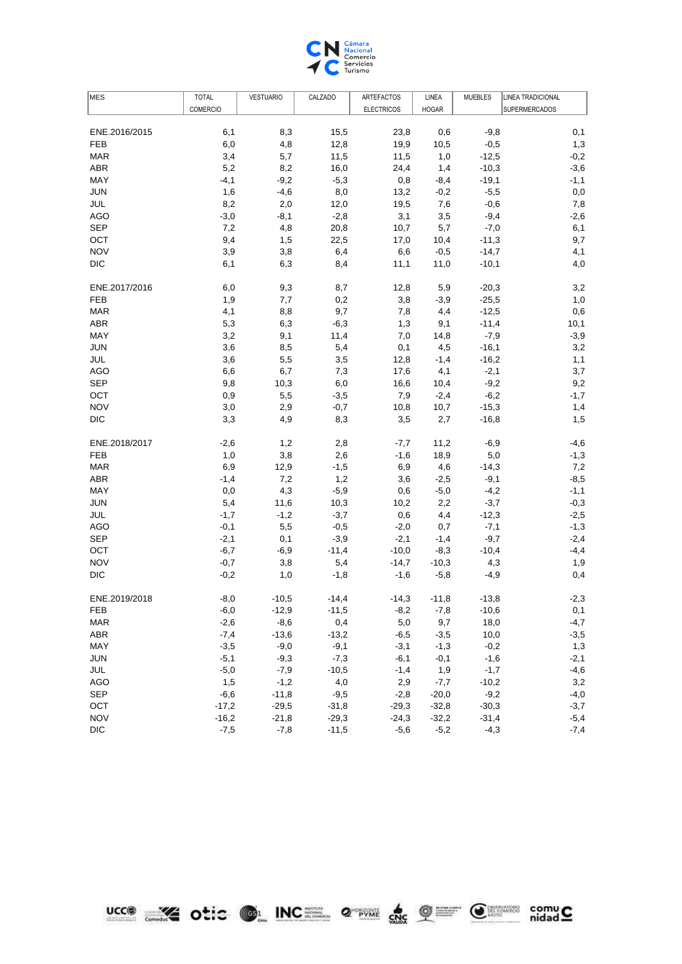

| <b>COMERCIO</b><br><b>ELECTRICOS</b><br><b>HOGAR</b><br><b>SUPERMERCADOS</b><br>6,1<br>15,5<br>23,8<br>$-9,8$<br>ENE.2016/2015<br>8,3<br>0,6<br>0,1<br><b>FEB</b><br>6,0<br>4,8<br>12,8<br>19,9<br>$-0,5$<br>1,3<br>10,5<br>3,4<br>$-0,2$<br><b>MAR</b><br>5,7<br>11,5<br>11,5<br>1,0<br>$-12,5$<br><b>ABR</b><br>5,2<br>8,2<br>$-10,3$<br>$-3,6$<br>16,0<br>24,4<br>1,4<br>MAY<br>$-4,1$<br>$-9,2$<br>$-5,3$<br>$-19,1$<br>$-1,1$<br>0,8<br>$-8,4$<br><b>JUN</b><br>1,6<br>$-4,6$<br>8,0<br>$_{0,0}$<br>13,2<br>$-0,2$<br>$-5,5$<br>8,2<br>JUL<br>2,0<br>12,0<br>19,5<br>7,6<br>$-0,6$<br>7,8<br><b>AGO</b><br>$-3,0$<br>$-2,6$<br>$-8,1$<br>$-2,8$<br>3,1<br>3,5<br>$-9,4$<br><b>SEP</b><br>4,8<br>20,8<br>$-7,0$<br>7,2<br>10,7<br>5,7<br>6,1<br>OCT<br>9,4<br>9,7<br>1,5<br>22,5<br>17,0<br>10,4<br>$-11,3$<br><b>NOV</b><br>4,1<br>3,9<br>3,8<br>6,4<br>6,6<br>$-0,5$<br>$-14,7$<br><b>DIC</b><br>6,1<br>6,3<br>8,4<br>11,1<br>11,0<br>$-10,1$<br>4,0<br>ENE.2017/2016<br>6,0<br>9,3<br>8,7<br>12,8<br>5,9<br>$-20,3$<br>3,2<br>0,2<br>$-25,5$<br>FEB<br>1,9<br>7,7<br>3,8<br>$-3,9$<br>1,0<br>4,1<br>9,7<br>$-12,5$<br>0,6<br><b>MAR</b><br>8,8<br>7,8<br>4,4<br><b>ABR</b><br>5,3<br>$-11,4$<br>10,1<br>6,3<br>$-6,3$<br>1,3<br>9,1<br>MAY<br>3,2<br>$-3,9$<br>9,1<br>11,4<br>7,0<br>14,8<br>$-7,9$<br><b>JUN</b><br>3,6<br>$-16,1$<br>8,5<br>5,4<br>0,1<br>4,5<br>3,2<br>JUL<br>3,6<br>$-16,2$<br>1,1<br>5,5<br>3,5<br>12,8<br>$-1,4$<br><b>AGO</b><br>6,6<br>7,3<br>$-2,1$<br>3,7<br>6,7<br>17,6<br>4,1<br><b>SEP</b><br>9,8<br>10,3<br>6,0<br>$-9,2$<br>9,2<br>16,6<br>10,4<br>OCT<br>0,9<br>5,5<br>$-3,5$<br>7,9<br>$-2,4$<br>$-6,2$<br>$-1,7$<br><b>NOV</b><br>3,0<br>2,9<br>$-15,3$<br>$-0,7$<br>10,8<br>10,7<br>1,4<br><b>DIC</b><br>3,3<br>$-16,8$<br>1,5<br>4,9<br>8,3<br>3,5<br>2,7<br>ENE.2018/2017<br>$-2,6$<br>1,2<br>2,8<br>11,2<br>$-6,9$<br>$-4,6$<br>-7,7<br><b>FEB</b><br>1,0<br>3,8<br>2,6<br>18,9<br>5,0<br>$-1,3$<br>$-1,6$<br><b>MAR</b><br>6,9<br>12,9<br>6,9<br>4,6<br>$-14,3$<br>7,2<br>$-1,5$<br>7,2<br>$-8,5$<br>ABR<br>$-1,4$<br>1,2<br>3,6<br>$-2,5$<br>$-9,1$<br><b>MAY</b><br>4,3<br>$-1,1$<br>0,0<br>$-5,9$<br>0,6<br>$-5,0$<br>$-4,2$<br><b>JUN</b><br>5,4<br>$-3,7$<br>$-0,3$<br>11,6<br>10,3<br>10,2<br>2,2<br><b>JUL</b><br>$-2,5$<br>$-1,7$<br>$-1,2$<br>$-3,7$<br>0,6<br>4,4<br>$-12,3$<br>5,5<br>$-1,3$<br>AGO<br>$-0,1$<br>$-0,5$<br>$-2,0$<br>0,7<br>$-7,1$<br><b>SEP</b><br>$-3,9$<br>$-2,1$<br>$-2,4$<br>$-2,1$<br>0,1<br>$-1,4$<br>$-9,7$<br>OCT<br>$-6,7$<br>$-11,4$<br>$-10,0$<br>$-10,4$<br>$-4,4$<br>$-6,9$<br>$-8,3$<br><b>NOV</b><br>$-0,7$<br>3,8<br>5,4<br>$-14,7$<br>$-10,3$<br>4,3<br>1,9<br><b>DIC</b><br>$-0,2$<br>$-5,8$<br>0,4<br>1,0<br>$-1,8$<br>$-1,6$<br>-4,9<br>ENE.2019/2018<br>$-10,5$<br>$-14,4$<br>$-14,3$<br>$-13,8$<br>$-2,3$<br>-8,0<br>$-11,8$<br>FEB<br>$-6,0$<br>$-12,9$<br>$-11,5$<br>$-8,2$<br>$-7,8$<br>$-10,6$<br>0,1<br>$-4,7$<br>$-8,6$<br>0,4<br>5,0<br>9,7<br>18,0<br><b>MAR</b><br>$-2,6$<br>$-13,6$<br>$-13,2$<br>10,0<br>ABR<br>$-7,4$<br>$-6,5$<br>$-3,5$<br>$-3,5$<br>MAY<br>$-3,5$<br>$-9,0$<br>$-9,1$<br>$-1,3$<br>$-0,2$<br>1,3<br>$-3,1$<br><b>JUN</b><br>$-5,1$<br>$-9,3$<br>$-7,3$<br>$-6,1$<br>$-0,1$<br>$-1,6$<br>$-2,1$<br>JUL<br>$-5,0$<br>$-7,9$<br>$-10,5$<br>$-1,4$<br>1,9<br>$-1,7$<br>$-4,6$<br><b>AGO</b><br>1,5<br>$-1,2$<br>4,0<br>$-10,2$<br>3,2<br>2,9<br>$-7,7$<br><b>SEP</b><br>$-11,8$<br>$-9,5$<br>$-20,0$<br>$-9,2$<br>$-4,0$<br>$-6,6$<br>$-2,8$<br>OCT<br>$-3,7$<br>$-17,2$<br>$-29,5$<br>$-31,8$<br>$-29,3$<br>$-32,8$<br>$-30,3$<br><b>NOV</b><br>$-16,2$<br>$-21,8$<br>$-29,3$<br>$-24,3$<br>$-32,2$<br>$-31,4$<br>$-5,4$<br><b>DIC</b><br>$-7,5$<br>$-7,8$<br>$-11,5$<br>$-5,6$<br>$-5,2$<br>$-4,3$<br>$-7,4$ | MES | <b>TOTAL</b> | <b>VESTUARIO</b> | CALZADO | ARTEFACTOS | LINEA | <b>MUEBLES</b> | <b>LINEA TRADICIONAL</b> |
|-------------------------------------------------------------------------------------------------------------------------------------------------------------------------------------------------------------------------------------------------------------------------------------------------------------------------------------------------------------------------------------------------------------------------------------------------------------------------------------------------------------------------------------------------------------------------------------------------------------------------------------------------------------------------------------------------------------------------------------------------------------------------------------------------------------------------------------------------------------------------------------------------------------------------------------------------------------------------------------------------------------------------------------------------------------------------------------------------------------------------------------------------------------------------------------------------------------------------------------------------------------------------------------------------------------------------------------------------------------------------------------------------------------------------------------------------------------------------------------------------------------------------------------------------------------------------------------------------------------------------------------------------------------------------------------------------------------------------------------------------------------------------------------------------------------------------------------------------------------------------------------------------------------------------------------------------------------------------------------------------------------------------------------------------------------------------------------------------------------------------------------------------------------------------------------------------------------------------------------------------------------------------------------------------------------------------------------------------------------------------------------------------------------------------------------------------------------------------------------------------------------------------------------------------------------------------------------------------------------------------------------------------------------------------------------------------------------------------------------------------------------------------------------------------------------------------------------------------------------------------------------------------------------------------------------------------------------------------------------------------------------------------------------------------------------------------------------------------------------------------------------------------------------------------------------------------------------------------------------------------------------------------------------------------------------------------------------------------------------------------------------------------------------------------------------------------------------------------------------------------------------------------------------------------------------------------------------------------------------------------------------------------------------------------------------------------------------------------------------------|-----|--------------|------------------|---------|------------|-------|----------------|--------------------------|
|                                                                                                                                                                                                                                                                                                                                                                                                                                                                                                                                                                                                                                                                                                                                                                                                                                                                                                                                                                                                                                                                                                                                                                                                                                                                                                                                                                                                                                                                                                                                                                                                                                                                                                                                                                                                                                                                                                                                                                                                                                                                                                                                                                                                                                                                                                                                                                                                                                                                                                                                                                                                                                                                                                                                                                                                                                                                                                                                                                                                                                                                                                                                                                                                                                                                                                                                                                                                                                                                                                                                                                                                                                                                                                                                           |     |              |                  |         |            |       |                |                          |
|                                                                                                                                                                                                                                                                                                                                                                                                                                                                                                                                                                                                                                                                                                                                                                                                                                                                                                                                                                                                                                                                                                                                                                                                                                                                                                                                                                                                                                                                                                                                                                                                                                                                                                                                                                                                                                                                                                                                                                                                                                                                                                                                                                                                                                                                                                                                                                                                                                                                                                                                                                                                                                                                                                                                                                                                                                                                                                                                                                                                                                                                                                                                                                                                                                                                                                                                                                                                                                                                                                                                                                                                                                                                                                                                           |     |              |                  |         |            |       |                |                          |
|                                                                                                                                                                                                                                                                                                                                                                                                                                                                                                                                                                                                                                                                                                                                                                                                                                                                                                                                                                                                                                                                                                                                                                                                                                                                                                                                                                                                                                                                                                                                                                                                                                                                                                                                                                                                                                                                                                                                                                                                                                                                                                                                                                                                                                                                                                                                                                                                                                                                                                                                                                                                                                                                                                                                                                                                                                                                                                                                                                                                                                                                                                                                                                                                                                                                                                                                                                                                                                                                                                                                                                                                                                                                                                                                           |     |              |                  |         |            |       |                |                          |
|                                                                                                                                                                                                                                                                                                                                                                                                                                                                                                                                                                                                                                                                                                                                                                                                                                                                                                                                                                                                                                                                                                                                                                                                                                                                                                                                                                                                                                                                                                                                                                                                                                                                                                                                                                                                                                                                                                                                                                                                                                                                                                                                                                                                                                                                                                                                                                                                                                                                                                                                                                                                                                                                                                                                                                                                                                                                                                                                                                                                                                                                                                                                                                                                                                                                                                                                                                                                                                                                                                                                                                                                                                                                                                                                           |     |              |                  |         |            |       |                |                          |
|                                                                                                                                                                                                                                                                                                                                                                                                                                                                                                                                                                                                                                                                                                                                                                                                                                                                                                                                                                                                                                                                                                                                                                                                                                                                                                                                                                                                                                                                                                                                                                                                                                                                                                                                                                                                                                                                                                                                                                                                                                                                                                                                                                                                                                                                                                                                                                                                                                                                                                                                                                                                                                                                                                                                                                                                                                                                                                                                                                                                                                                                                                                                                                                                                                                                                                                                                                                                                                                                                                                                                                                                                                                                                                                                           |     |              |                  |         |            |       |                |                          |
|                                                                                                                                                                                                                                                                                                                                                                                                                                                                                                                                                                                                                                                                                                                                                                                                                                                                                                                                                                                                                                                                                                                                                                                                                                                                                                                                                                                                                                                                                                                                                                                                                                                                                                                                                                                                                                                                                                                                                                                                                                                                                                                                                                                                                                                                                                                                                                                                                                                                                                                                                                                                                                                                                                                                                                                                                                                                                                                                                                                                                                                                                                                                                                                                                                                                                                                                                                                                                                                                                                                                                                                                                                                                                                                                           |     |              |                  |         |            |       |                |                          |
|                                                                                                                                                                                                                                                                                                                                                                                                                                                                                                                                                                                                                                                                                                                                                                                                                                                                                                                                                                                                                                                                                                                                                                                                                                                                                                                                                                                                                                                                                                                                                                                                                                                                                                                                                                                                                                                                                                                                                                                                                                                                                                                                                                                                                                                                                                                                                                                                                                                                                                                                                                                                                                                                                                                                                                                                                                                                                                                                                                                                                                                                                                                                                                                                                                                                                                                                                                                                                                                                                                                                                                                                                                                                                                                                           |     |              |                  |         |            |       |                |                          |
|                                                                                                                                                                                                                                                                                                                                                                                                                                                                                                                                                                                                                                                                                                                                                                                                                                                                                                                                                                                                                                                                                                                                                                                                                                                                                                                                                                                                                                                                                                                                                                                                                                                                                                                                                                                                                                                                                                                                                                                                                                                                                                                                                                                                                                                                                                                                                                                                                                                                                                                                                                                                                                                                                                                                                                                                                                                                                                                                                                                                                                                                                                                                                                                                                                                                                                                                                                                                                                                                                                                                                                                                                                                                                                                                           |     |              |                  |         |            |       |                |                          |
|                                                                                                                                                                                                                                                                                                                                                                                                                                                                                                                                                                                                                                                                                                                                                                                                                                                                                                                                                                                                                                                                                                                                                                                                                                                                                                                                                                                                                                                                                                                                                                                                                                                                                                                                                                                                                                                                                                                                                                                                                                                                                                                                                                                                                                                                                                                                                                                                                                                                                                                                                                                                                                                                                                                                                                                                                                                                                                                                                                                                                                                                                                                                                                                                                                                                                                                                                                                                                                                                                                                                                                                                                                                                                                                                           |     |              |                  |         |            |       |                |                          |
|                                                                                                                                                                                                                                                                                                                                                                                                                                                                                                                                                                                                                                                                                                                                                                                                                                                                                                                                                                                                                                                                                                                                                                                                                                                                                                                                                                                                                                                                                                                                                                                                                                                                                                                                                                                                                                                                                                                                                                                                                                                                                                                                                                                                                                                                                                                                                                                                                                                                                                                                                                                                                                                                                                                                                                                                                                                                                                                                                                                                                                                                                                                                                                                                                                                                                                                                                                                                                                                                                                                                                                                                                                                                                                                                           |     |              |                  |         |            |       |                |                          |
|                                                                                                                                                                                                                                                                                                                                                                                                                                                                                                                                                                                                                                                                                                                                                                                                                                                                                                                                                                                                                                                                                                                                                                                                                                                                                                                                                                                                                                                                                                                                                                                                                                                                                                                                                                                                                                                                                                                                                                                                                                                                                                                                                                                                                                                                                                                                                                                                                                                                                                                                                                                                                                                                                                                                                                                                                                                                                                                                                                                                                                                                                                                                                                                                                                                                                                                                                                                                                                                                                                                                                                                                                                                                                                                                           |     |              |                  |         |            |       |                |                          |
|                                                                                                                                                                                                                                                                                                                                                                                                                                                                                                                                                                                                                                                                                                                                                                                                                                                                                                                                                                                                                                                                                                                                                                                                                                                                                                                                                                                                                                                                                                                                                                                                                                                                                                                                                                                                                                                                                                                                                                                                                                                                                                                                                                                                                                                                                                                                                                                                                                                                                                                                                                                                                                                                                                                                                                                                                                                                                                                                                                                                                                                                                                                                                                                                                                                                                                                                                                                                                                                                                                                                                                                                                                                                                                                                           |     |              |                  |         |            |       |                |                          |
|                                                                                                                                                                                                                                                                                                                                                                                                                                                                                                                                                                                                                                                                                                                                                                                                                                                                                                                                                                                                                                                                                                                                                                                                                                                                                                                                                                                                                                                                                                                                                                                                                                                                                                                                                                                                                                                                                                                                                                                                                                                                                                                                                                                                                                                                                                                                                                                                                                                                                                                                                                                                                                                                                                                                                                                                                                                                                                                                                                                                                                                                                                                                                                                                                                                                                                                                                                                                                                                                                                                                                                                                                                                                                                                                           |     |              |                  |         |            |       |                |                          |
|                                                                                                                                                                                                                                                                                                                                                                                                                                                                                                                                                                                                                                                                                                                                                                                                                                                                                                                                                                                                                                                                                                                                                                                                                                                                                                                                                                                                                                                                                                                                                                                                                                                                                                                                                                                                                                                                                                                                                                                                                                                                                                                                                                                                                                                                                                                                                                                                                                                                                                                                                                                                                                                                                                                                                                                                                                                                                                                                                                                                                                                                                                                                                                                                                                                                                                                                                                                                                                                                                                                                                                                                                                                                                                                                           |     |              |                  |         |            |       |                |                          |
|                                                                                                                                                                                                                                                                                                                                                                                                                                                                                                                                                                                                                                                                                                                                                                                                                                                                                                                                                                                                                                                                                                                                                                                                                                                                                                                                                                                                                                                                                                                                                                                                                                                                                                                                                                                                                                                                                                                                                                                                                                                                                                                                                                                                                                                                                                                                                                                                                                                                                                                                                                                                                                                                                                                                                                                                                                                                                                                                                                                                                                                                                                                                                                                                                                                                                                                                                                                                                                                                                                                                                                                                                                                                                                                                           |     |              |                  |         |            |       |                |                          |
|                                                                                                                                                                                                                                                                                                                                                                                                                                                                                                                                                                                                                                                                                                                                                                                                                                                                                                                                                                                                                                                                                                                                                                                                                                                                                                                                                                                                                                                                                                                                                                                                                                                                                                                                                                                                                                                                                                                                                                                                                                                                                                                                                                                                                                                                                                                                                                                                                                                                                                                                                                                                                                                                                                                                                                                                                                                                                                                                                                                                                                                                                                                                                                                                                                                                                                                                                                                                                                                                                                                                                                                                                                                                                                                                           |     |              |                  |         |            |       |                |                          |
|                                                                                                                                                                                                                                                                                                                                                                                                                                                                                                                                                                                                                                                                                                                                                                                                                                                                                                                                                                                                                                                                                                                                                                                                                                                                                                                                                                                                                                                                                                                                                                                                                                                                                                                                                                                                                                                                                                                                                                                                                                                                                                                                                                                                                                                                                                                                                                                                                                                                                                                                                                                                                                                                                                                                                                                                                                                                                                                                                                                                                                                                                                                                                                                                                                                                                                                                                                                                                                                                                                                                                                                                                                                                                                                                           |     |              |                  |         |            |       |                |                          |
|                                                                                                                                                                                                                                                                                                                                                                                                                                                                                                                                                                                                                                                                                                                                                                                                                                                                                                                                                                                                                                                                                                                                                                                                                                                                                                                                                                                                                                                                                                                                                                                                                                                                                                                                                                                                                                                                                                                                                                                                                                                                                                                                                                                                                                                                                                                                                                                                                                                                                                                                                                                                                                                                                                                                                                                                                                                                                                                                                                                                                                                                                                                                                                                                                                                                                                                                                                                                                                                                                                                                                                                                                                                                                                                                           |     |              |                  |         |            |       |                |                          |
|                                                                                                                                                                                                                                                                                                                                                                                                                                                                                                                                                                                                                                                                                                                                                                                                                                                                                                                                                                                                                                                                                                                                                                                                                                                                                                                                                                                                                                                                                                                                                                                                                                                                                                                                                                                                                                                                                                                                                                                                                                                                                                                                                                                                                                                                                                                                                                                                                                                                                                                                                                                                                                                                                                                                                                                                                                                                                                                                                                                                                                                                                                                                                                                                                                                                                                                                                                                                                                                                                                                                                                                                                                                                                                                                           |     |              |                  |         |            |       |                |                          |
|                                                                                                                                                                                                                                                                                                                                                                                                                                                                                                                                                                                                                                                                                                                                                                                                                                                                                                                                                                                                                                                                                                                                                                                                                                                                                                                                                                                                                                                                                                                                                                                                                                                                                                                                                                                                                                                                                                                                                                                                                                                                                                                                                                                                                                                                                                                                                                                                                                                                                                                                                                                                                                                                                                                                                                                                                                                                                                                                                                                                                                                                                                                                                                                                                                                                                                                                                                                                                                                                                                                                                                                                                                                                                                                                           |     |              |                  |         |            |       |                |                          |
|                                                                                                                                                                                                                                                                                                                                                                                                                                                                                                                                                                                                                                                                                                                                                                                                                                                                                                                                                                                                                                                                                                                                                                                                                                                                                                                                                                                                                                                                                                                                                                                                                                                                                                                                                                                                                                                                                                                                                                                                                                                                                                                                                                                                                                                                                                                                                                                                                                                                                                                                                                                                                                                                                                                                                                                                                                                                                                                                                                                                                                                                                                                                                                                                                                                                                                                                                                                                                                                                                                                                                                                                                                                                                                                                           |     |              |                  |         |            |       |                |                          |
|                                                                                                                                                                                                                                                                                                                                                                                                                                                                                                                                                                                                                                                                                                                                                                                                                                                                                                                                                                                                                                                                                                                                                                                                                                                                                                                                                                                                                                                                                                                                                                                                                                                                                                                                                                                                                                                                                                                                                                                                                                                                                                                                                                                                                                                                                                                                                                                                                                                                                                                                                                                                                                                                                                                                                                                                                                                                                                                                                                                                                                                                                                                                                                                                                                                                                                                                                                                                                                                                                                                                                                                                                                                                                                                                           |     |              |                  |         |            |       |                |                          |
|                                                                                                                                                                                                                                                                                                                                                                                                                                                                                                                                                                                                                                                                                                                                                                                                                                                                                                                                                                                                                                                                                                                                                                                                                                                                                                                                                                                                                                                                                                                                                                                                                                                                                                                                                                                                                                                                                                                                                                                                                                                                                                                                                                                                                                                                                                                                                                                                                                                                                                                                                                                                                                                                                                                                                                                                                                                                                                                                                                                                                                                                                                                                                                                                                                                                                                                                                                                                                                                                                                                                                                                                                                                                                                                                           |     |              |                  |         |            |       |                |                          |
|                                                                                                                                                                                                                                                                                                                                                                                                                                                                                                                                                                                                                                                                                                                                                                                                                                                                                                                                                                                                                                                                                                                                                                                                                                                                                                                                                                                                                                                                                                                                                                                                                                                                                                                                                                                                                                                                                                                                                                                                                                                                                                                                                                                                                                                                                                                                                                                                                                                                                                                                                                                                                                                                                                                                                                                                                                                                                                                                                                                                                                                                                                                                                                                                                                                                                                                                                                                                                                                                                                                                                                                                                                                                                                                                           |     |              |                  |         |            |       |                |                          |
|                                                                                                                                                                                                                                                                                                                                                                                                                                                                                                                                                                                                                                                                                                                                                                                                                                                                                                                                                                                                                                                                                                                                                                                                                                                                                                                                                                                                                                                                                                                                                                                                                                                                                                                                                                                                                                                                                                                                                                                                                                                                                                                                                                                                                                                                                                                                                                                                                                                                                                                                                                                                                                                                                                                                                                                                                                                                                                                                                                                                                                                                                                                                                                                                                                                                                                                                                                                                                                                                                                                                                                                                                                                                                                                                           |     |              |                  |         |            |       |                |                          |
|                                                                                                                                                                                                                                                                                                                                                                                                                                                                                                                                                                                                                                                                                                                                                                                                                                                                                                                                                                                                                                                                                                                                                                                                                                                                                                                                                                                                                                                                                                                                                                                                                                                                                                                                                                                                                                                                                                                                                                                                                                                                                                                                                                                                                                                                                                                                                                                                                                                                                                                                                                                                                                                                                                                                                                                                                                                                                                                                                                                                                                                                                                                                                                                                                                                                                                                                                                                                                                                                                                                                                                                                                                                                                                                                           |     |              |                  |         |            |       |                |                          |
|                                                                                                                                                                                                                                                                                                                                                                                                                                                                                                                                                                                                                                                                                                                                                                                                                                                                                                                                                                                                                                                                                                                                                                                                                                                                                                                                                                                                                                                                                                                                                                                                                                                                                                                                                                                                                                                                                                                                                                                                                                                                                                                                                                                                                                                                                                                                                                                                                                                                                                                                                                                                                                                                                                                                                                                                                                                                                                                                                                                                                                                                                                                                                                                                                                                                                                                                                                                                                                                                                                                                                                                                                                                                                                                                           |     |              |                  |         |            |       |                |                          |
|                                                                                                                                                                                                                                                                                                                                                                                                                                                                                                                                                                                                                                                                                                                                                                                                                                                                                                                                                                                                                                                                                                                                                                                                                                                                                                                                                                                                                                                                                                                                                                                                                                                                                                                                                                                                                                                                                                                                                                                                                                                                                                                                                                                                                                                                                                                                                                                                                                                                                                                                                                                                                                                                                                                                                                                                                                                                                                                                                                                                                                                                                                                                                                                                                                                                                                                                                                                                                                                                                                                                                                                                                                                                                                                                           |     |              |                  |         |            |       |                |                          |
|                                                                                                                                                                                                                                                                                                                                                                                                                                                                                                                                                                                                                                                                                                                                                                                                                                                                                                                                                                                                                                                                                                                                                                                                                                                                                                                                                                                                                                                                                                                                                                                                                                                                                                                                                                                                                                                                                                                                                                                                                                                                                                                                                                                                                                                                                                                                                                                                                                                                                                                                                                                                                                                                                                                                                                                                                                                                                                                                                                                                                                                                                                                                                                                                                                                                                                                                                                                                                                                                                                                                                                                                                                                                                                                                           |     |              |                  |         |            |       |                |                          |
|                                                                                                                                                                                                                                                                                                                                                                                                                                                                                                                                                                                                                                                                                                                                                                                                                                                                                                                                                                                                                                                                                                                                                                                                                                                                                                                                                                                                                                                                                                                                                                                                                                                                                                                                                                                                                                                                                                                                                                                                                                                                                                                                                                                                                                                                                                                                                                                                                                                                                                                                                                                                                                                                                                                                                                                                                                                                                                                                                                                                                                                                                                                                                                                                                                                                                                                                                                                                                                                                                                                                                                                                                                                                                                                                           |     |              |                  |         |            |       |                |                          |
|                                                                                                                                                                                                                                                                                                                                                                                                                                                                                                                                                                                                                                                                                                                                                                                                                                                                                                                                                                                                                                                                                                                                                                                                                                                                                                                                                                                                                                                                                                                                                                                                                                                                                                                                                                                                                                                                                                                                                                                                                                                                                                                                                                                                                                                                                                                                                                                                                                                                                                                                                                                                                                                                                                                                                                                                                                                                                                                                                                                                                                                                                                                                                                                                                                                                                                                                                                                                                                                                                                                                                                                                                                                                                                                                           |     |              |                  |         |            |       |                |                          |
|                                                                                                                                                                                                                                                                                                                                                                                                                                                                                                                                                                                                                                                                                                                                                                                                                                                                                                                                                                                                                                                                                                                                                                                                                                                                                                                                                                                                                                                                                                                                                                                                                                                                                                                                                                                                                                                                                                                                                                                                                                                                                                                                                                                                                                                                                                                                                                                                                                                                                                                                                                                                                                                                                                                                                                                                                                                                                                                                                                                                                                                                                                                                                                                                                                                                                                                                                                                                                                                                                                                                                                                                                                                                                                                                           |     |              |                  |         |            |       |                |                          |
|                                                                                                                                                                                                                                                                                                                                                                                                                                                                                                                                                                                                                                                                                                                                                                                                                                                                                                                                                                                                                                                                                                                                                                                                                                                                                                                                                                                                                                                                                                                                                                                                                                                                                                                                                                                                                                                                                                                                                                                                                                                                                                                                                                                                                                                                                                                                                                                                                                                                                                                                                                                                                                                                                                                                                                                                                                                                                                                                                                                                                                                                                                                                                                                                                                                                                                                                                                                                                                                                                                                                                                                                                                                                                                                                           |     |              |                  |         |            |       |                |                          |
|                                                                                                                                                                                                                                                                                                                                                                                                                                                                                                                                                                                                                                                                                                                                                                                                                                                                                                                                                                                                                                                                                                                                                                                                                                                                                                                                                                                                                                                                                                                                                                                                                                                                                                                                                                                                                                                                                                                                                                                                                                                                                                                                                                                                                                                                                                                                                                                                                                                                                                                                                                                                                                                                                                                                                                                                                                                                                                                                                                                                                                                                                                                                                                                                                                                                                                                                                                                                                                                                                                                                                                                                                                                                                                                                           |     |              |                  |         |            |       |                |                          |
|                                                                                                                                                                                                                                                                                                                                                                                                                                                                                                                                                                                                                                                                                                                                                                                                                                                                                                                                                                                                                                                                                                                                                                                                                                                                                                                                                                                                                                                                                                                                                                                                                                                                                                                                                                                                                                                                                                                                                                                                                                                                                                                                                                                                                                                                                                                                                                                                                                                                                                                                                                                                                                                                                                                                                                                                                                                                                                                                                                                                                                                                                                                                                                                                                                                                                                                                                                                                                                                                                                                                                                                                                                                                                                                                           |     |              |                  |         |            |       |                |                          |
|                                                                                                                                                                                                                                                                                                                                                                                                                                                                                                                                                                                                                                                                                                                                                                                                                                                                                                                                                                                                                                                                                                                                                                                                                                                                                                                                                                                                                                                                                                                                                                                                                                                                                                                                                                                                                                                                                                                                                                                                                                                                                                                                                                                                                                                                                                                                                                                                                                                                                                                                                                                                                                                                                                                                                                                                                                                                                                                                                                                                                                                                                                                                                                                                                                                                                                                                                                                                                                                                                                                                                                                                                                                                                                                                           |     |              |                  |         |            |       |                |                          |
|                                                                                                                                                                                                                                                                                                                                                                                                                                                                                                                                                                                                                                                                                                                                                                                                                                                                                                                                                                                                                                                                                                                                                                                                                                                                                                                                                                                                                                                                                                                                                                                                                                                                                                                                                                                                                                                                                                                                                                                                                                                                                                                                                                                                                                                                                                                                                                                                                                                                                                                                                                                                                                                                                                                                                                                                                                                                                                                                                                                                                                                                                                                                                                                                                                                                                                                                                                                                                                                                                                                                                                                                                                                                                                                                           |     |              |                  |         |            |       |                |                          |
|                                                                                                                                                                                                                                                                                                                                                                                                                                                                                                                                                                                                                                                                                                                                                                                                                                                                                                                                                                                                                                                                                                                                                                                                                                                                                                                                                                                                                                                                                                                                                                                                                                                                                                                                                                                                                                                                                                                                                                                                                                                                                                                                                                                                                                                                                                                                                                                                                                                                                                                                                                                                                                                                                                                                                                                                                                                                                                                                                                                                                                                                                                                                                                                                                                                                                                                                                                                                                                                                                                                                                                                                                                                                                                                                           |     |              |                  |         |            |       |                |                          |
|                                                                                                                                                                                                                                                                                                                                                                                                                                                                                                                                                                                                                                                                                                                                                                                                                                                                                                                                                                                                                                                                                                                                                                                                                                                                                                                                                                                                                                                                                                                                                                                                                                                                                                                                                                                                                                                                                                                                                                                                                                                                                                                                                                                                                                                                                                                                                                                                                                                                                                                                                                                                                                                                                                                                                                                                                                                                                                                                                                                                                                                                                                                                                                                                                                                                                                                                                                                                                                                                                                                                                                                                                                                                                                                                           |     |              |                  |         |            |       |                |                          |
|                                                                                                                                                                                                                                                                                                                                                                                                                                                                                                                                                                                                                                                                                                                                                                                                                                                                                                                                                                                                                                                                                                                                                                                                                                                                                                                                                                                                                                                                                                                                                                                                                                                                                                                                                                                                                                                                                                                                                                                                                                                                                                                                                                                                                                                                                                                                                                                                                                                                                                                                                                                                                                                                                                                                                                                                                                                                                                                                                                                                                                                                                                                                                                                                                                                                                                                                                                                                                                                                                                                                                                                                                                                                                                                                           |     |              |                  |         |            |       |                |                          |
|                                                                                                                                                                                                                                                                                                                                                                                                                                                                                                                                                                                                                                                                                                                                                                                                                                                                                                                                                                                                                                                                                                                                                                                                                                                                                                                                                                                                                                                                                                                                                                                                                                                                                                                                                                                                                                                                                                                                                                                                                                                                                                                                                                                                                                                                                                                                                                                                                                                                                                                                                                                                                                                                                                                                                                                                                                                                                                                                                                                                                                                                                                                                                                                                                                                                                                                                                                                                                                                                                                                                                                                                                                                                                                                                           |     |              |                  |         |            |       |                |                          |
|                                                                                                                                                                                                                                                                                                                                                                                                                                                                                                                                                                                                                                                                                                                                                                                                                                                                                                                                                                                                                                                                                                                                                                                                                                                                                                                                                                                                                                                                                                                                                                                                                                                                                                                                                                                                                                                                                                                                                                                                                                                                                                                                                                                                                                                                                                                                                                                                                                                                                                                                                                                                                                                                                                                                                                                                                                                                                                                                                                                                                                                                                                                                                                                                                                                                                                                                                                                                                                                                                                                                                                                                                                                                                                                                           |     |              |                  |         |            |       |                |                          |
|                                                                                                                                                                                                                                                                                                                                                                                                                                                                                                                                                                                                                                                                                                                                                                                                                                                                                                                                                                                                                                                                                                                                                                                                                                                                                                                                                                                                                                                                                                                                                                                                                                                                                                                                                                                                                                                                                                                                                                                                                                                                                                                                                                                                                                                                                                                                                                                                                                                                                                                                                                                                                                                                                                                                                                                                                                                                                                                                                                                                                                                                                                                                                                                                                                                                                                                                                                                                                                                                                                                                                                                                                                                                                                                                           |     |              |                  |         |            |       |                |                          |
|                                                                                                                                                                                                                                                                                                                                                                                                                                                                                                                                                                                                                                                                                                                                                                                                                                                                                                                                                                                                                                                                                                                                                                                                                                                                                                                                                                                                                                                                                                                                                                                                                                                                                                                                                                                                                                                                                                                                                                                                                                                                                                                                                                                                                                                                                                                                                                                                                                                                                                                                                                                                                                                                                                                                                                                                                                                                                                                                                                                                                                                                                                                                                                                                                                                                                                                                                                                                                                                                                                                                                                                                                                                                                                                                           |     |              |                  |         |            |       |                |                          |
|                                                                                                                                                                                                                                                                                                                                                                                                                                                                                                                                                                                                                                                                                                                                                                                                                                                                                                                                                                                                                                                                                                                                                                                                                                                                                                                                                                                                                                                                                                                                                                                                                                                                                                                                                                                                                                                                                                                                                                                                                                                                                                                                                                                                                                                                                                                                                                                                                                                                                                                                                                                                                                                                                                                                                                                                                                                                                                                                                                                                                                                                                                                                                                                                                                                                                                                                                                                                                                                                                                                                                                                                                                                                                                                                           |     |              |                  |         |            |       |                |                          |
|                                                                                                                                                                                                                                                                                                                                                                                                                                                                                                                                                                                                                                                                                                                                                                                                                                                                                                                                                                                                                                                                                                                                                                                                                                                                                                                                                                                                                                                                                                                                                                                                                                                                                                                                                                                                                                                                                                                                                                                                                                                                                                                                                                                                                                                                                                                                                                                                                                                                                                                                                                                                                                                                                                                                                                                                                                                                                                                                                                                                                                                                                                                                                                                                                                                                                                                                                                                                                                                                                                                                                                                                                                                                                                                                           |     |              |                  |         |            |       |                |                          |
|                                                                                                                                                                                                                                                                                                                                                                                                                                                                                                                                                                                                                                                                                                                                                                                                                                                                                                                                                                                                                                                                                                                                                                                                                                                                                                                                                                                                                                                                                                                                                                                                                                                                                                                                                                                                                                                                                                                                                                                                                                                                                                                                                                                                                                                                                                                                                                                                                                                                                                                                                                                                                                                                                                                                                                                                                                                                                                                                                                                                                                                                                                                                                                                                                                                                                                                                                                                                                                                                                                                                                                                                                                                                                                                                           |     |              |                  |         |            |       |                |                          |
|                                                                                                                                                                                                                                                                                                                                                                                                                                                                                                                                                                                                                                                                                                                                                                                                                                                                                                                                                                                                                                                                                                                                                                                                                                                                                                                                                                                                                                                                                                                                                                                                                                                                                                                                                                                                                                                                                                                                                                                                                                                                                                                                                                                                                                                                                                                                                                                                                                                                                                                                                                                                                                                                                                                                                                                                                                                                                                                                                                                                                                                                                                                                                                                                                                                                                                                                                                                                                                                                                                                                                                                                                                                                                                                                           |     |              |                  |         |            |       |                |                          |
|                                                                                                                                                                                                                                                                                                                                                                                                                                                                                                                                                                                                                                                                                                                                                                                                                                                                                                                                                                                                                                                                                                                                                                                                                                                                                                                                                                                                                                                                                                                                                                                                                                                                                                                                                                                                                                                                                                                                                                                                                                                                                                                                                                                                                                                                                                                                                                                                                                                                                                                                                                                                                                                                                                                                                                                                                                                                                                                                                                                                                                                                                                                                                                                                                                                                                                                                                                                                                                                                                                                                                                                                                                                                                                                                           |     |              |                  |         |            |       |                |                          |
|                                                                                                                                                                                                                                                                                                                                                                                                                                                                                                                                                                                                                                                                                                                                                                                                                                                                                                                                                                                                                                                                                                                                                                                                                                                                                                                                                                                                                                                                                                                                                                                                                                                                                                                                                                                                                                                                                                                                                                                                                                                                                                                                                                                                                                                                                                                                                                                                                                                                                                                                                                                                                                                                                                                                                                                                                                                                                                                                                                                                                                                                                                                                                                                                                                                                                                                                                                                                                                                                                                                                                                                                                                                                                                                                           |     |              |                  |         |            |       |                |                          |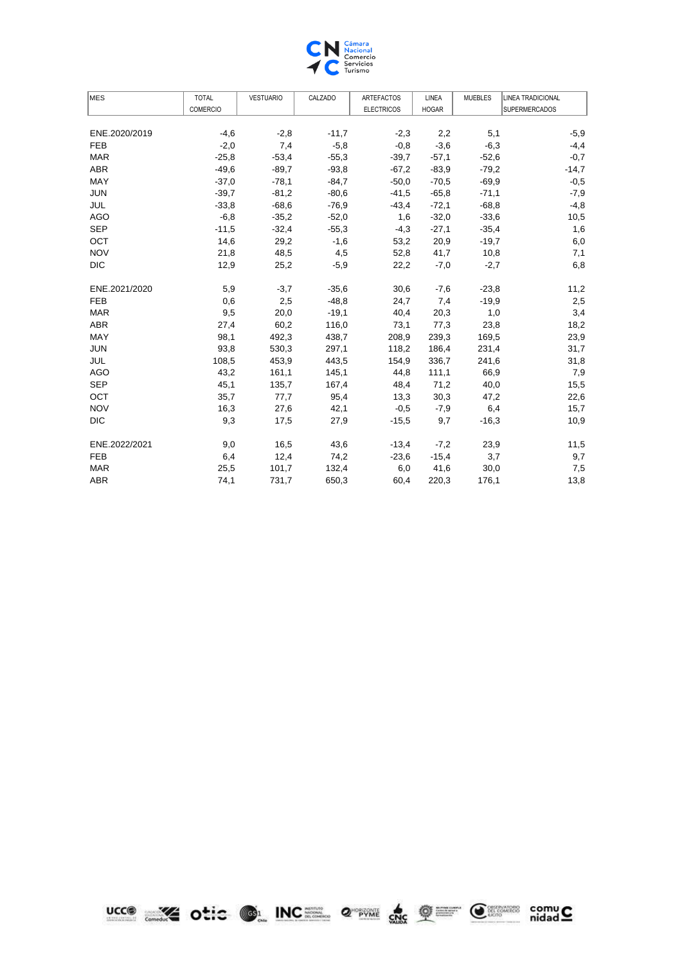

| <b>MES</b>    | <b>TOTAL</b>    | <b>VESTUARIO</b> | CALZADO | <b>ARTEFACTOS</b> | LINEA        | <b>MUEBLES</b> | <b>LINEA TRADICIONAL</b> |
|---------------|-----------------|------------------|---------|-------------------|--------------|----------------|--------------------------|
|               | <b>COMERCIO</b> |                  |         | <b>ELECTRICOS</b> | <b>HOGAR</b> |                | <b>SUPERMERCADOS</b>     |
|               |                 |                  |         |                   |              |                |                          |
| ENE.2020/2019 | $-4,6$          | $-2,8$           | $-11,7$ | $-2,3$            | 2,2          | 5,1            | $-5,9$                   |
| <b>FEB</b>    | $-2,0$          | 7,4              | $-5,8$  | $-0,8$            | $-3,6$       | $-6,3$         | $-4,4$                   |
| <b>MAR</b>    | $-25,8$         | $-53,4$          | $-55,3$ | $-39.7$           | $-57,1$      | $-52.6$        | $-0,7$                   |
| <b>ABR</b>    | $-49,6$         | $-89,7$          | $-93,8$ | $-67,2$           | $-83,9$      | $-79,2$        | $-14,7$                  |
| MAY           | $-37,0$         | $-78,1$          | $-84,7$ | $-50,0$           | $-70,5$      | $-69.9$        | $-0,5$                   |
| <b>JUN</b>    | $-39.7$         | $-81,2$          | $-80,6$ | $-41,5$           | $-65,8$      | $-71,1$        | $-7,9$                   |
| JUL           | $-33,8$         | $-68,6$          | $-76,9$ | $-43,4$           | $-72,1$      | $-68,8$        | $-4,8$                   |
| <b>AGO</b>    | $-6,8$          | $-35,2$          | $-52,0$ | 1,6               | $-32,0$      | $-33,6$        | 10,5                     |
| <b>SEP</b>    | $-11,5$         | $-32,4$          | $-55,3$ | $-4,3$            | $-27,1$      | $-35,4$        | 1,6                      |
| OCT           | 14,6            | 29,2             | $-1,6$  | 53,2              | 20,9         | $-19.7$        | 6,0                      |
| <b>NOV</b>    | 21,8            | 48,5             | 4,5     | 52,8              | 41,7         | 10,8           | 7,1                      |
| <b>DIC</b>    | 12,9            | 25,2             | $-5,9$  | 22,2              | $-7,0$       | $-2,7$         | 6,8                      |
| ENE.2021/2020 | 5,9             | $-3,7$           | $-35,6$ | 30,6              | $-7,6$       | $-23,8$        | 11,2                     |
| <b>FEB</b>    | 0,6             | 2,5              | $-48,8$ | 24,7              | 7,4          | $-19,9$        | 2,5                      |
| <b>MAR</b>    | 9,5             | 20,0             | $-19,1$ | 40,4              | 20,3         | 1,0            | 3,4                      |
| <b>ABR</b>    | 27,4            | 60,2             | 116,0   | 73,1              | 77,3         | 23,8           | 18,2                     |
| MAY           | 98,1            | 492,3            | 438,7   | 208,9             | 239,3        | 169,5          | 23,9                     |
| <b>JUN</b>    | 93,8            | 530,3            | 297,1   | 118,2             | 186,4        | 231,4          | 31,7                     |
| JUL           | 108,5           | 453,9            | 443,5   | 154,9             | 336,7        | 241,6          | 31,8                     |
| <b>AGO</b>    | 43,2            | 161,1            | 145,1   | 44,8              | 111,1        | 66,9           | 7,9                      |
| <b>SEP</b>    | 45,1            | 135,7            | 167,4   | 48,4              | 71,2         | 40,0           | 15,5                     |
| OCT           | 35,7            | 77,7             | 95,4    | 13,3              | 30,3         | 47,2           | 22,6                     |
| <b>NOV</b>    | 16,3            | 27,6             | 42,1    | $-0.5$            | $-7,9$       | 6,4            | 15,7                     |
| <b>DIC</b>    | 9,3             | 17,5             | 27,9    | $-15,5$           | 9,7          | $-16,3$        | 10,9                     |
| ENE.2022/2021 | 9,0             | 16,5             | 43,6    | $-13,4$           | $-7,2$       | 23,9           | 11,5                     |
| <b>FEB</b>    | 6,4             | 12,4             | 74,2    | $-23,6$           | $-15,4$      | 3,7            | 9,7                      |
| <b>MAR</b>    | 25,5            | 101,7            | 132,4   | 6,0               | 41,6         | 30,0           | 7,5                      |
| <b>ABR</b>    | 74,1            | 731,7            | 650,3   | 60,4              | 220,3        | 176,1          | 13,8                     |





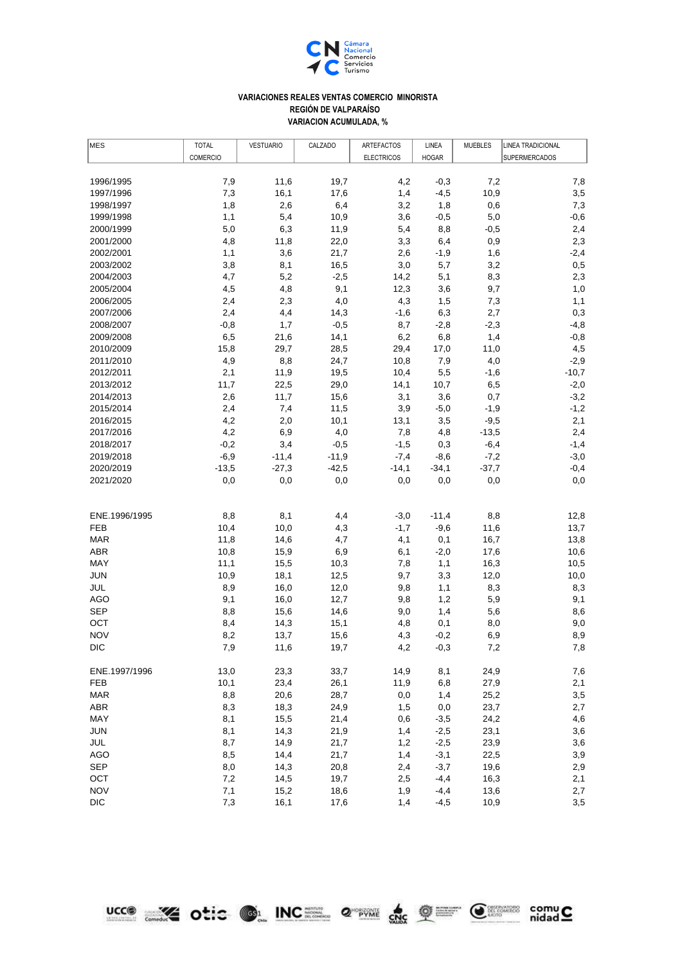

## **VARIACIONES REALES VENTAS COMERCIO MINORISTA REGIÓN DE VALPARAÍSO VARIACION ACUMULADA, %**

| MES           | <b>TOTAL</b>    | <b>VESTUARIO</b> | CALZADO | <b>ARTEFACTOS</b> | LINEA        | <b>MUEBLES</b> | LINEA TRADICIONAL |
|---------------|-----------------|------------------|---------|-------------------|--------------|----------------|-------------------|
|               | <b>COMERCIO</b> |                  |         | <b>ELECTRICOS</b> | <b>HOGAR</b> |                | SUPERMERCADOS     |
|               |                 |                  |         |                   |              |                |                   |
| 1996/1995     | 7,9             | 11,6             | 19,7    | 4,2               | $-0,3$       | 7,2            | 7,8               |
| 1997/1996     | 7,3             | 16,1             | 17,6    | 1,4               | $-4,5$       | 10,9           | 3,5               |
| 1998/1997     | 1,8             | 2,6              | 6,4     | 3,2               | 1,8          | 0,6            | 7,3               |
| 1999/1998     | 1,1             | 5,4              | 10,9    | 3,6               | $-0,5$       | 5,0            | $-0,6$            |
| 2000/1999     | 5,0             | 6,3              | 11,9    | 5,4               | 8,8          | $-0,5$         | 2,4               |
| 2001/2000     | 4,8             | 11,8             | 22,0    | 3,3               | 6,4          | 0,9            | 2,3               |
| 2002/2001     | 1,1             | 3,6              | 21,7    | 2,6               | $-1,9$       | 1,6            | $-2,4$            |
| 2003/2002     | 3,8             | 8,1              | 16,5    | 3,0               | 5,7          | 3,2            | 0,5               |
| 2004/2003     | 4,7             | 5,2              | $-2,5$  | 14,2              | 5,1          | 8,3            | 2,3               |
| 2005/2004     | 4,5             | 4,8              | 9,1     | 12,3              | 3,6          | 9,7            | 1,0               |
| 2006/2005     | 2,4             | 2,3              | 4,0     | 4,3               | 1,5          | 7,3            | 1,1               |
| 2007/2006     | 2,4             | 4,4              | 14,3    | $-1,6$            | 6,3          | 2,7            | 0,3               |
| 2008/2007     | $-0,8$          | 1,7              | $-0,5$  | 8,7               | $-2,8$       | $-2,3$         | $-4,8$            |
| 2009/2008     | 6,5             | 21,6             | 14,1    | 6,2               | 6,8          | 1,4            | $-0,8$            |
| 2010/2009     | 15,8            | 29,7             | 28,5    | 29,4              | 17,0         | 11,0           | 4,5               |
| 2011/2010     | 4,9             | 8,8              | 24,7    | 10,8              | 7,9          | 4,0            | $-2,9$            |
| 2012/2011     | 2,1             | 11,9             | 19,5    | 10,4              | 5,5          | $-1,6$         | $-10,7$           |
| 2013/2012     | 11,7            | 22,5             | 29,0    | 14,1              | 10,7         | 6,5            | $-2,0$            |
| 2014/2013     | 2,6             | 11,7             | 15,6    | 3,1               | 3,6          | 0,7            | $-3,2$            |
| 2015/2014     | 2,4             | 7,4              | 11,5    | 3,9               | $-5,0$       | $-1,9$         | $-1,2$            |
| 2016/2015     | 4,2             | 2,0              | 10,1    | 13,1              | 3,5          | $-9,5$         | 2,1               |
| 2017/2016     | 4,2             | 6,9              | 4,0     | 7,8               | 4,8          | $-13,5$        | 2,4               |
| 2018/2017     | $-0,2$          | 3,4              | $-0,5$  | $-1,5$            | 0,3          | $-6,4$         | $-1,4$            |
| 2019/2018     | $-6,9$          | $-11,4$          | $-11,9$ | $-7,4$            | $-8,6$       | $-7,2$         | $-3,0$            |
| 2020/2019     | $-13,5$         | $-27,3$          | $-42,5$ | $-14,1$           | $-34,1$      | $-37,7$        | $-0,4$            |
| 2021/2020     | 0,0             | 0,0              | 0,0     | 0,0               | 0,0          | 0,0            | 0,0               |
|               |                 |                  |         |                   |              |                |                   |
| ENE.1996/1995 | 8,8             | 8,1              | 4,4     | $-3,0$            | $-11,4$      | 8,8            | 12,8              |
| <b>FEB</b>    | 10,4            | 10,0             | 4,3     | $-1,7$            | $-9,6$       | 11,6           | 13,7              |
| <b>MAR</b>    | 11,8            | 14,6             | 4,7     | 4,1               | 0,1          | 16,7           | 13,8              |
| <b>ABR</b>    | 10,8            | 15,9             | 6,9     | 6,1               | $-2,0$       | 17,6           | 10,6              |
| MAY           | 11,1            | 15,5             | 10,3    | 7,8               | 1,1          | 16,3           | 10,5              |
| <b>JUN</b>    | 10,9            | 18,1             | 12,5    | 9,7               | 3,3          | 12,0           | 10,0              |
| <b>JUL</b>    | 8,9             | 16,0             | 12,0    | 9,8               | 1,1          | 8,3            | 8,3               |
| <b>AGO</b>    | 9,1             | 16,0             | 12,7    | 9,8               | 1,2          | 5,9            | 9,1               |
| <b>SEP</b>    | 8,8             | 15,6             | 14,6    | 9,0               | 1,4          | 5,6            | 8,6               |
| OCT           | 8,4             | 14,3             | 15,1    | 4,8               | 0,1          | 8,0            | 9,0               |
| <b>NOV</b>    | 8,2             | 13,7             | 15,6    | 4,3               | $-0,2$       | 6,9            | 8,9               |
| <b>DIC</b>    | 7,9             | 11,6             | 19,7    | 4,2               | $-0,3$       | 7,2            | $7,8$             |
|               |                 |                  |         |                   |              |                |                   |
| ENE.1997/1996 | 13,0            | 23,3             | 33,7    | 14,9              | 8,1          | 24,9           | 7,6               |
| <b>FEB</b>    | 10,1            | 23,4             | 26,1    | 11,9              | 6,8          | 27,9           | 2,1               |
| <b>MAR</b>    | 8,8             | 20,6             | 28,7    | 0,0               | 1,4          | 25,2           | 3,5               |
| ABR           | 8,3             | 18,3             | 24,9    | 1,5               | 0,0          | 23,7           | 2,7               |
| MAY           | 8,1             | 15,5             | 21,4    | 0,6               | $-3,5$       | 24,2           | 4,6               |
| <b>JUN</b>    | 8,1             | 14,3             | 21,9    | 1,4               | $-2,5$       | 23,1           | 3,6               |
| JUL           | 8,7             | 14,9             | 21,7    | 1,2               | $-2,5$       | 23,9           | 3,6               |
| <b>AGO</b>    | 8,5             | 14,4             | 21,7    | 1,4               | $-3,1$       | 22,5           | 3,9               |
| <b>SEP</b>    | 8,0             | 14,3             | 20,8    | 2,4               | $-3,7$       | 19,6           | 2,9               |
| OCT           | 7,2             | 14,5             | 19,7    | 2,5               | $-4,4$       | 16,3           | 2,1               |
| <b>NOV</b>    | 7,1             | 15,2             | 18,6    | 1,9               | $-4,4$       | 13,6           | 2,7               |
| <b>DIC</b>    | 7,3             | 16,1             | 17,6    | 1,4               | $-4,5$       | 10,9           | 3,5               |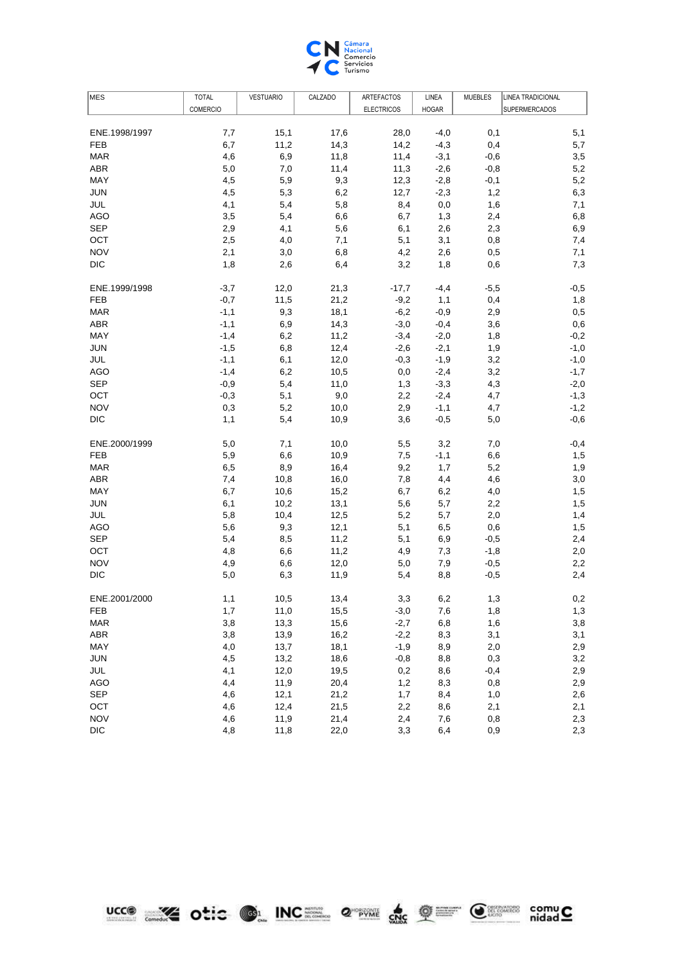

| MES           | <b>TOTAL</b>    | <b>VESTUARIO</b> | CALZADO | ARTEFACTOS        | LINEA        | <b>MUEBLES</b> | <b>LINEA TRADICIONAL</b> |
|---------------|-----------------|------------------|---------|-------------------|--------------|----------------|--------------------------|
|               | <b>COMERCIO</b> |                  |         | <b>ELECTRICOS</b> | <b>HOGAR</b> |                | <b>SUPERMERCADOS</b>     |
|               |                 |                  |         |                   |              |                |                          |
| ENE.1998/1997 | 7,7             | 15,1             | 17,6    | 28,0              | $-4,0$       | 0,1            | 5,1                      |
| <b>FEB</b>    | 6,7             | 11,2             | 14,3    | 14,2              | $-4,3$       | 0,4            | 5,7                      |
| <b>MAR</b>    | 4,6             | 6,9              | 11,8    | 11,4              | $-3,1$       | $-0,6$         | 3,5                      |
| <b>ABR</b>    | 5,0             | 7,0              | 11,4    | 11,3              | $-2,6$       | $-0,8$         | 5,2                      |
| MAY           | 4,5             | 5,9              | 9,3     | 12,3              | $-2,8$       | $-0,1$         | 5,2                      |
| <b>JUN</b>    | 4,5             | 5,3              | 6,2     | 12,7              | $-2,3$       | 1,2            | 6,3                      |
| JUL           | 4,1             | 5,4              | 5,8     | 8,4               | 0,0          | 1,6            | 7,1                      |
| <b>AGO</b>    | 3,5             | 5,4              | 6,6     | 6,7               | 1,3          | 2,4            | 6,8                      |
| <b>SEP</b>    | 2,9             | 4,1              | 5,6     | 6,1               | 2,6          | 2,3            | 6,9                      |
| OCT           | 2,5             | 4,0              | 7,1     | 5,1               | 3,1          | 0,8            | 7,4                      |
| <b>NOV</b>    | 2,1             | 3,0              | 6,8     | 4,2               | 2,6          | 0,5            | 7,1                      |
| <b>DIC</b>    | 1,8             | 2,6              | 6,4     | 3,2               | 1,8          | 0,6            | 7,3                      |
| ENE.1999/1998 | $-3,7$          | 12,0             | 21,3    | $-17,7$           | $-4,4$       | $-5,5$         | $-0,5$                   |
| <b>FEB</b>    | $-0,7$          | 11,5             | 21,2    | $-9,2$            | 1,1          | 0,4            | 1,8                      |
| <b>MAR</b>    | $-1,1$          | 9,3              | 18,1    | $-6,2$            | $-0,9$       | 2,9            | 0,5                      |
| ABR           | $-1,1$          | 6,9              | 14,3    | $-3,0$            | $-0,4$       | 3,6            | 0,6                      |
| MAY           | $-1,4$          | 6,2              | 11,2    | $-3,4$            | $-2,0$       | 1,8            | $-0,2$                   |
| <b>JUN</b>    | $-1,5$          | 6,8              | 12,4    | $-2,6$            | $-2,1$       | 1,9            | $-1,0$                   |
| JUL           | $-1,1$          | 6,1              | 12,0    | $-0,3$            | $-1,9$       | 3,2            | $-1,0$                   |
| <b>AGO</b>    | $-1,4$          | 6,2              | 10,5    | 0,0               | $-2,4$       | 3,2            | $-1,7$                   |
| <b>SEP</b>    | $-0,9$          | 5,4              | 11,0    | 1,3               | $-3,3$       | 4,3            | $-2,0$                   |
| OCT           | $-0,3$          | 5,1              | 9,0     | 2,2               | $-2,4$       | 4,7            | $-1,3$                   |
| <b>NOV</b>    | 0,3             | 5,2              | 10,0    | 2,9               | $-1,1$       | 4,7            | $-1,2$                   |
| <b>DIC</b>    | 1,1             | 5,4              | 10,9    | 3,6               | $-0,5$       | 5,0            | $-0,6$                   |
| ENE.2000/1999 | 5,0             | 7,1              | 10,0    | 5,5               | 3,2          | 7,0            | $-0,4$                   |
| <b>FEB</b>    | 5,9             | 6,6              | 10,9    | 7,5               | $-1,1$       | 6,6            | 1,5                      |
| <b>MAR</b>    | 6,5             | 8,9              | 16,4    | 9,2               | 1,7          | 5,2            | 1,9                      |
| <b>ABR</b>    | 7,4             | 10,8             | 16,0    | 7,8               | 4,4          | 4,6            | 3,0                      |
| MAY           | 6,7             | 10,6             | 15,2    | 6,7               | 6,2          | 4,0            | 1,5                      |
| <b>JUN</b>    | 6,1             | 10,2             | 13,1    | 5,6               | 5,7          | 2,2            | 1,5                      |
| JUL           | 5,8             | 10,4             | 12,5    | 5,2               | 5,7          | 2,0            | 1,4                      |
| <b>AGO</b>    | 5,6             | 9,3              | 12,1    | 5,1               | 6,5          | 0,6            | 1,5                      |
| <b>SEP</b>    | 5,4             | 8,5              | 11,2    | 5,1               | 6,9          | $-0,5$         | 2,4                      |
| OCT           | 4,8             | 6,6              | 11,2    | 4,9               | 7,3          | $-1,8$         | 2,0                      |
| <b>NOV</b>    | 4,9             | 6,6              | 12,0    | 5,0               | 7,9          | $-0,5$         | 2,2                      |
| <b>DIC</b>    | 5,0             | 6,3              | 11,9    | 5,4               | 8,8          | $-0,5$         | 2,4                      |
| ENE.2001/2000 | 1,1             | 10,5             | 13,4    | 3,3               | 6,2          | 1,3            | 0,2                      |
| <b>FEB</b>    | 1,7             | 11,0             | 15,5    | $-3,0$            | 7,6          | 1,8            | 1,3                      |
| <b>MAR</b>    | 3,8             | 13,3             | 15,6    | $-2,7$            | 6,8          | 1,6            | $_{3,8}$                 |
| <b>ABR</b>    | 3,8             | 13,9             | 16,2    | $-2,2$            | 8,3          | 3,1            | 3,1                      |
| MAY           | 4,0             | 13,7             | 18,1    | $-1,9$            | 8,9          | 2,0            | 2,9                      |
| <b>JUN</b>    | 4,5             | 13,2             | 18,6    | $-0,8$            | 8,8          | 0,3            | 3,2                      |
| JUL           | 4,1             | 12,0             | 19,5    | 0,2               | 8,6          | $-0,4$         | 2,9                      |
| <b>AGO</b>    | 4,4             | 11,9             | 20,4    | 1,2               | 8,3          | 0,8            | 2,9                      |
| <b>SEP</b>    | 4,6             | 12,1             | 21,2    | 1,7               | 8,4          | 1,0            | 2,6                      |
| OCT           | 4,6             | 12,4             | 21,5    | 2,2               | 8,6          | 2,1            | 2,1                      |
| <b>NOV</b>    | 4,6             | 11,9             | 21,4    | 2,4               | 7,6          | 0,8            | 2,3                      |
| <b>DIC</b>    | 4,8             | 11,8             | 22,0    | 3,3               | 6,4          | 0,9            | 2,3                      |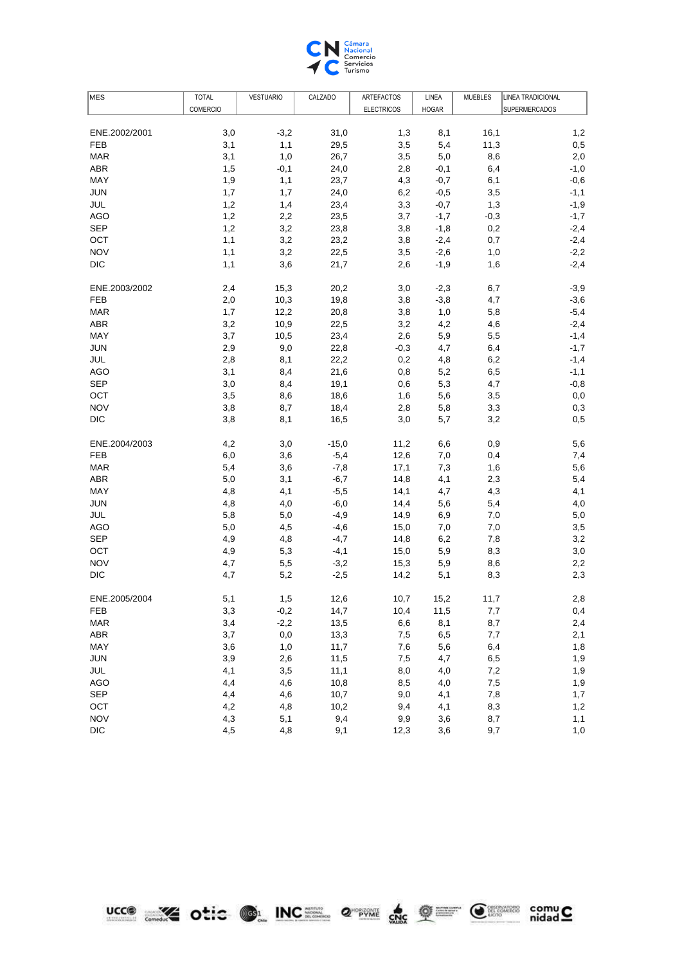

| <b>COMERCIO</b><br><b>ELECTRICOS</b><br><b>SUPERMERCADOS</b><br><b>HOGAR</b><br>3,0<br>31,0<br>16,1<br>ENE.2002/2001<br>$-3,2$<br>1,3<br>8,1<br>1,2<br><b>FEB</b><br>3,1<br>1,1<br>29,5<br>3,5<br>11,3<br>0,5<br>5,4<br>3,1<br>26,7<br>3,5<br>2,0<br><b>MAR</b><br>1,0<br>5,0<br>8,6<br><b>ABR</b><br>$-1,0$<br>1,5<br>$-0,1$<br>24,0<br>2,8<br>$-0,1$<br>6,4<br>MAY<br>1,9<br>1,1<br>23,7<br>$-0,6$<br>4,3<br>$-0,7$<br>6,1<br><b>JUN</b><br>1,7<br>24,0<br>3,5<br>$-1,1$<br>1,7<br>6,2<br>$-0,5$<br>1,2<br>23,4<br>3,3<br>$-1,9$<br>JUL<br>1,4<br>$-0,7$<br>1,3<br><b>AGO</b><br>1,2<br>23,5<br>$-1,7$<br>2,2<br>3,7<br>$-1,7$<br>$-0,3$<br><b>SEP</b><br>1,2<br>3,2<br>23,8<br>$-2,4$<br>3,8<br>$-1,8$<br>0,2<br>$-2,4$<br>OCT<br>1,1<br>3,2<br>23,2<br>3,8<br>$-2,4$<br>0,7<br><b>NOV</b><br>$-2,2$<br>1,1<br>3,2<br>22,5<br>3,5<br>$-2,6$<br>1,0<br><b>DIC</b><br>$-2,4$<br>1,1<br>3,6<br>21,7<br>2,6<br>$-1,9$<br>1,6<br>$-3,9$<br>ENE.2003/2002<br>2,4<br>15,3<br>20,2<br>3,0<br>$-2,3$<br>6,7<br>$-3,6$<br>19,8<br>FEB<br>2,0<br>10,3<br>3,8<br>$-3,8$<br>4,7<br>$-5,4$<br>12,2<br><b>MAR</b><br>1,7<br>20,8<br>3,8<br>1,0<br>5,8<br>$-2,4$<br><b>ABR</b><br>3,2<br>22,5<br>10,9<br>3,2<br>4,2<br>4,6<br>$-1,4$<br>MAY<br>3,7<br>23,4<br>2,6<br>10,5<br>5,9<br>5,5<br><b>JUN</b><br>9,0<br>22,8<br>$-1,7$<br>2,9<br>$-0,3$<br>4,7<br>6,4<br>JUL<br>2,8<br>22,2<br>$-1,4$<br>8,1<br>0,2<br>4,8<br>6,2<br><b>AGO</b><br>3,1<br>21,6<br>$-1,1$<br>8,4<br>0,8<br>5,2<br>6,5<br><b>SEP</b><br>3,0<br>19,1<br>5,3<br>$-0,8$<br>8,4<br>0,6<br>4,7<br>OCT<br>18,6<br>3,5<br>8,6<br>1,6<br>5,6<br>3,5<br>0,0<br><b>NOV</b><br>3,8<br>18,4<br>0,3<br>8,7<br>2,8<br>5,8<br>3,3<br><b>DIC</b><br>3,8<br>16,5<br>3,2<br>0,5<br>8,1<br>3,0<br>5,7<br>ENE.2004/2003<br>4,2<br>3,0<br>$-15,0$<br>11,2<br>6,6<br>0,9<br>5,6<br><b>FEB</b><br>$-5,4$<br>12,6<br>7,0<br>7,4<br>6,0<br>3,6<br>0,4<br><b>MAR</b><br>5,4<br>3,6<br>$-7,8$<br>17,1<br>5,6<br>7,3<br>1,6<br><b>ABR</b><br>3,1<br>5,4<br>5,0<br>$-6,7$<br>14,8<br>4,1<br>2,3<br>MAY<br>4,1<br>4,8<br>4,1<br>$-5,5$<br>14,1<br>4,7<br>4,3<br>4,8<br>$-6,0$<br>JUN<br>4,0<br>14,4<br>5,6<br>5,4<br>4,0<br>JUL<br>5,8<br>$-4,9$<br>14,9<br>5,0<br>5,0<br>6,9<br>7,0<br>3,5<br>AGO<br>5,0<br>4,5<br>$-4,6$<br>15,0<br>7,0<br>7,0<br><b>SEP</b><br>4,9<br>3,2<br>4,8<br>$-4,7$<br>14,8<br>6,2<br>7,8<br>OCT<br>4,9<br>$-4,1$<br>3,0<br>5,3<br>15,0<br>5,9<br>8,3<br><b>NOV</b><br>2,2<br>4,7<br>5,5<br>$-3,2$<br>15,3<br>5,9<br>8,6<br>2,3<br>DIC<br>4,7<br>5,2<br>$-2,5$<br>14,2<br>5,1<br>8,3<br>ENE.2005/2004<br>5,1<br>1,5<br>12,6<br>15,2<br>2,8<br>10,7<br>11,7<br>14,7<br>3,3<br>$-0,2$<br>10,4<br>0,4<br>FEB<br>11,5<br>7,7<br>2,4<br><b>MAR</b><br>3,4<br>$-2,2$<br>13,5<br>6,6<br>8,1<br>8,7<br>3,7<br>0,0<br>2,1<br>ABR<br>13,3<br>7,5<br>6,5<br>7,7<br>MAY<br>3,6<br>1,0<br>11,7<br>7,6<br>5,6<br>6,4<br>1,8<br>1,9<br><b>JUN</b><br>3,9<br>2,6<br>11,5<br>7,5<br>4,7<br>6,5<br>JUL<br>4,1<br>3,5<br>11,1<br>8,0<br>4,0<br>7,2<br>1,9<br><b>AGO</b><br>1,9<br>4,4<br>4,6<br>10,8<br>8,5<br>4,0<br>7,5<br><b>SEP</b><br>4,4<br>4,6<br>10,7<br>9,0<br>4,1<br>7,8<br>1,7<br>4,2<br>1,2<br>OCT<br>4,8<br>10,2<br>9,4<br>4,1<br>8,3<br><b>NOV</b><br>4,3<br>5,1<br>9,4<br>9,9<br>3,6<br>1,1<br>8,7<br>$\mathsf{DIC}$<br>9,1<br>4,5<br>4,8<br>12,3<br>3,6<br>9,7<br>1,0 | MES | <b>TOTAL</b> | <b>VESTUARIO</b> | CALZADO | ARTEFACTOS | LINEA | <b>MUEBLES</b> | <b>LINEA TRADICIONAL</b> |
|-------------------------------------------------------------------------------------------------------------------------------------------------------------------------------------------------------------------------------------------------------------------------------------------------------------------------------------------------------------------------------------------------------------------------------------------------------------------------------------------------------------------------------------------------------------------------------------------------------------------------------------------------------------------------------------------------------------------------------------------------------------------------------------------------------------------------------------------------------------------------------------------------------------------------------------------------------------------------------------------------------------------------------------------------------------------------------------------------------------------------------------------------------------------------------------------------------------------------------------------------------------------------------------------------------------------------------------------------------------------------------------------------------------------------------------------------------------------------------------------------------------------------------------------------------------------------------------------------------------------------------------------------------------------------------------------------------------------------------------------------------------------------------------------------------------------------------------------------------------------------------------------------------------------------------------------------------------------------------------------------------------------------------------------------------------------------------------------------------------------------------------------------------------------------------------------------------------------------------------------------------------------------------------------------------------------------------------------------------------------------------------------------------------------------------------------------------------------------------------------------------------------------------------------------------------------------------------------------------------------------------------------------------------------------------------------------------------------------------------------------------------------------------------------------------------------------------------------------------------------------------------------------------------------------------------------------------------------------------------------------------------------------------------------------------------------------------------------------------------------------------------------------------------------------------------------------------------------------------------------------------------------------------------------------------------------------|-----|--------------|------------------|---------|------------|-------|----------------|--------------------------|
|                                                                                                                                                                                                                                                                                                                                                                                                                                                                                                                                                                                                                                                                                                                                                                                                                                                                                                                                                                                                                                                                                                                                                                                                                                                                                                                                                                                                                                                                                                                                                                                                                                                                                                                                                                                                                                                                                                                                                                                                                                                                                                                                                                                                                                                                                                                                                                                                                                                                                                                                                                                                                                                                                                                                                                                                                                                                                                                                                                                                                                                                                                                                                                                                                                                                                                                         |     |              |                  |         |            |       |                |                          |
|                                                                                                                                                                                                                                                                                                                                                                                                                                                                                                                                                                                                                                                                                                                                                                                                                                                                                                                                                                                                                                                                                                                                                                                                                                                                                                                                                                                                                                                                                                                                                                                                                                                                                                                                                                                                                                                                                                                                                                                                                                                                                                                                                                                                                                                                                                                                                                                                                                                                                                                                                                                                                                                                                                                                                                                                                                                                                                                                                                                                                                                                                                                                                                                                                                                                                                                         |     |              |                  |         |            |       |                |                          |
|                                                                                                                                                                                                                                                                                                                                                                                                                                                                                                                                                                                                                                                                                                                                                                                                                                                                                                                                                                                                                                                                                                                                                                                                                                                                                                                                                                                                                                                                                                                                                                                                                                                                                                                                                                                                                                                                                                                                                                                                                                                                                                                                                                                                                                                                                                                                                                                                                                                                                                                                                                                                                                                                                                                                                                                                                                                                                                                                                                                                                                                                                                                                                                                                                                                                                                                         |     |              |                  |         |            |       |                |                          |
|                                                                                                                                                                                                                                                                                                                                                                                                                                                                                                                                                                                                                                                                                                                                                                                                                                                                                                                                                                                                                                                                                                                                                                                                                                                                                                                                                                                                                                                                                                                                                                                                                                                                                                                                                                                                                                                                                                                                                                                                                                                                                                                                                                                                                                                                                                                                                                                                                                                                                                                                                                                                                                                                                                                                                                                                                                                                                                                                                                                                                                                                                                                                                                                                                                                                                                                         |     |              |                  |         |            |       |                |                          |
|                                                                                                                                                                                                                                                                                                                                                                                                                                                                                                                                                                                                                                                                                                                                                                                                                                                                                                                                                                                                                                                                                                                                                                                                                                                                                                                                                                                                                                                                                                                                                                                                                                                                                                                                                                                                                                                                                                                                                                                                                                                                                                                                                                                                                                                                                                                                                                                                                                                                                                                                                                                                                                                                                                                                                                                                                                                                                                                                                                                                                                                                                                                                                                                                                                                                                                                         |     |              |                  |         |            |       |                |                          |
|                                                                                                                                                                                                                                                                                                                                                                                                                                                                                                                                                                                                                                                                                                                                                                                                                                                                                                                                                                                                                                                                                                                                                                                                                                                                                                                                                                                                                                                                                                                                                                                                                                                                                                                                                                                                                                                                                                                                                                                                                                                                                                                                                                                                                                                                                                                                                                                                                                                                                                                                                                                                                                                                                                                                                                                                                                                                                                                                                                                                                                                                                                                                                                                                                                                                                                                         |     |              |                  |         |            |       |                |                          |
|                                                                                                                                                                                                                                                                                                                                                                                                                                                                                                                                                                                                                                                                                                                                                                                                                                                                                                                                                                                                                                                                                                                                                                                                                                                                                                                                                                                                                                                                                                                                                                                                                                                                                                                                                                                                                                                                                                                                                                                                                                                                                                                                                                                                                                                                                                                                                                                                                                                                                                                                                                                                                                                                                                                                                                                                                                                                                                                                                                                                                                                                                                                                                                                                                                                                                                                         |     |              |                  |         |            |       |                |                          |
|                                                                                                                                                                                                                                                                                                                                                                                                                                                                                                                                                                                                                                                                                                                                                                                                                                                                                                                                                                                                                                                                                                                                                                                                                                                                                                                                                                                                                                                                                                                                                                                                                                                                                                                                                                                                                                                                                                                                                                                                                                                                                                                                                                                                                                                                                                                                                                                                                                                                                                                                                                                                                                                                                                                                                                                                                                                                                                                                                                                                                                                                                                                                                                                                                                                                                                                         |     |              |                  |         |            |       |                |                          |
|                                                                                                                                                                                                                                                                                                                                                                                                                                                                                                                                                                                                                                                                                                                                                                                                                                                                                                                                                                                                                                                                                                                                                                                                                                                                                                                                                                                                                                                                                                                                                                                                                                                                                                                                                                                                                                                                                                                                                                                                                                                                                                                                                                                                                                                                                                                                                                                                                                                                                                                                                                                                                                                                                                                                                                                                                                                                                                                                                                                                                                                                                                                                                                                                                                                                                                                         |     |              |                  |         |            |       |                |                          |
|                                                                                                                                                                                                                                                                                                                                                                                                                                                                                                                                                                                                                                                                                                                                                                                                                                                                                                                                                                                                                                                                                                                                                                                                                                                                                                                                                                                                                                                                                                                                                                                                                                                                                                                                                                                                                                                                                                                                                                                                                                                                                                                                                                                                                                                                                                                                                                                                                                                                                                                                                                                                                                                                                                                                                                                                                                                                                                                                                                                                                                                                                                                                                                                                                                                                                                                         |     |              |                  |         |            |       |                |                          |
|                                                                                                                                                                                                                                                                                                                                                                                                                                                                                                                                                                                                                                                                                                                                                                                                                                                                                                                                                                                                                                                                                                                                                                                                                                                                                                                                                                                                                                                                                                                                                                                                                                                                                                                                                                                                                                                                                                                                                                                                                                                                                                                                                                                                                                                                                                                                                                                                                                                                                                                                                                                                                                                                                                                                                                                                                                                                                                                                                                                                                                                                                                                                                                                                                                                                                                                         |     |              |                  |         |            |       |                |                          |
|                                                                                                                                                                                                                                                                                                                                                                                                                                                                                                                                                                                                                                                                                                                                                                                                                                                                                                                                                                                                                                                                                                                                                                                                                                                                                                                                                                                                                                                                                                                                                                                                                                                                                                                                                                                                                                                                                                                                                                                                                                                                                                                                                                                                                                                                                                                                                                                                                                                                                                                                                                                                                                                                                                                                                                                                                                                                                                                                                                                                                                                                                                                                                                                                                                                                                                                         |     |              |                  |         |            |       |                |                          |
|                                                                                                                                                                                                                                                                                                                                                                                                                                                                                                                                                                                                                                                                                                                                                                                                                                                                                                                                                                                                                                                                                                                                                                                                                                                                                                                                                                                                                                                                                                                                                                                                                                                                                                                                                                                                                                                                                                                                                                                                                                                                                                                                                                                                                                                                                                                                                                                                                                                                                                                                                                                                                                                                                                                                                                                                                                                                                                                                                                                                                                                                                                                                                                                                                                                                                                                         |     |              |                  |         |            |       |                |                          |
|                                                                                                                                                                                                                                                                                                                                                                                                                                                                                                                                                                                                                                                                                                                                                                                                                                                                                                                                                                                                                                                                                                                                                                                                                                                                                                                                                                                                                                                                                                                                                                                                                                                                                                                                                                                                                                                                                                                                                                                                                                                                                                                                                                                                                                                                                                                                                                                                                                                                                                                                                                                                                                                                                                                                                                                                                                                                                                                                                                                                                                                                                                                                                                                                                                                                                                                         |     |              |                  |         |            |       |                |                          |
|                                                                                                                                                                                                                                                                                                                                                                                                                                                                                                                                                                                                                                                                                                                                                                                                                                                                                                                                                                                                                                                                                                                                                                                                                                                                                                                                                                                                                                                                                                                                                                                                                                                                                                                                                                                                                                                                                                                                                                                                                                                                                                                                                                                                                                                                                                                                                                                                                                                                                                                                                                                                                                                                                                                                                                                                                                                                                                                                                                                                                                                                                                                                                                                                                                                                                                                         |     |              |                  |         |            |       |                |                          |
|                                                                                                                                                                                                                                                                                                                                                                                                                                                                                                                                                                                                                                                                                                                                                                                                                                                                                                                                                                                                                                                                                                                                                                                                                                                                                                                                                                                                                                                                                                                                                                                                                                                                                                                                                                                                                                                                                                                                                                                                                                                                                                                                                                                                                                                                                                                                                                                                                                                                                                                                                                                                                                                                                                                                                                                                                                                                                                                                                                                                                                                                                                                                                                                                                                                                                                                         |     |              |                  |         |            |       |                |                          |
|                                                                                                                                                                                                                                                                                                                                                                                                                                                                                                                                                                                                                                                                                                                                                                                                                                                                                                                                                                                                                                                                                                                                                                                                                                                                                                                                                                                                                                                                                                                                                                                                                                                                                                                                                                                                                                                                                                                                                                                                                                                                                                                                                                                                                                                                                                                                                                                                                                                                                                                                                                                                                                                                                                                                                                                                                                                                                                                                                                                                                                                                                                                                                                                                                                                                                                                         |     |              |                  |         |            |       |                |                          |
|                                                                                                                                                                                                                                                                                                                                                                                                                                                                                                                                                                                                                                                                                                                                                                                                                                                                                                                                                                                                                                                                                                                                                                                                                                                                                                                                                                                                                                                                                                                                                                                                                                                                                                                                                                                                                                                                                                                                                                                                                                                                                                                                                                                                                                                                                                                                                                                                                                                                                                                                                                                                                                                                                                                                                                                                                                                                                                                                                                                                                                                                                                                                                                                                                                                                                                                         |     |              |                  |         |            |       |                |                          |
|                                                                                                                                                                                                                                                                                                                                                                                                                                                                                                                                                                                                                                                                                                                                                                                                                                                                                                                                                                                                                                                                                                                                                                                                                                                                                                                                                                                                                                                                                                                                                                                                                                                                                                                                                                                                                                                                                                                                                                                                                                                                                                                                                                                                                                                                                                                                                                                                                                                                                                                                                                                                                                                                                                                                                                                                                                                                                                                                                                                                                                                                                                                                                                                                                                                                                                                         |     |              |                  |         |            |       |                |                          |
|                                                                                                                                                                                                                                                                                                                                                                                                                                                                                                                                                                                                                                                                                                                                                                                                                                                                                                                                                                                                                                                                                                                                                                                                                                                                                                                                                                                                                                                                                                                                                                                                                                                                                                                                                                                                                                                                                                                                                                                                                                                                                                                                                                                                                                                                                                                                                                                                                                                                                                                                                                                                                                                                                                                                                                                                                                                                                                                                                                                                                                                                                                                                                                                                                                                                                                                         |     |              |                  |         |            |       |                |                          |
|                                                                                                                                                                                                                                                                                                                                                                                                                                                                                                                                                                                                                                                                                                                                                                                                                                                                                                                                                                                                                                                                                                                                                                                                                                                                                                                                                                                                                                                                                                                                                                                                                                                                                                                                                                                                                                                                                                                                                                                                                                                                                                                                                                                                                                                                                                                                                                                                                                                                                                                                                                                                                                                                                                                                                                                                                                                                                                                                                                                                                                                                                                                                                                                                                                                                                                                         |     |              |                  |         |            |       |                |                          |
|                                                                                                                                                                                                                                                                                                                                                                                                                                                                                                                                                                                                                                                                                                                                                                                                                                                                                                                                                                                                                                                                                                                                                                                                                                                                                                                                                                                                                                                                                                                                                                                                                                                                                                                                                                                                                                                                                                                                                                                                                                                                                                                                                                                                                                                                                                                                                                                                                                                                                                                                                                                                                                                                                                                                                                                                                                                                                                                                                                                                                                                                                                                                                                                                                                                                                                                         |     |              |                  |         |            |       |                |                          |
|                                                                                                                                                                                                                                                                                                                                                                                                                                                                                                                                                                                                                                                                                                                                                                                                                                                                                                                                                                                                                                                                                                                                                                                                                                                                                                                                                                                                                                                                                                                                                                                                                                                                                                                                                                                                                                                                                                                                                                                                                                                                                                                                                                                                                                                                                                                                                                                                                                                                                                                                                                                                                                                                                                                                                                                                                                                                                                                                                                                                                                                                                                                                                                                                                                                                                                                         |     |              |                  |         |            |       |                |                          |
|                                                                                                                                                                                                                                                                                                                                                                                                                                                                                                                                                                                                                                                                                                                                                                                                                                                                                                                                                                                                                                                                                                                                                                                                                                                                                                                                                                                                                                                                                                                                                                                                                                                                                                                                                                                                                                                                                                                                                                                                                                                                                                                                                                                                                                                                                                                                                                                                                                                                                                                                                                                                                                                                                                                                                                                                                                                                                                                                                                                                                                                                                                                                                                                                                                                                                                                         |     |              |                  |         |            |       |                |                          |
|                                                                                                                                                                                                                                                                                                                                                                                                                                                                                                                                                                                                                                                                                                                                                                                                                                                                                                                                                                                                                                                                                                                                                                                                                                                                                                                                                                                                                                                                                                                                                                                                                                                                                                                                                                                                                                                                                                                                                                                                                                                                                                                                                                                                                                                                                                                                                                                                                                                                                                                                                                                                                                                                                                                                                                                                                                                                                                                                                                                                                                                                                                                                                                                                                                                                                                                         |     |              |                  |         |            |       |                |                          |
|                                                                                                                                                                                                                                                                                                                                                                                                                                                                                                                                                                                                                                                                                                                                                                                                                                                                                                                                                                                                                                                                                                                                                                                                                                                                                                                                                                                                                                                                                                                                                                                                                                                                                                                                                                                                                                                                                                                                                                                                                                                                                                                                                                                                                                                                                                                                                                                                                                                                                                                                                                                                                                                                                                                                                                                                                                                                                                                                                                                                                                                                                                                                                                                                                                                                                                                         |     |              |                  |         |            |       |                |                          |
|                                                                                                                                                                                                                                                                                                                                                                                                                                                                                                                                                                                                                                                                                                                                                                                                                                                                                                                                                                                                                                                                                                                                                                                                                                                                                                                                                                                                                                                                                                                                                                                                                                                                                                                                                                                                                                                                                                                                                                                                                                                                                                                                                                                                                                                                                                                                                                                                                                                                                                                                                                                                                                                                                                                                                                                                                                                                                                                                                                                                                                                                                                                                                                                                                                                                                                                         |     |              |                  |         |            |       |                |                          |
|                                                                                                                                                                                                                                                                                                                                                                                                                                                                                                                                                                                                                                                                                                                                                                                                                                                                                                                                                                                                                                                                                                                                                                                                                                                                                                                                                                                                                                                                                                                                                                                                                                                                                                                                                                                                                                                                                                                                                                                                                                                                                                                                                                                                                                                                                                                                                                                                                                                                                                                                                                                                                                                                                                                                                                                                                                                                                                                                                                                                                                                                                                                                                                                                                                                                                                                         |     |              |                  |         |            |       |                |                          |
|                                                                                                                                                                                                                                                                                                                                                                                                                                                                                                                                                                                                                                                                                                                                                                                                                                                                                                                                                                                                                                                                                                                                                                                                                                                                                                                                                                                                                                                                                                                                                                                                                                                                                                                                                                                                                                                                                                                                                                                                                                                                                                                                                                                                                                                                                                                                                                                                                                                                                                                                                                                                                                                                                                                                                                                                                                                                                                                                                                                                                                                                                                                                                                                                                                                                                                                         |     |              |                  |         |            |       |                |                          |
|                                                                                                                                                                                                                                                                                                                                                                                                                                                                                                                                                                                                                                                                                                                                                                                                                                                                                                                                                                                                                                                                                                                                                                                                                                                                                                                                                                                                                                                                                                                                                                                                                                                                                                                                                                                                                                                                                                                                                                                                                                                                                                                                                                                                                                                                                                                                                                                                                                                                                                                                                                                                                                                                                                                                                                                                                                                                                                                                                                                                                                                                                                                                                                                                                                                                                                                         |     |              |                  |         |            |       |                |                          |
|                                                                                                                                                                                                                                                                                                                                                                                                                                                                                                                                                                                                                                                                                                                                                                                                                                                                                                                                                                                                                                                                                                                                                                                                                                                                                                                                                                                                                                                                                                                                                                                                                                                                                                                                                                                                                                                                                                                                                                                                                                                                                                                                                                                                                                                                                                                                                                                                                                                                                                                                                                                                                                                                                                                                                                                                                                                                                                                                                                                                                                                                                                                                                                                                                                                                                                                         |     |              |                  |         |            |       |                |                          |
|                                                                                                                                                                                                                                                                                                                                                                                                                                                                                                                                                                                                                                                                                                                                                                                                                                                                                                                                                                                                                                                                                                                                                                                                                                                                                                                                                                                                                                                                                                                                                                                                                                                                                                                                                                                                                                                                                                                                                                                                                                                                                                                                                                                                                                                                                                                                                                                                                                                                                                                                                                                                                                                                                                                                                                                                                                                                                                                                                                                                                                                                                                                                                                                                                                                                                                                         |     |              |                  |         |            |       |                |                          |
|                                                                                                                                                                                                                                                                                                                                                                                                                                                                                                                                                                                                                                                                                                                                                                                                                                                                                                                                                                                                                                                                                                                                                                                                                                                                                                                                                                                                                                                                                                                                                                                                                                                                                                                                                                                                                                                                                                                                                                                                                                                                                                                                                                                                                                                                                                                                                                                                                                                                                                                                                                                                                                                                                                                                                                                                                                                                                                                                                                                                                                                                                                                                                                                                                                                                                                                         |     |              |                  |         |            |       |                |                          |
|                                                                                                                                                                                                                                                                                                                                                                                                                                                                                                                                                                                                                                                                                                                                                                                                                                                                                                                                                                                                                                                                                                                                                                                                                                                                                                                                                                                                                                                                                                                                                                                                                                                                                                                                                                                                                                                                                                                                                                                                                                                                                                                                                                                                                                                                                                                                                                                                                                                                                                                                                                                                                                                                                                                                                                                                                                                                                                                                                                                                                                                                                                                                                                                                                                                                                                                         |     |              |                  |         |            |       |                |                          |
|                                                                                                                                                                                                                                                                                                                                                                                                                                                                                                                                                                                                                                                                                                                                                                                                                                                                                                                                                                                                                                                                                                                                                                                                                                                                                                                                                                                                                                                                                                                                                                                                                                                                                                                                                                                                                                                                                                                                                                                                                                                                                                                                                                                                                                                                                                                                                                                                                                                                                                                                                                                                                                                                                                                                                                                                                                                                                                                                                                                                                                                                                                                                                                                                                                                                                                                         |     |              |                  |         |            |       |                |                          |
|                                                                                                                                                                                                                                                                                                                                                                                                                                                                                                                                                                                                                                                                                                                                                                                                                                                                                                                                                                                                                                                                                                                                                                                                                                                                                                                                                                                                                                                                                                                                                                                                                                                                                                                                                                                                                                                                                                                                                                                                                                                                                                                                                                                                                                                                                                                                                                                                                                                                                                                                                                                                                                                                                                                                                                                                                                                                                                                                                                                                                                                                                                                                                                                                                                                                                                                         |     |              |                  |         |            |       |                |                          |
|                                                                                                                                                                                                                                                                                                                                                                                                                                                                                                                                                                                                                                                                                                                                                                                                                                                                                                                                                                                                                                                                                                                                                                                                                                                                                                                                                                                                                                                                                                                                                                                                                                                                                                                                                                                                                                                                                                                                                                                                                                                                                                                                                                                                                                                                                                                                                                                                                                                                                                                                                                                                                                                                                                                                                                                                                                                                                                                                                                                                                                                                                                                                                                                                                                                                                                                         |     |              |                  |         |            |       |                |                          |
|                                                                                                                                                                                                                                                                                                                                                                                                                                                                                                                                                                                                                                                                                                                                                                                                                                                                                                                                                                                                                                                                                                                                                                                                                                                                                                                                                                                                                                                                                                                                                                                                                                                                                                                                                                                                                                                                                                                                                                                                                                                                                                                                                                                                                                                                                                                                                                                                                                                                                                                                                                                                                                                                                                                                                                                                                                                                                                                                                                                                                                                                                                                                                                                                                                                                                                                         |     |              |                  |         |            |       |                |                          |
|                                                                                                                                                                                                                                                                                                                                                                                                                                                                                                                                                                                                                                                                                                                                                                                                                                                                                                                                                                                                                                                                                                                                                                                                                                                                                                                                                                                                                                                                                                                                                                                                                                                                                                                                                                                                                                                                                                                                                                                                                                                                                                                                                                                                                                                                                                                                                                                                                                                                                                                                                                                                                                                                                                                                                                                                                                                                                                                                                                                                                                                                                                                                                                                                                                                                                                                         |     |              |                  |         |            |       |                |                          |
|                                                                                                                                                                                                                                                                                                                                                                                                                                                                                                                                                                                                                                                                                                                                                                                                                                                                                                                                                                                                                                                                                                                                                                                                                                                                                                                                                                                                                                                                                                                                                                                                                                                                                                                                                                                                                                                                                                                                                                                                                                                                                                                                                                                                                                                                                                                                                                                                                                                                                                                                                                                                                                                                                                                                                                                                                                                                                                                                                                                                                                                                                                                                                                                                                                                                                                                         |     |              |                  |         |            |       |                |                          |
|                                                                                                                                                                                                                                                                                                                                                                                                                                                                                                                                                                                                                                                                                                                                                                                                                                                                                                                                                                                                                                                                                                                                                                                                                                                                                                                                                                                                                                                                                                                                                                                                                                                                                                                                                                                                                                                                                                                                                                                                                                                                                                                                                                                                                                                                                                                                                                                                                                                                                                                                                                                                                                                                                                                                                                                                                                                                                                                                                                                                                                                                                                                                                                                                                                                                                                                         |     |              |                  |         |            |       |                |                          |
|                                                                                                                                                                                                                                                                                                                                                                                                                                                                                                                                                                                                                                                                                                                                                                                                                                                                                                                                                                                                                                                                                                                                                                                                                                                                                                                                                                                                                                                                                                                                                                                                                                                                                                                                                                                                                                                                                                                                                                                                                                                                                                                                                                                                                                                                                                                                                                                                                                                                                                                                                                                                                                                                                                                                                                                                                                                                                                                                                                                                                                                                                                                                                                                                                                                                                                                         |     |              |                  |         |            |       |                |                          |
|                                                                                                                                                                                                                                                                                                                                                                                                                                                                                                                                                                                                                                                                                                                                                                                                                                                                                                                                                                                                                                                                                                                                                                                                                                                                                                                                                                                                                                                                                                                                                                                                                                                                                                                                                                                                                                                                                                                                                                                                                                                                                                                                                                                                                                                                                                                                                                                                                                                                                                                                                                                                                                                                                                                                                                                                                                                                                                                                                                                                                                                                                                                                                                                                                                                                                                                         |     |              |                  |         |            |       |                |                          |
|                                                                                                                                                                                                                                                                                                                                                                                                                                                                                                                                                                                                                                                                                                                                                                                                                                                                                                                                                                                                                                                                                                                                                                                                                                                                                                                                                                                                                                                                                                                                                                                                                                                                                                                                                                                                                                                                                                                                                                                                                                                                                                                                                                                                                                                                                                                                                                                                                                                                                                                                                                                                                                                                                                                                                                                                                                                                                                                                                                                                                                                                                                                                                                                                                                                                                                                         |     |              |                  |         |            |       |                |                          |
|                                                                                                                                                                                                                                                                                                                                                                                                                                                                                                                                                                                                                                                                                                                                                                                                                                                                                                                                                                                                                                                                                                                                                                                                                                                                                                                                                                                                                                                                                                                                                                                                                                                                                                                                                                                                                                                                                                                                                                                                                                                                                                                                                                                                                                                                                                                                                                                                                                                                                                                                                                                                                                                                                                                                                                                                                                                                                                                                                                                                                                                                                                                                                                                                                                                                                                                         |     |              |                  |         |            |       |                |                          |
|                                                                                                                                                                                                                                                                                                                                                                                                                                                                                                                                                                                                                                                                                                                                                                                                                                                                                                                                                                                                                                                                                                                                                                                                                                                                                                                                                                                                                                                                                                                                                                                                                                                                                                                                                                                                                                                                                                                                                                                                                                                                                                                                                                                                                                                                                                                                                                                                                                                                                                                                                                                                                                                                                                                                                                                                                                                                                                                                                                                                                                                                                                                                                                                                                                                                                                                         |     |              |                  |         |            |       |                |                          |
|                                                                                                                                                                                                                                                                                                                                                                                                                                                                                                                                                                                                                                                                                                                                                                                                                                                                                                                                                                                                                                                                                                                                                                                                                                                                                                                                                                                                                                                                                                                                                                                                                                                                                                                                                                                                                                                                                                                                                                                                                                                                                                                                                                                                                                                                                                                                                                                                                                                                                                                                                                                                                                                                                                                                                                                                                                                                                                                                                                                                                                                                                                                                                                                                                                                                                                                         |     |              |                  |         |            |       |                |                          |
|                                                                                                                                                                                                                                                                                                                                                                                                                                                                                                                                                                                                                                                                                                                                                                                                                                                                                                                                                                                                                                                                                                                                                                                                                                                                                                                                                                                                                                                                                                                                                                                                                                                                                                                                                                                                                                                                                                                                                                                                                                                                                                                                                                                                                                                                                                                                                                                                                                                                                                                                                                                                                                                                                                                                                                                                                                                                                                                                                                                                                                                                                                                                                                                                                                                                                                                         |     |              |                  |         |            |       |                |                          |
|                                                                                                                                                                                                                                                                                                                                                                                                                                                                                                                                                                                                                                                                                                                                                                                                                                                                                                                                                                                                                                                                                                                                                                                                                                                                                                                                                                                                                                                                                                                                                                                                                                                                                                                                                                                                                                                                                                                                                                                                                                                                                                                                                                                                                                                                                                                                                                                                                                                                                                                                                                                                                                                                                                                                                                                                                                                                                                                                                                                                                                                                                                                                                                                                                                                                                                                         |     |              |                  |         |            |       |                |                          |
|                                                                                                                                                                                                                                                                                                                                                                                                                                                                                                                                                                                                                                                                                                                                                                                                                                                                                                                                                                                                                                                                                                                                                                                                                                                                                                                                                                                                                                                                                                                                                                                                                                                                                                                                                                                                                                                                                                                                                                                                                                                                                                                                                                                                                                                                                                                                                                                                                                                                                                                                                                                                                                                                                                                                                                                                                                                                                                                                                                                                                                                                                                                                                                                                                                                                                                                         |     |              |                  |         |            |       |                |                          |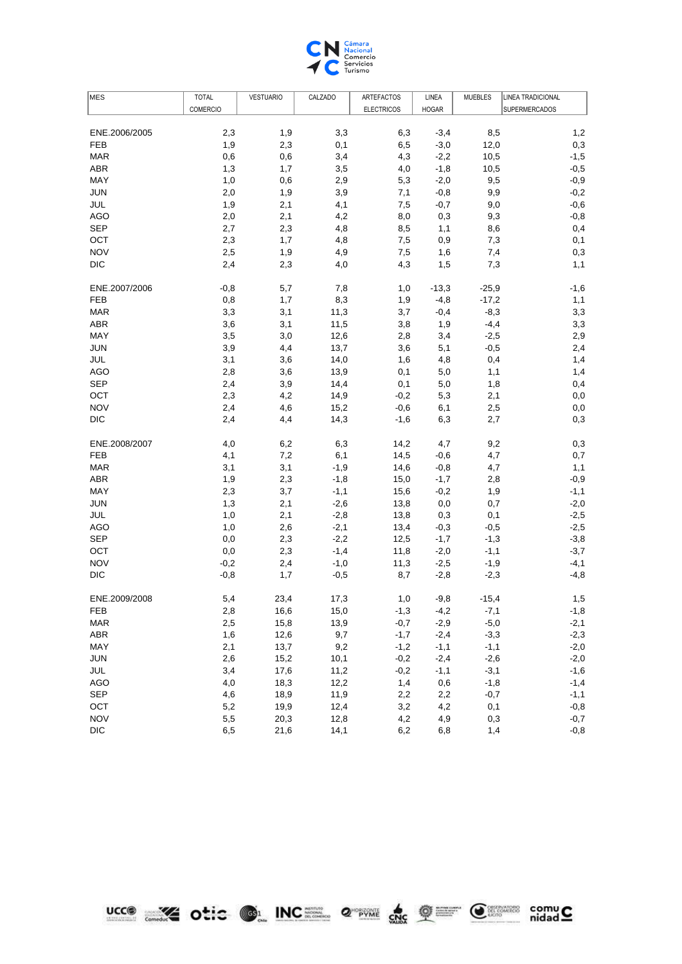

| MES           | <b>TOTAL</b>    | <b>VESTUARIO</b> | CALZADO | ARTEFACTOS        | LINEA        | <b>MUEBLES</b> | <b>LINEA TRADICIONAL</b> |
|---------------|-----------------|------------------|---------|-------------------|--------------|----------------|--------------------------|
|               | <b>COMERCIO</b> |                  |         | <b>ELECTRICOS</b> | <b>HOGAR</b> |                | <b>SUPERMERCADOS</b>     |
|               |                 |                  |         |                   |              |                |                          |
| ENE.2006/2005 | 2,3             | 1,9              | 3,3     | 6,3               | $-3,4$       | 8,5            | 1,2                      |
| <b>FEB</b>    | 1,9             | 2,3              | 0,1     | 6,5               | $-3,0$       | 12,0           | 0,3                      |
| <b>MAR</b>    | 0,6             | 0,6              | 3,4     | 4,3               | $-2,2$       | 10,5           | $-1,5$                   |
| <b>ABR</b>    | 1,3             | 1,7              | 3,5     | 4,0               | $-1,8$       | 10,5           | $-0,5$                   |
| MAY           | 1,0             | 0,6              | 2,9     | 5,3               | $-2,0$       | 9,5            | $-0,9$                   |
| <b>JUN</b>    | 2,0             | 1,9              | 3,9     | 7,1               | $-0,8$       | 9,9            | $-0,2$                   |
| JUL           | 1,9             | 2,1              | 4,1     | 7,5               | $-0,7$       | 9,0            | $-0,6$                   |
| <b>AGO</b>    | 2,0             | 2,1              | 4,2     | 8,0               | 0,3          | 9,3            | $-0,8$                   |
| <b>SEP</b>    | 2,7             | 2,3              | 4,8     | 8,5               | 1,1          | 8,6            | 0,4                      |
| OCT           | 2,3             | 1,7              | 4,8     | 7,5               | 0,9          | 7,3            | 0,1                      |
| <b>NOV</b>    | 2,5             | 1,9              | 4,9     | 7,5               | 1,6          | 7,4            | 0,3                      |
| <b>DIC</b>    | 2,4             | 2,3              | 4,0     | 4,3               | 1,5          | 7,3            | 1,1                      |
| ENE.2007/2006 | $-0,8$          | 5,7              | 7,8     | 1,0               | $-13,3$      | $-25,9$        | $-1,6$                   |
| FEB           | 0,8             | 1,7              | 8,3     | 1,9               | $-4,8$       | $-17,2$        | 1,1                      |
| <b>MAR</b>    | 3,3             | 3,1              | 11,3    | 3,7               | $-0,4$       | $-8,3$         | 3,3                      |
| <b>ABR</b>    | 3,6             | 3,1              | 11,5    | 3,8               | 1,9          | $-4,4$         | 3,3                      |
| MAY           | 3,5             | 3,0              | 12,6    | 2,8               | 3,4          | $-2,5$         | 2,9                      |
| <b>JUN</b>    | 3,9             | 4,4              | 13,7    | 3,6               | 5,1          | $-0,5$         | 2,4                      |
| JUL           | 3,1             | 3,6              | 14,0    | 1,6               | 4,8          | 0,4            | 1,4                      |
| <b>AGO</b>    | 2,8             | 3,6              | 13,9    | 0,1               | 5,0          | 1,1            | 1,4                      |
| <b>SEP</b>    | 2,4             | 3,9              | 14,4    | 0,1               | 5,0          | 1,8            | 0,4                      |
| OCT           | 2,3             | 4,2              | 14,9    | $-0,2$            | 5,3          | 2,1            | 0,0                      |
| <b>NOV</b>    | 2,4             | 4,6              | 15,2    | $-0,6$            | 6,1          | 2,5            | 0,0                      |
| <b>DIC</b>    | 2,4             | 4,4              | 14,3    | $-1,6$            | 6,3          | 2,7            | 0,3                      |
| ENE.2008/2007 | 4,0             | 6,2              | 6,3     | 14,2              | 4,7          | 9,2            | 0,3                      |
| <b>FEB</b>    | 4,1             | 7,2              | 6,1     | 14,5              | $-0,6$       | 4,7            | 0,7                      |
| <b>MAR</b>    | 3,1             | 3,1              | $-1,9$  | 14,6              | $-0,8$       | 4,7            | 1,1                      |
| <b>ABR</b>    | 1,9             | 2,3              | $-1,8$  | 15,0              | $-1,7$       | 2,8            | $-0,9$                   |
| MAY           | 2,3             | 3,7              | $-1,1$  | 15,6              | $-0,2$       | 1,9            | $-1,1$                   |
| JUN           | 1,3             | 2,1              | $-2,6$  | 13,8              | 0,0          | 0,7            | $-2,0$                   |
| JUL           | 1,0             | 2,1              | $-2,8$  | 13,8              | 0,3          | 0,1            | $-2,5$                   |
| AGO           | 1,0             | 2,6              | $-2,1$  | 13,4              | $-0,3$       | $-0,5$         | $-2,5$                   |
| <b>SEP</b>    | 0,0             | 2,3              | $-2,2$  | 12,5              | $-1,7$       | $-1,3$         | $-3,8$                   |
| OCT           | 0,0             | 2,3              | $-1,4$  | 11,8              | $-2,0$       | $-1,1$         | $-3,7$                   |
| <b>NOV</b>    | $-0,2$          | 2,4              | $-1,0$  | 11,3              | $-2,5$       | $-1,9$         | $-4,1$                   |
| DIC           | $-0,8$          | 1,7              | $-0,5$  | 8,7               | $-2,8$       | $-2,3$         | $-4,8$                   |
| ENE.2009/2008 | 5,4             | 23,4             | 17,3    | 1,0               | $-9,8$       | $-15,4$        | 1,5                      |
| FEB           | 2,8             | 16,6             | 15,0    | $-1,3$            | $-4,2$       | $-7,1$         | $-1,8$                   |
| <b>MAR</b>    | 2,5             | 15,8             | 13,9    | $-0,7$            | $-2,9$       | $-5,0$         | $-2,1$                   |
| <b>ABR</b>    | 1,6             | 12,6             | 9,7     | $-1,7$            | $-2,4$       | $-3,3$         | $-2,3$                   |
| MAY           | 2,1             | 13,7             | 9,2     | $-1,2$            | $-1,1$       | $-1,1$         | $-2,0$                   |
| <b>JUN</b>    | 2,6             | 15,2             | 10,1    | $-0,2$            | $-2,4$       | $-2,6$         | $-2,0$                   |
| JUL           | 3,4             | 17,6             | 11,2    | $-0,2$            | $-1,1$       | $-3,1$         | $-1,6$                   |
| <b>AGO</b>    | 4,0             | 18,3             | 12,2    | 1,4               | 0,6          | $-1,8$         | $-1,4$                   |
| <b>SEP</b>    | 4,6             | 18,9             | 11,9    | 2,2               | 2,2          | $-0,7$         | $-1,1$                   |
| OCT           | 5,2             | 19,9             | 12,4    | 3,2               | 4,2          | 0,1            | $-0,8$                   |
| <b>NOV</b>    | $5,5$           | 20,3             | 12,8    | 4,2               | 4,9          | 0,3            | $-0,7$                   |
| <b>DIC</b>    | 6,5             | 21,6             | 14,1    | 6,2               | 6,8          | 1,4            | $-0,8$                   |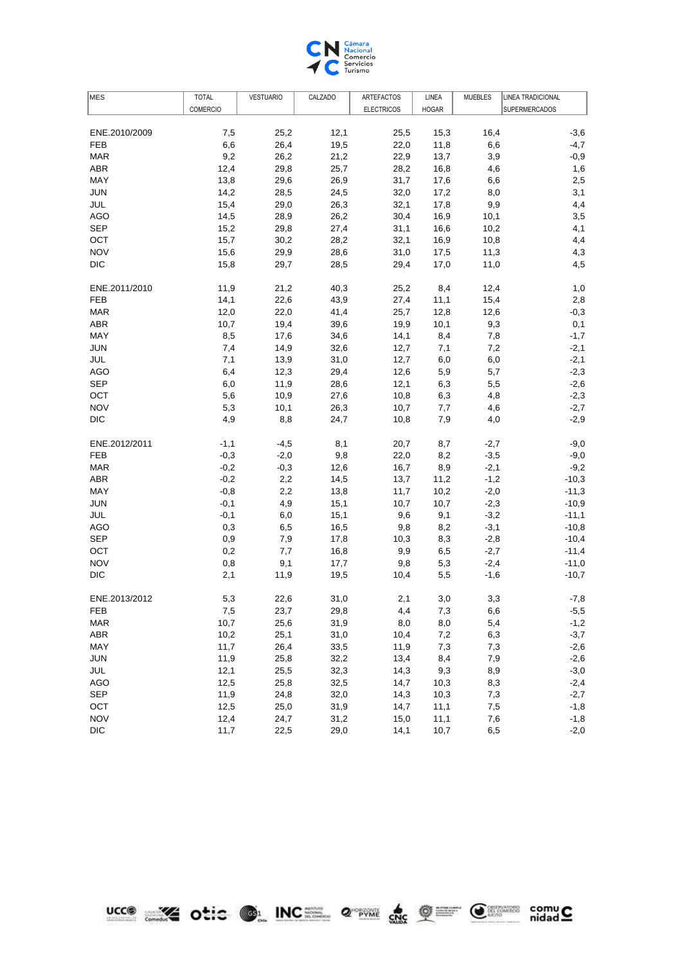

| <b>COMERCIO</b><br><b>ELECTRICOS</b><br><b>HOGAR</b><br><b>SUPERMERCADOS</b><br>25,2<br>12,1<br>16,4<br>ENE.2010/2009<br>7,5<br>25,5<br>15,3<br>$-3,6$<br>$-4,7$<br><b>FEB</b><br>6,6<br>26,4<br>19,5<br>22,0<br>11,8<br>6,6<br>9,2<br>26,2<br>22,9<br>$-0,9$<br><b>MAR</b><br>21,2<br>13,7<br>3,9<br><b>ABR</b><br>12,4<br>29,8<br>25,7<br>28,2<br>16,8<br>4,6<br>1,6<br>MAY<br>13,8<br>29,6<br>26,9<br>31,7<br>2,5<br>17,6<br>6,6<br><b>JUN</b><br>14,2<br>28,5<br>24,5<br>32,0<br>3,1<br>17,2<br>8,0<br>15,4<br>29,0<br>26,3<br>32,1<br>4,4<br>JUL<br>17,8<br>9,9<br><b>AGO</b><br>28,9<br>26,2<br>30,4<br>3,5<br>14,5<br>16,9<br>10,1<br><b>SEP</b><br>4,1<br>15,2<br>29,8<br>27,4<br>31,1<br>16,6<br>10,2<br>OCT<br>32,1<br>4,4<br>15,7<br>30,2<br>28,2<br>16,9<br>10,8<br><b>NOV</b><br>29,9<br>4,3<br>15,6<br>28,6<br>31,0<br>17,5<br>11,3<br><b>DIC</b><br>28,5<br>4,5<br>15,8<br>29,7<br>29,4<br>17,0<br>11,0<br>ENE.2011/2010<br>11,9<br>21,2<br>40,3<br>25,2<br>8,4<br>12,4<br>1,0<br>22,6<br>27,4<br>15,4<br>2,8<br>FEB<br>14,1<br>43,9<br>11,1<br>12,0<br>41,4<br>12,6<br>$-0,3$<br><b>MAR</b><br>22,0<br>25,7<br>12,8<br><b>ABR</b><br>10,7<br>19,4<br>19,9<br>9,3<br>39,6<br>10,1<br>0,1<br>MAY<br>8,5<br>$-1,7$<br>17,6<br>34,6<br>14,1<br>8,4<br>7,8<br><b>JUN</b><br>32,6<br>$-2,1$<br>7,4<br>14,9<br>12,7<br>7,1<br>7,2<br>$-2,1$<br>JUL<br>7,1<br>13,9<br>31,0<br>12,7<br>6,0<br>6,0<br>$-2,3$<br><b>AGO</b><br>6,4<br>12,3<br>29,4<br>12,6<br>5,9<br>5,7<br><b>SEP</b><br>28,6<br>6,3<br>$-2,6$<br>6,0<br>11,9<br>12,1<br>5,5<br>5,6<br>$-2,3$<br>OCT<br>10,9<br>27,6<br>10,8<br>6,3<br>4,8<br><b>NOV</b><br>5,3<br>10,1<br>26,3<br>$-2,7$<br>10,7<br>7,7<br>4,6<br><b>DIC</b><br>4,9<br>8,8<br>7,9<br>$-2,9$<br>24,7<br>10,8<br>4,0<br>ENE.2012/2011<br>$-1,1$<br>$-4,5$<br>8,1<br>20,7<br>8,7<br>$-2,7$<br>$-9,0$<br><b>FEB</b><br>$-0,3$<br>$-2,0$<br>9,8<br>22,0<br>8,2<br>$-3,5$<br>$-9,0$<br><b>MAR</b><br>$-0,2$<br>$-0,3$<br>12,6<br>8,9<br>$-2,1$<br>$-9,2$<br>16,7<br><b>ABR</b><br>2,2<br>$-10,3$<br>$-0,2$<br>14,5<br>13,7<br>11,2<br>$-1,2$<br>MAY<br>2,2<br>$-11,3$<br>$-0,8$<br>13,8<br>11,7<br>10,2<br>$-2,0$<br>$-0,1$<br>4,9<br>15,1<br>$-2,3$<br>$-10,9$<br>JUN<br>10,7<br>10,7<br>JUL<br>15,1<br>9,6<br>9,1<br>$-3,2$<br>$-11,1$<br>$-0,1$<br>6,0<br>16,5<br>$-3,1$<br>$-10,8$<br>AGO<br>0,3<br>6,5<br>9,8<br>8,2<br><b>SEP</b><br>0,9<br>17,8<br>$-10,4$<br>7,9<br>10,3<br>8,3<br>$-2,8$<br>OCT<br>0,2<br>7,7<br>16,8<br>9,9<br>$-2,7$<br>$-11,4$<br>6,5<br><b>NOV</b><br>0,8<br>17,7<br>$-2,4$<br>$-11,0$<br>9,1<br>9,8<br>5,3<br>DIC<br>2,1<br>19,5<br>10,4<br>5,5<br>$-1,6$<br>$-10,7$<br>11,9<br>ENE.2013/2012<br>5,3<br>22,6<br>31,0<br>2,1<br>3,0<br>3,3<br>$-7,8$<br>7,3<br>$-5,5$<br>23,7<br>29,8<br>FEB<br>7,5<br>4,4<br>6,6<br><b>MAR</b><br>10,7<br>25,6<br>31,9<br>8,0<br>8,0<br>5,4<br>$-1,2$<br>$-3,7$<br><b>ABR</b><br>10,2<br>25,1<br>31,0<br>10,4<br>7,2<br>6,3<br>$-2,6$<br>MAY<br>11,7<br>26,4<br>33,5<br>11,9<br>7,3<br>7,3<br>$-2,6$<br><b>JUN</b><br>11,9<br>25,8<br>32,2<br>13,4<br>8,4<br>7,9<br>9,3<br>$-3,0$<br>JUL<br>12,1<br>25,5<br>32,3<br>14,3<br>8,9<br>32,5<br>$-2,4$<br><b>AGO</b><br>12,5<br>25,8<br>14,7<br>10,3<br>8,3<br><b>SEP</b><br>$-2,7$<br>11,9<br>24,8<br>32,0<br>14,3<br>10,3<br>7,3<br>$-1,8$<br>OCT<br>12,5<br>25,0<br>31,9<br>14,7<br>11,1<br>7,5<br><b>NOV</b><br>12,4<br>24,7<br>15,0<br>11,1<br>$-1,8$<br>31,2<br>7,6<br><b>DIC</b><br>11,7<br>22,5<br>29,0<br>14,1<br>10,7<br>$-2,0$<br>6,5 | <b>MES</b> | <b>TOTAL</b> | <b>VESTUARIO</b> | CALZADO | ARTEFACTOS | LINEA | <b>MUEBLES</b> | <b>LINEA TRADICIONAL</b> |
|--------------------------------------------------------------------------------------------------------------------------------------------------------------------------------------------------------------------------------------------------------------------------------------------------------------------------------------------------------------------------------------------------------------------------------------------------------------------------------------------------------------------------------------------------------------------------------------------------------------------------------------------------------------------------------------------------------------------------------------------------------------------------------------------------------------------------------------------------------------------------------------------------------------------------------------------------------------------------------------------------------------------------------------------------------------------------------------------------------------------------------------------------------------------------------------------------------------------------------------------------------------------------------------------------------------------------------------------------------------------------------------------------------------------------------------------------------------------------------------------------------------------------------------------------------------------------------------------------------------------------------------------------------------------------------------------------------------------------------------------------------------------------------------------------------------------------------------------------------------------------------------------------------------------------------------------------------------------------------------------------------------------------------------------------------------------------------------------------------------------------------------------------------------------------------------------------------------------------------------------------------------------------------------------------------------------------------------------------------------------------------------------------------------------------------------------------------------------------------------------------------------------------------------------------------------------------------------------------------------------------------------------------------------------------------------------------------------------------------------------------------------------------------------------------------------------------------------------------------------------------------------------------------------------------------------------------------------------------------------------------------------------------------------------------------------------------------------------------------------------------------------------------------------------------------------------------------------------------------------------------------------------------------------------------------------------------------------------------------------------------------------------------------------------------------------------------------------------------------------------|------------|--------------|------------------|---------|------------|-------|----------------|--------------------------|
|                                                                                                                                                                                                                                                                                                                                                                                                                                                                                                                                                                                                                                                                                                                                                                                                                                                                                                                                                                                                                                                                                                                                                                                                                                                                                                                                                                                                                                                                                                                                                                                                                                                                                                                                                                                                                                                                                                                                                                                                                                                                                                                                                                                                                                                                                                                                                                                                                                                                                                                                                                                                                                                                                                                                                                                                                                                                                                                                                                                                                                                                                                                                                                                                                                                                                                                                                                                                                                                                                            |            |              |                  |         |            |       |                |                          |
|                                                                                                                                                                                                                                                                                                                                                                                                                                                                                                                                                                                                                                                                                                                                                                                                                                                                                                                                                                                                                                                                                                                                                                                                                                                                                                                                                                                                                                                                                                                                                                                                                                                                                                                                                                                                                                                                                                                                                                                                                                                                                                                                                                                                                                                                                                                                                                                                                                                                                                                                                                                                                                                                                                                                                                                                                                                                                                                                                                                                                                                                                                                                                                                                                                                                                                                                                                                                                                                                                            |            |              |                  |         |            |       |                |                          |
|                                                                                                                                                                                                                                                                                                                                                                                                                                                                                                                                                                                                                                                                                                                                                                                                                                                                                                                                                                                                                                                                                                                                                                                                                                                                                                                                                                                                                                                                                                                                                                                                                                                                                                                                                                                                                                                                                                                                                                                                                                                                                                                                                                                                                                                                                                                                                                                                                                                                                                                                                                                                                                                                                                                                                                                                                                                                                                                                                                                                                                                                                                                                                                                                                                                                                                                                                                                                                                                                                            |            |              |                  |         |            |       |                |                          |
|                                                                                                                                                                                                                                                                                                                                                                                                                                                                                                                                                                                                                                                                                                                                                                                                                                                                                                                                                                                                                                                                                                                                                                                                                                                                                                                                                                                                                                                                                                                                                                                                                                                                                                                                                                                                                                                                                                                                                                                                                                                                                                                                                                                                                                                                                                                                                                                                                                                                                                                                                                                                                                                                                                                                                                                                                                                                                                                                                                                                                                                                                                                                                                                                                                                                                                                                                                                                                                                                                            |            |              |                  |         |            |       |                |                          |
|                                                                                                                                                                                                                                                                                                                                                                                                                                                                                                                                                                                                                                                                                                                                                                                                                                                                                                                                                                                                                                                                                                                                                                                                                                                                                                                                                                                                                                                                                                                                                                                                                                                                                                                                                                                                                                                                                                                                                                                                                                                                                                                                                                                                                                                                                                                                                                                                                                                                                                                                                                                                                                                                                                                                                                                                                                                                                                                                                                                                                                                                                                                                                                                                                                                                                                                                                                                                                                                                                            |            |              |                  |         |            |       |                |                          |
|                                                                                                                                                                                                                                                                                                                                                                                                                                                                                                                                                                                                                                                                                                                                                                                                                                                                                                                                                                                                                                                                                                                                                                                                                                                                                                                                                                                                                                                                                                                                                                                                                                                                                                                                                                                                                                                                                                                                                                                                                                                                                                                                                                                                                                                                                                                                                                                                                                                                                                                                                                                                                                                                                                                                                                                                                                                                                                                                                                                                                                                                                                                                                                                                                                                                                                                                                                                                                                                                                            |            |              |                  |         |            |       |                |                          |
|                                                                                                                                                                                                                                                                                                                                                                                                                                                                                                                                                                                                                                                                                                                                                                                                                                                                                                                                                                                                                                                                                                                                                                                                                                                                                                                                                                                                                                                                                                                                                                                                                                                                                                                                                                                                                                                                                                                                                                                                                                                                                                                                                                                                                                                                                                                                                                                                                                                                                                                                                                                                                                                                                                                                                                                                                                                                                                                                                                                                                                                                                                                                                                                                                                                                                                                                                                                                                                                                                            |            |              |                  |         |            |       |                |                          |
|                                                                                                                                                                                                                                                                                                                                                                                                                                                                                                                                                                                                                                                                                                                                                                                                                                                                                                                                                                                                                                                                                                                                                                                                                                                                                                                                                                                                                                                                                                                                                                                                                                                                                                                                                                                                                                                                                                                                                                                                                                                                                                                                                                                                                                                                                                                                                                                                                                                                                                                                                                                                                                                                                                                                                                                                                                                                                                                                                                                                                                                                                                                                                                                                                                                                                                                                                                                                                                                                                            |            |              |                  |         |            |       |                |                          |
|                                                                                                                                                                                                                                                                                                                                                                                                                                                                                                                                                                                                                                                                                                                                                                                                                                                                                                                                                                                                                                                                                                                                                                                                                                                                                                                                                                                                                                                                                                                                                                                                                                                                                                                                                                                                                                                                                                                                                                                                                                                                                                                                                                                                                                                                                                                                                                                                                                                                                                                                                                                                                                                                                                                                                                                                                                                                                                                                                                                                                                                                                                                                                                                                                                                                                                                                                                                                                                                                                            |            |              |                  |         |            |       |                |                          |
|                                                                                                                                                                                                                                                                                                                                                                                                                                                                                                                                                                                                                                                                                                                                                                                                                                                                                                                                                                                                                                                                                                                                                                                                                                                                                                                                                                                                                                                                                                                                                                                                                                                                                                                                                                                                                                                                                                                                                                                                                                                                                                                                                                                                                                                                                                                                                                                                                                                                                                                                                                                                                                                                                                                                                                                                                                                                                                                                                                                                                                                                                                                                                                                                                                                                                                                                                                                                                                                                                            |            |              |                  |         |            |       |                |                          |
|                                                                                                                                                                                                                                                                                                                                                                                                                                                                                                                                                                                                                                                                                                                                                                                                                                                                                                                                                                                                                                                                                                                                                                                                                                                                                                                                                                                                                                                                                                                                                                                                                                                                                                                                                                                                                                                                                                                                                                                                                                                                                                                                                                                                                                                                                                                                                                                                                                                                                                                                                                                                                                                                                                                                                                                                                                                                                                                                                                                                                                                                                                                                                                                                                                                                                                                                                                                                                                                                                            |            |              |                  |         |            |       |                |                          |
|                                                                                                                                                                                                                                                                                                                                                                                                                                                                                                                                                                                                                                                                                                                                                                                                                                                                                                                                                                                                                                                                                                                                                                                                                                                                                                                                                                                                                                                                                                                                                                                                                                                                                                                                                                                                                                                                                                                                                                                                                                                                                                                                                                                                                                                                                                                                                                                                                                                                                                                                                                                                                                                                                                                                                                                                                                                                                                                                                                                                                                                                                                                                                                                                                                                                                                                                                                                                                                                                                            |            |              |                  |         |            |       |                |                          |
|                                                                                                                                                                                                                                                                                                                                                                                                                                                                                                                                                                                                                                                                                                                                                                                                                                                                                                                                                                                                                                                                                                                                                                                                                                                                                                                                                                                                                                                                                                                                                                                                                                                                                                                                                                                                                                                                                                                                                                                                                                                                                                                                                                                                                                                                                                                                                                                                                                                                                                                                                                                                                                                                                                                                                                                                                                                                                                                                                                                                                                                                                                                                                                                                                                                                                                                                                                                                                                                                                            |            |              |                  |         |            |       |                |                          |
|                                                                                                                                                                                                                                                                                                                                                                                                                                                                                                                                                                                                                                                                                                                                                                                                                                                                                                                                                                                                                                                                                                                                                                                                                                                                                                                                                                                                                                                                                                                                                                                                                                                                                                                                                                                                                                                                                                                                                                                                                                                                                                                                                                                                                                                                                                                                                                                                                                                                                                                                                                                                                                                                                                                                                                                                                                                                                                                                                                                                                                                                                                                                                                                                                                                                                                                                                                                                                                                                                            |            |              |                  |         |            |       |                |                          |
|                                                                                                                                                                                                                                                                                                                                                                                                                                                                                                                                                                                                                                                                                                                                                                                                                                                                                                                                                                                                                                                                                                                                                                                                                                                                                                                                                                                                                                                                                                                                                                                                                                                                                                                                                                                                                                                                                                                                                                                                                                                                                                                                                                                                                                                                                                                                                                                                                                                                                                                                                                                                                                                                                                                                                                                                                                                                                                                                                                                                                                                                                                                                                                                                                                                                                                                                                                                                                                                                                            |            |              |                  |         |            |       |                |                          |
|                                                                                                                                                                                                                                                                                                                                                                                                                                                                                                                                                                                                                                                                                                                                                                                                                                                                                                                                                                                                                                                                                                                                                                                                                                                                                                                                                                                                                                                                                                                                                                                                                                                                                                                                                                                                                                                                                                                                                                                                                                                                                                                                                                                                                                                                                                                                                                                                                                                                                                                                                                                                                                                                                                                                                                                                                                                                                                                                                                                                                                                                                                                                                                                                                                                                                                                                                                                                                                                                                            |            |              |                  |         |            |       |                |                          |
|                                                                                                                                                                                                                                                                                                                                                                                                                                                                                                                                                                                                                                                                                                                                                                                                                                                                                                                                                                                                                                                                                                                                                                                                                                                                                                                                                                                                                                                                                                                                                                                                                                                                                                                                                                                                                                                                                                                                                                                                                                                                                                                                                                                                                                                                                                                                                                                                                                                                                                                                                                                                                                                                                                                                                                                                                                                                                                                                                                                                                                                                                                                                                                                                                                                                                                                                                                                                                                                                                            |            |              |                  |         |            |       |                |                          |
|                                                                                                                                                                                                                                                                                                                                                                                                                                                                                                                                                                                                                                                                                                                                                                                                                                                                                                                                                                                                                                                                                                                                                                                                                                                                                                                                                                                                                                                                                                                                                                                                                                                                                                                                                                                                                                                                                                                                                                                                                                                                                                                                                                                                                                                                                                                                                                                                                                                                                                                                                                                                                                                                                                                                                                                                                                                                                                                                                                                                                                                                                                                                                                                                                                                                                                                                                                                                                                                                                            |            |              |                  |         |            |       |                |                          |
|                                                                                                                                                                                                                                                                                                                                                                                                                                                                                                                                                                                                                                                                                                                                                                                                                                                                                                                                                                                                                                                                                                                                                                                                                                                                                                                                                                                                                                                                                                                                                                                                                                                                                                                                                                                                                                                                                                                                                                                                                                                                                                                                                                                                                                                                                                                                                                                                                                                                                                                                                                                                                                                                                                                                                                                                                                                                                                                                                                                                                                                                                                                                                                                                                                                                                                                                                                                                                                                                                            |            |              |                  |         |            |       |                |                          |
|                                                                                                                                                                                                                                                                                                                                                                                                                                                                                                                                                                                                                                                                                                                                                                                                                                                                                                                                                                                                                                                                                                                                                                                                                                                                                                                                                                                                                                                                                                                                                                                                                                                                                                                                                                                                                                                                                                                                                                                                                                                                                                                                                                                                                                                                                                                                                                                                                                                                                                                                                                                                                                                                                                                                                                                                                                                                                                                                                                                                                                                                                                                                                                                                                                                                                                                                                                                                                                                                                            |            |              |                  |         |            |       |                |                          |
|                                                                                                                                                                                                                                                                                                                                                                                                                                                                                                                                                                                                                                                                                                                                                                                                                                                                                                                                                                                                                                                                                                                                                                                                                                                                                                                                                                                                                                                                                                                                                                                                                                                                                                                                                                                                                                                                                                                                                                                                                                                                                                                                                                                                                                                                                                                                                                                                                                                                                                                                                                                                                                                                                                                                                                                                                                                                                                                                                                                                                                                                                                                                                                                                                                                                                                                                                                                                                                                                                            |            |              |                  |         |            |       |                |                          |
|                                                                                                                                                                                                                                                                                                                                                                                                                                                                                                                                                                                                                                                                                                                                                                                                                                                                                                                                                                                                                                                                                                                                                                                                                                                                                                                                                                                                                                                                                                                                                                                                                                                                                                                                                                                                                                                                                                                                                                                                                                                                                                                                                                                                                                                                                                                                                                                                                                                                                                                                                                                                                                                                                                                                                                                                                                                                                                                                                                                                                                                                                                                                                                                                                                                                                                                                                                                                                                                                                            |            |              |                  |         |            |       |                |                          |
|                                                                                                                                                                                                                                                                                                                                                                                                                                                                                                                                                                                                                                                                                                                                                                                                                                                                                                                                                                                                                                                                                                                                                                                                                                                                                                                                                                                                                                                                                                                                                                                                                                                                                                                                                                                                                                                                                                                                                                                                                                                                                                                                                                                                                                                                                                                                                                                                                                                                                                                                                                                                                                                                                                                                                                                                                                                                                                                                                                                                                                                                                                                                                                                                                                                                                                                                                                                                                                                                                            |            |              |                  |         |            |       |                |                          |
|                                                                                                                                                                                                                                                                                                                                                                                                                                                                                                                                                                                                                                                                                                                                                                                                                                                                                                                                                                                                                                                                                                                                                                                                                                                                                                                                                                                                                                                                                                                                                                                                                                                                                                                                                                                                                                                                                                                                                                                                                                                                                                                                                                                                                                                                                                                                                                                                                                                                                                                                                                                                                                                                                                                                                                                                                                                                                                                                                                                                                                                                                                                                                                                                                                                                                                                                                                                                                                                                                            |            |              |                  |         |            |       |                |                          |
|                                                                                                                                                                                                                                                                                                                                                                                                                                                                                                                                                                                                                                                                                                                                                                                                                                                                                                                                                                                                                                                                                                                                                                                                                                                                                                                                                                                                                                                                                                                                                                                                                                                                                                                                                                                                                                                                                                                                                                                                                                                                                                                                                                                                                                                                                                                                                                                                                                                                                                                                                                                                                                                                                                                                                                                                                                                                                                                                                                                                                                                                                                                                                                                                                                                                                                                                                                                                                                                                                            |            |              |                  |         |            |       |                |                          |
|                                                                                                                                                                                                                                                                                                                                                                                                                                                                                                                                                                                                                                                                                                                                                                                                                                                                                                                                                                                                                                                                                                                                                                                                                                                                                                                                                                                                                                                                                                                                                                                                                                                                                                                                                                                                                                                                                                                                                                                                                                                                                                                                                                                                                                                                                                                                                                                                                                                                                                                                                                                                                                                                                                                                                                                                                                                                                                                                                                                                                                                                                                                                                                                                                                                                                                                                                                                                                                                                                            |            |              |                  |         |            |       |                |                          |
|                                                                                                                                                                                                                                                                                                                                                                                                                                                                                                                                                                                                                                                                                                                                                                                                                                                                                                                                                                                                                                                                                                                                                                                                                                                                                                                                                                                                                                                                                                                                                                                                                                                                                                                                                                                                                                                                                                                                                                                                                                                                                                                                                                                                                                                                                                                                                                                                                                                                                                                                                                                                                                                                                                                                                                                                                                                                                                                                                                                                                                                                                                                                                                                                                                                                                                                                                                                                                                                                                            |            |              |                  |         |            |       |                |                          |
|                                                                                                                                                                                                                                                                                                                                                                                                                                                                                                                                                                                                                                                                                                                                                                                                                                                                                                                                                                                                                                                                                                                                                                                                                                                                                                                                                                                                                                                                                                                                                                                                                                                                                                                                                                                                                                                                                                                                                                                                                                                                                                                                                                                                                                                                                                                                                                                                                                                                                                                                                                                                                                                                                                                                                                                                                                                                                                                                                                                                                                                                                                                                                                                                                                                                                                                                                                                                                                                                                            |            |              |                  |         |            |       |                |                          |
|                                                                                                                                                                                                                                                                                                                                                                                                                                                                                                                                                                                                                                                                                                                                                                                                                                                                                                                                                                                                                                                                                                                                                                                                                                                                                                                                                                                                                                                                                                                                                                                                                                                                                                                                                                                                                                                                                                                                                                                                                                                                                                                                                                                                                                                                                                                                                                                                                                                                                                                                                                                                                                                                                                                                                                                                                                                                                                                                                                                                                                                                                                                                                                                                                                                                                                                                                                                                                                                                                            |            |              |                  |         |            |       |                |                          |
|                                                                                                                                                                                                                                                                                                                                                                                                                                                                                                                                                                                                                                                                                                                                                                                                                                                                                                                                                                                                                                                                                                                                                                                                                                                                                                                                                                                                                                                                                                                                                                                                                                                                                                                                                                                                                                                                                                                                                                                                                                                                                                                                                                                                                                                                                                                                                                                                                                                                                                                                                                                                                                                                                                                                                                                                                                                                                                                                                                                                                                                                                                                                                                                                                                                                                                                                                                                                                                                                                            |            |              |                  |         |            |       |                |                          |
|                                                                                                                                                                                                                                                                                                                                                                                                                                                                                                                                                                                                                                                                                                                                                                                                                                                                                                                                                                                                                                                                                                                                                                                                                                                                                                                                                                                                                                                                                                                                                                                                                                                                                                                                                                                                                                                                                                                                                                                                                                                                                                                                                                                                                                                                                                                                                                                                                                                                                                                                                                                                                                                                                                                                                                                                                                                                                                                                                                                                                                                                                                                                                                                                                                                                                                                                                                                                                                                                                            |            |              |                  |         |            |       |                |                          |
|                                                                                                                                                                                                                                                                                                                                                                                                                                                                                                                                                                                                                                                                                                                                                                                                                                                                                                                                                                                                                                                                                                                                                                                                                                                                                                                                                                                                                                                                                                                                                                                                                                                                                                                                                                                                                                                                                                                                                                                                                                                                                                                                                                                                                                                                                                                                                                                                                                                                                                                                                                                                                                                                                                                                                                                                                                                                                                                                                                                                                                                                                                                                                                                                                                                                                                                                                                                                                                                                                            |            |              |                  |         |            |       |                |                          |
|                                                                                                                                                                                                                                                                                                                                                                                                                                                                                                                                                                                                                                                                                                                                                                                                                                                                                                                                                                                                                                                                                                                                                                                                                                                                                                                                                                                                                                                                                                                                                                                                                                                                                                                                                                                                                                                                                                                                                                                                                                                                                                                                                                                                                                                                                                                                                                                                                                                                                                                                                                                                                                                                                                                                                                                                                                                                                                                                                                                                                                                                                                                                                                                                                                                                                                                                                                                                                                                                                            |            |              |                  |         |            |       |                |                          |
|                                                                                                                                                                                                                                                                                                                                                                                                                                                                                                                                                                                                                                                                                                                                                                                                                                                                                                                                                                                                                                                                                                                                                                                                                                                                                                                                                                                                                                                                                                                                                                                                                                                                                                                                                                                                                                                                                                                                                                                                                                                                                                                                                                                                                                                                                                                                                                                                                                                                                                                                                                                                                                                                                                                                                                                                                                                                                                                                                                                                                                                                                                                                                                                                                                                                                                                                                                                                                                                                                            |            |              |                  |         |            |       |                |                          |
|                                                                                                                                                                                                                                                                                                                                                                                                                                                                                                                                                                                                                                                                                                                                                                                                                                                                                                                                                                                                                                                                                                                                                                                                                                                                                                                                                                                                                                                                                                                                                                                                                                                                                                                                                                                                                                                                                                                                                                                                                                                                                                                                                                                                                                                                                                                                                                                                                                                                                                                                                                                                                                                                                                                                                                                                                                                                                                                                                                                                                                                                                                                                                                                                                                                                                                                                                                                                                                                                                            |            |              |                  |         |            |       |                |                          |
|                                                                                                                                                                                                                                                                                                                                                                                                                                                                                                                                                                                                                                                                                                                                                                                                                                                                                                                                                                                                                                                                                                                                                                                                                                                                                                                                                                                                                                                                                                                                                                                                                                                                                                                                                                                                                                                                                                                                                                                                                                                                                                                                                                                                                                                                                                                                                                                                                                                                                                                                                                                                                                                                                                                                                                                                                                                                                                                                                                                                                                                                                                                                                                                                                                                                                                                                                                                                                                                                                            |            |              |                  |         |            |       |                |                          |
|                                                                                                                                                                                                                                                                                                                                                                                                                                                                                                                                                                                                                                                                                                                                                                                                                                                                                                                                                                                                                                                                                                                                                                                                                                                                                                                                                                                                                                                                                                                                                                                                                                                                                                                                                                                                                                                                                                                                                                                                                                                                                                                                                                                                                                                                                                                                                                                                                                                                                                                                                                                                                                                                                                                                                                                                                                                                                                                                                                                                                                                                                                                                                                                                                                                                                                                                                                                                                                                                                            |            |              |                  |         |            |       |                |                          |
|                                                                                                                                                                                                                                                                                                                                                                                                                                                                                                                                                                                                                                                                                                                                                                                                                                                                                                                                                                                                                                                                                                                                                                                                                                                                                                                                                                                                                                                                                                                                                                                                                                                                                                                                                                                                                                                                                                                                                                                                                                                                                                                                                                                                                                                                                                                                                                                                                                                                                                                                                                                                                                                                                                                                                                                                                                                                                                                                                                                                                                                                                                                                                                                                                                                                                                                                                                                                                                                                                            |            |              |                  |         |            |       |                |                          |
|                                                                                                                                                                                                                                                                                                                                                                                                                                                                                                                                                                                                                                                                                                                                                                                                                                                                                                                                                                                                                                                                                                                                                                                                                                                                                                                                                                                                                                                                                                                                                                                                                                                                                                                                                                                                                                                                                                                                                                                                                                                                                                                                                                                                                                                                                                                                                                                                                                                                                                                                                                                                                                                                                                                                                                                                                                                                                                                                                                                                                                                                                                                                                                                                                                                                                                                                                                                                                                                                                            |            |              |                  |         |            |       |                |                          |
|                                                                                                                                                                                                                                                                                                                                                                                                                                                                                                                                                                                                                                                                                                                                                                                                                                                                                                                                                                                                                                                                                                                                                                                                                                                                                                                                                                                                                                                                                                                                                                                                                                                                                                                                                                                                                                                                                                                                                                                                                                                                                                                                                                                                                                                                                                                                                                                                                                                                                                                                                                                                                                                                                                                                                                                                                                                                                                                                                                                                                                                                                                                                                                                                                                                                                                                                                                                                                                                                                            |            |              |                  |         |            |       |                |                          |
|                                                                                                                                                                                                                                                                                                                                                                                                                                                                                                                                                                                                                                                                                                                                                                                                                                                                                                                                                                                                                                                                                                                                                                                                                                                                                                                                                                                                                                                                                                                                                                                                                                                                                                                                                                                                                                                                                                                                                                                                                                                                                                                                                                                                                                                                                                                                                                                                                                                                                                                                                                                                                                                                                                                                                                                                                                                                                                                                                                                                                                                                                                                                                                                                                                                                                                                                                                                                                                                                                            |            |              |                  |         |            |       |                |                          |
|                                                                                                                                                                                                                                                                                                                                                                                                                                                                                                                                                                                                                                                                                                                                                                                                                                                                                                                                                                                                                                                                                                                                                                                                                                                                                                                                                                                                                                                                                                                                                                                                                                                                                                                                                                                                                                                                                                                                                                                                                                                                                                                                                                                                                                                                                                                                                                                                                                                                                                                                                                                                                                                                                                                                                                                                                                                                                                                                                                                                                                                                                                                                                                                                                                                                                                                                                                                                                                                                                            |            |              |                  |         |            |       |                |                          |
|                                                                                                                                                                                                                                                                                                                                                                                                                                                                                                                                                                                                                                                                                                                                                                                                                                                                                                                                                                                                                                                                                                                                                                                                                                                                                                                                                                                                                                                                                                                                                                                                                                                                                                                                                                                                                                                                                                                                                                                                                                                                                                                                                                                                                                                                                                                                                                                                                                                                                                                                                                                                                                                                                                                                                                                                                                                                                                                                                                                                                                                                                                                                                                                                                                                                                                                                                                                                                                                                                            |            |              |                  |         |            |       |                |                          |
|                                                                                                                                                                                                                                                                                                                                                                                                                                                                                                                                                                                                                                                                                                                                                                                                                                                                                                                                                                                                                                                                                                                                                                                                                                                                                                                                                                                                                                                                                                                                                                                                                                                                                                                                                                                                                                                                                                                                                                                                                                                                                                                                                                                                                                                                                                                                                                                                                                                                                                                                                                                                                                                                                                                                                                                                                                                                                                                                                                                                                                                                                                                                                                                                                                                                                                                                                                                                                                                                                            |            |              |                  |         |            |       |                |                          |
|                                                                                                                                                                                                                                                                                                                                                                                                                                                                                                                                                                                                                                                                                                                                                                                                                                                                                                                                                                                                                                                                                                                                                                                                                                                                                                                                                                                                                                                                                                                                                                                                                                                                                                                                                                                                                                                                                                                                                                                                                                                                                                                                                                                                                                                                                                                                                                                                                                                                                                                                                                                                                                                                                                                                                                                                                                                                                                                                                                                                                                                                                                                                                                                                                                                                                                                                                                                                                                                                                            |            |              |                  |         |            |       |                |                          |
|                                                                                                                                                                                                                                                                                                                                                                                                                                                                                                                                                                                                                                                                                                                                                                                                                                                                                                                                                                                                                                                                                                                                                                                                                                                                                                                                                                                                                                                                                                                                                                                                                                                                                                                                                                                                                                                                                                                                                                                                                                                                                                                                                                                                                                                                                                                                                                                                                                                                                                                                                                                                                                                                                                                                                                                                                                                                                                                                                                                                                                                                                                                                                                                                                                                                                                                                                                                                                                                                                            |            |              |                  |         |            |       |                |                          |
|                                                                                                                                                                                                                                                                                                                                                                                                                                                                                                                                                                                                                                                                                                                                                                                                                                                                                                                                                                                                                                                                                                                                                                                                                                                                                                                                                                                                                                                                                                                                                                                                                                                                                                                                                                                                                                                                                                                                                                                                                                                                                                                                                                                                                                                                                                                                                                                                                                                                                                                                                                                                                                                                                                                                                                                                                                                                                                                                                                                                                                                                                                                                                                                                                                                                                                                                                                                                                                                                                            |            |              |                  |         |            |       |                |                          |
|                                                                                                                                                                                                                                                                                                                                                                                                                                                                                                                                                                                                                                                                                                                                                                                                                                                                                                                                                                                                                                                                                                                                                                                                                                                                                                                                                                                                                                                                                                                                                                                                                                                                                                                                                                                                                                                                                                                                                                                                                                                                                                                                                                                                                                                                                                                                                                                                                                                                                                                                                                                                                                                                                                                                                                                                                                                                                                                                                                                                                                                                                                                                                                                                                                                                                                                                                                                                                                                                                            |            |              |                  |         |            |       |                |                          |
|                                                                                                                                                                                                                                                                                                                                                                                                                                                                                                                                                                                                                                                                                                                                                                                                                                                                                                                                                                                                                                                                                                                                                                                                                                                                                                                                                                                                                                                                                                                                                                                                                                                                                                                                                                                                                                                                                                                                                                                                                                                                                                                                                                                                                                                                                                                                                                                                                                                                                                                                                                                                                                                                                                                                                                                                                                                                                                                                                                                                                                                                                                                                                                                                                                                                                                                                                                                                                                                                                            |            |              |                  |         |            |       |                |                          |
|                                                                                                                                                                                                                                                                                                                                                                                                                                                                                                                                                                                                                                                                                                                                                                                                                                                                                                                                                                                                                                                                                                                                                                                                                                                                                                                                                                                                                                                                                                                                                                                                                                                                                                                                                                                                                                                                                                                                                                                                                                                                                                                                                                                                                                                                                                                                                                                                                                                                                                                                                                                                                                                                                                                                                                                                                                                                                                                                                                                                                                                                                                                                                                                                                                                                                                                                                                                                                                                                                            |            |              |                  |         |            |       |                |                          |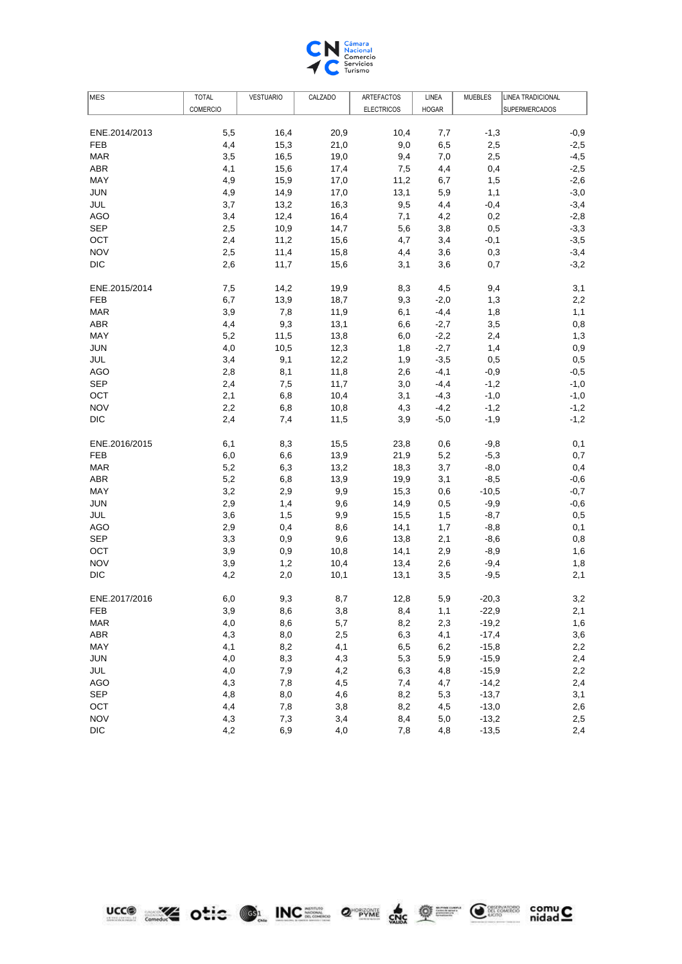

| MES           | <b>TOTAL</b>    | <b>VESTUARIO</b> | CALZADO | ARTEFACTOS        | LINEA        | <b>MUEBLES</b> | <b>LINEA TRADICIONAL</b> |
|---------------|-----------------|------------------|---------|-------------------|--------------|----------------|--------------------------|
|               | <b>COMERCIO</b> |                  |         | <b>ELECTRICOS</b> | <b>HOGAR</b> |                | <b>SUPERMERCADOS</b>     |
|               |                 |                  |         |                   |              |                |                          |
| ENE.2014/2013 | 5,5             | 16,4             | 20,9    | 10,4              | 7,7          | $-1,3$         | $-0,9$                   |
| <b>FEB</b>    | 4,4             | 15,3             | 21,0    | 9,0               | 6,5          | 2,5            | $-2,5$                   |
| <b>MAR</b>    | 3,5             | 16,5             | 19,0    | 9,4               | 7,0          | 2,5            | $-4,5$                   |
| ABR           | 4,1             | 15,6             | 17,4    | 7,5               | 4,4          | 0,4            | $-2,5$                   |
| MAY           | 4,9             | 15,9             | 17,0    | 11,2              | 6,7          | 1,5            | $-2,6$                   |
| <b>JUN</b>    | 4,9             | 14,9             | 17,0    | 13,1              | 5,9          | 1,1            | $-3,0$                   |
| JUL           | 3,7             | 13,2             | 16,3    | 9,5               | 4,4          | $-0,4$         | $-3,4$                   |
| <b>AGO</b>    | 3,4             | 12,4             | 16,4    | 7,1               | 4,2          | 0,2            | $-2,8$                   |
| <b>SEP</b>    | 2,5             | 10,9             | 14,7    | 5,6               | 3,8          | 0,5            | $-3,3$                   |
| OCT           | 2,4             | 11,2             | 15,6    | 4,7               | 3,4          | $-0,1$         | $-3,5$                   |
| <b>NOV</b>    | 2,5             | 11,4             | 15,8    | 4,4               | 3,6          | 0,3            | $-3,4$                   |
| <b>DIC</b>    | 2,6             | 11,7             | 15,6    | 3,1               | 3,6          | 0,7            | $-3,2$                   |
| ENE.2015/2014 | 7,5             | 14,2             | 19,9    | 8,3               | 4,5          | 9,4            | 3,1                      |
| FEB           | 6,7             | 13,9             | 18,7    | 9,3               | $-2,0$       | 1,3            | 2,2                      |
| <b>MAR</b>    | 3,9             | 7,8              | 11,9    | 6,1               | $-4,4$       | 1,8            | 1,1                      |
| <b>ABR</b>    | 4,4             | 9,3              | 13,1    | 6,6               | $-2,7$       | 3,5            | 0,8                      |
| MAY           | 5,2             | 11,5             | 13,8    | 6,0               | $-2,2$       | 2,4            | 1,3                      |
| <b>JUN</b>    | 4,0             | 10,5             | 12,3    | 1,8               | $-2,7$       | 1,4            | 0,9                      |
| JUL           | 3,4             | 9,1              | 12,2    | 1,9               | $-3,5$       | 0,5            | 0,5                      |
| <b>AGO</b>    | 2,8             | 8,1              | 11,8    | 2,6               | $-4,1$       | $-0,9$         | $-0,5$                   |
| <b>SEP</b>    | 2,4             | 7,5              | 11,7    | 3,0               | $-4,4$       | $-1,2$         | $-1,0$                   |
| OCT           | 2,1             | 6,8              | 10,4    | 3,1               | $-4,3$       | $-1,0$         | $-1,0$                   |
| <b>NOV</b>    | 2,2             | 6,8              | 10,8    | 4,3               | $-4,2$       | $-1,2$         | $-1,2$                   |
| <b>DIC</b>    | 2,4             | 7,4              | 11,5    | 3,9               | $-5,0$       | $-1,9$         | $-1,2$                   |
| ENE.2016/2015 | 6,1             | 8,3              | 15,5    | 23,8              | 0,6          | $-9,8$         | 0,1                      |
| <b>FEB</b>    | 6,0             | 6,6              | 13,9    | 21,9              | 5,2          | $-5,3$         | 0,7                      |
| <b>MAR</b>    | 5,2             | 6,3              | 13,2    | 18,3              | 3,7          | $-8,0$         | 0,4                      |
| <b>ABR</b>    | 5,2             | 6,8              | 13,9    | 19,9              | 3,1          | $-8,5$         | $-0,6$                   |
| MAY           | 3,2             | 2,9              | 9,9     | 15,3              | 0,6          | $-10,5$        | $-0,7$                   |
| JUN           | 2,9             | 1,4              | 9,6     | 14,9              | 0,5          | $-9,9$         | $-0,6$                   |
| JUL           | 3,6             | 1,5              | 9,9     | 15,5              | 1,5          | $-8,7$         | 0,5                      |
| AGO           | 2,9             | 0,4              | 8,6     | 14,1              | 1,7          | $-8,8$         | 0,1                      |
| <b>SEP</b>    | 3,3             | 0,9              | 9,6     | 13,8              | 2,1          | $-8,6$         | 0,8                      |
| OCT           | 3,9             | 0,9              | 10,8    | 14,1              | 2,9          | $-8,9$         | 1,6                      |
| <b>NOV</b>    | 3,9             | 1,2              | 10,4    | 13,4              | 2,6          | $-9,4$         | 1,8                      |
| DIC           | 4,2             | 2,0              | 10,1    | 13,1              | 3,5          | $-9,5$         | 2,1                      |
| ENE.2017/2016 | 6,0             | 9,3              | 8,7     | 12,8              | 5,9          | $-20,3$        | 3,2                      |
| FEB           | 3,9             | 8,6              | 3,8     | 8,4               | 1,1          | $-22,9$        | 2,1                      |
| <b>MAR</b>    | 4,0             | 8,6              | 5,7     | 8,2               | 2,3          | $-19,2$        | 1,6                      |
| <b>ABR</b>    | 4,3             | 8,0              | 2,5     | 6,3               | 4,1          | $-17,4$        | 3,6                      |
| MAY           | 4,1             | 8,2              | 4,1     | 6,5               | 6,2          | $-15,8$        | 2,2                      |
| <b>JUN</b>    | 4,0             | 8,3              | 4,3     | 5,3               | 5,9          | $-15,9$        | 2,4                      |
| JUL           | 4,0             | 7,9              | 4,2     | 6,3               | 4,8          | $-15,9$        | 2,2                      |
| <b>AGO</b>    | 4,3             | 7,8              | 4,5     | 7,4               | 4,7          | $-14,2$        | 2,4                      |
| <b>SEP</b>    | 4,8             | 8,0              | 4,6     | 8,2               | 5,3          | $-13,7$        | 3,1                      |
| OCT           | 4,4             | 7,8              | 3,8     | 8,2               | 4,5          | $-13,0$        | 2,6                      |
| <b>NOV</b>    | 4,3             | 7,3              | 3,4     | 8,4               | 5,0          | $-13,2$        | 2,5                      |
| <b>DIC</b>    | 4,2             | 6,9              | 4,0     | 7,8               | 4,8          | $-13,5$        | 2,4                      |